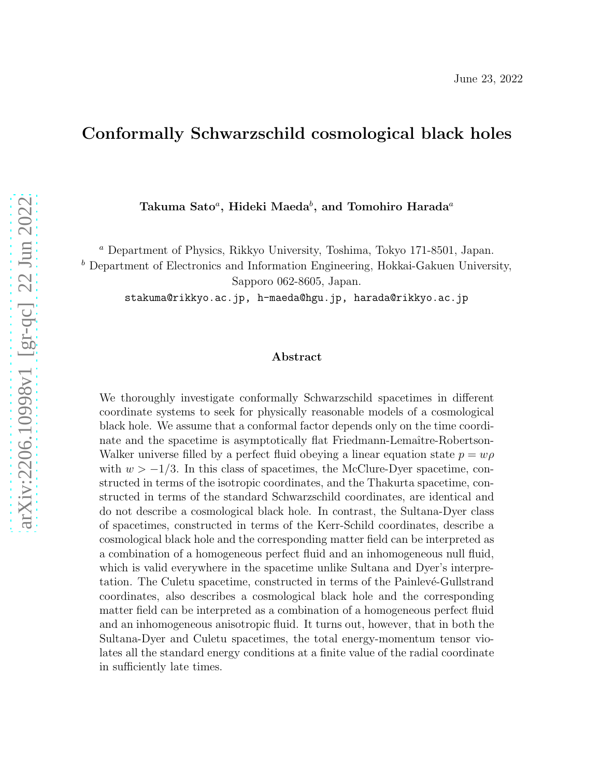## Conformally Schwarzschild cosmological black holes

Takuma Sato ${}^a,$  Hideki Maeda ${}^b,$  and Tomohiro Harada ${}^a$ 

<sup>a</sup> Department of Physics, Rikkyo University, Toshima, Tokyo 171-8501, Japan.

 $<sup>b</sup>$  Department of Electronics and Information Engineering, Hokkai-Gakuen University,</sup>

Sapporo 062-8605, Japan.

stakuma@rikkyo.ac.jp, h-maeda@hgu.jp, harada@rikkyo.ac.jp

#### Abstract

We thoroughly investigate conformally Schwarzschild spacetimes in different coordinate systems to seek for physically reasonable models of a cosmological black hole. We assume that a conformal factor depends only on the time coordinate and the spacetime is asymptotically flat Friedmann-Lemaître-Robertson-Walker universe filled by a perfect fluid obeying a linear equation state  $p = w\rho$ with  $w > -1/3$ . In this class of spacetimes, the McClure-Dyer spacetime, constructed in terms of the isotropic coordinates, and the Thakurta spacetime, constructed in terms of the standard Schwarzschild coordinates, are identical and do not describe a cosmological black hole. In contrast, the Sultana-Dyer class of spacetimes, constructed in terms of the Kerr-Schild coordinates, describe a cosmological black hole and the corresponding matter field can be interpreted as a combination of a homogeneous perfect fluid and an inhomogeneous null fluid, which is valid everywhere in the spacetime unlike Sultana and Dyer's interpretation. The Culetu spacetime, constructed in terms of the Painlevé-Gullstrand coordinates, also describes a cosmological black hole and the corresponding matter field can be interpreted as a combination of a homogeneous perfect fluid and an inhomogeneous anisotropic fluid. It turns out, however, that in both the Sultana-Dyer and Culetu spacetimes, the total energy-momentum tensor violates all the standard energy conditions at a finite value of the radial coordinate in sufficiently late times.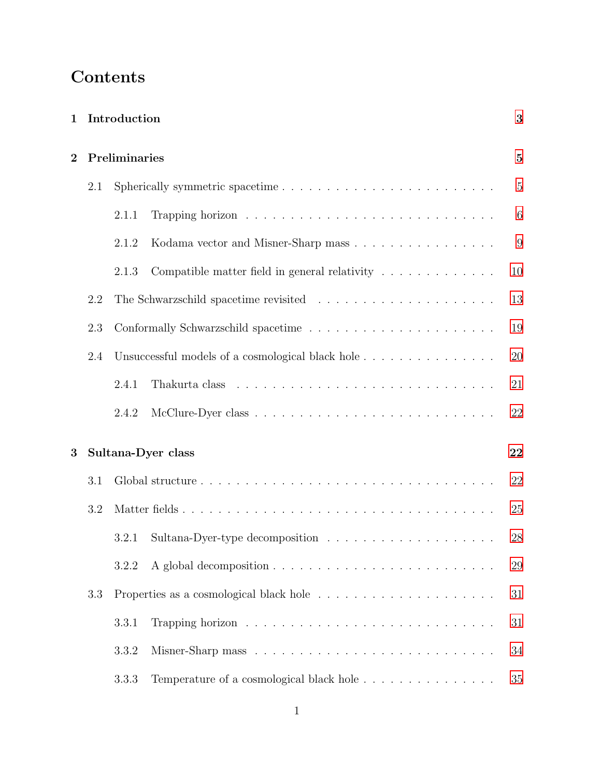# **Contents**

| $\mathbf{1}$   | Introduction |               |                                                                                                |                 |  |  |
|----------------|--------------|---------------|------------------------------------------------------------------------------------------------|-----------------|--|--|
| $\overline{2}$ |              | Preliminaries |                                                                                                | $\mathbf{5}$    |  |  |
|                | 2.1          |               |                                                                                                | $\overline{5}$  |  |  |
|                |              | 2.1.1         |                                                                                                | $6\phantom{.}6$ |  |  |
|                |              | 2.1.2         | Kodama vector and Misner-Sharp mass                                                            | 9               |  |  |
|                |              | 2.1.3         | Compatible matter field in general relativity $\ldots \ldots \ldots \ldots$                    | 10              |  |  |
|                | 2.2          |               |                                                                                                | 13              |  |  |
|                | 2.3          |               |                                                                                                | 19              |  |  |
|                | 2.4          |               | Unsuccessful models of a cosmological black hole                                               | 20              |  |  |
|                |              | 2.4.1         |                                                                                                | 21              |  |  |
|                |              | 2.4.2         |                                                                                                | 22              |  |  |
| 3              |              |               | Sultana-Dyer class                                                                             | 22              |  |  |
|                | 3.1          |               |                                                                                                | 22              |  |  |
|                | 3.2          |               |                                                                                                | 25              |  |  |
|                |              | 3.2.1         |                                                                                                | 28              |  |  |
|                |              | 3.2.2         |                                                                                                | 29              |  |  |
|                | 3.3          |               |                                                                                                | 31              |  |  |
|                |              | 3.3.1         |                                                                                                | 31              |  |  |
|                |              | 3.3.2         |                                                                                                | 34              |  |  |
|                |              | 3.3.3         | Temperature of a cosmological black hole $.\;.\;.\;.\;.\;.\;.\;.\;.\;.\;.\;.\;.\;.\;.\;.\;.\;$ | 35              |  |  |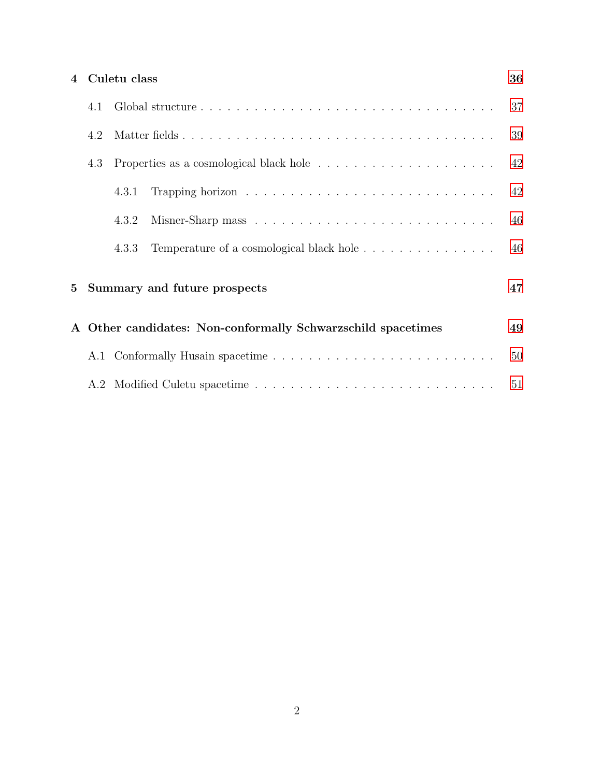|                | 4 Culetu class<br>36 |       |                                                              |    |  |
|----------------|----------------------|-------|--------------------------------------------------------------|----|--|
|                | 4.1                  |       |                                                              | 37 |  |
|                | 4.2                  |       |                                                              | 39 |  |
|                | 4.3                  |       |                                                              | 42 |  |
|                |                      | 4.3.1 |                                                              | 42 |  |
|                |                      | 4.3.2 |                                                              | 46 |  |
|                |                      | 4.3.3 | Temperature of a cosmological black hole                     | 46 |  |
| 5 <sup>5</sup> |                      |       | Summary and future prospects                                 | 47 |  |
|                |                      |       | A Other candidates: Non-conformally Schwarzschild spacetimes | 49 |  |
|                |                      |       |                                                              | 50 |  |
|                |                      |       |                                                              | 51 |  |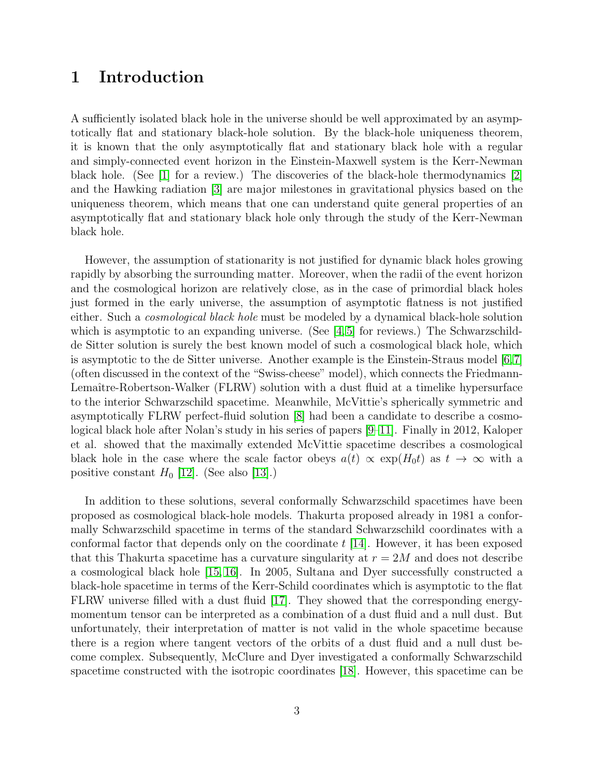## <span id="page-3-0"></span>1 Introduction

A sufficiently isolated black hole in the universe should be well approximated by an asymptotically flat and stationary black-hole solution. By the black-hole uniqueness theorem, it is known that the only asymptotically flat and stationary black hole with a regular and simply-connected event horizon in the Einstein-Maxwell system is the Kerr-Newman black hole. (See [\[1\]](#page-52-0) for a review.) The discoveries of the black-hole thermodynamics [\[2\]](#page-52-1) and the Hawking radiation [\[3\]](#page-52-2) are major milestones in gravitational physics based on the uniqueness theorem, which means that one can understand quite general properties of an asymptotically flat and stationary black hole only through the study of the Kerr-Newman black hole.

However, the assumption of stationarity is not justified for dynamic black holes growing rapidly by absorbing the surrounding matter. Moreover, when the radii of the event horizon and the cosmological horizon are relatively close, as in the case of primordial black holes just formed in the early universe, the assumption of asymptotic flatness is not justified either. Such a *cosmological black hole* must be modeled by a dynamical black-hole solution which is asymptotic to an expanding universe. (See  $\vert 4, 5 \vert$  for reviews.) The Schwarzschildde Sitter solution is surely the best known model of such a cosmological black hole, which is asymptotic to the de Sitter universe. Another example is the Einstein-Straus model [\[6,](#page-52-5)[7\]](#page-52-6) (often discussed in the context of the "Swiss-cheese" model), which connects the Friedmann-Lemaître-Robertson-Walker (FLRW) solution with a dust fluid at a timelike hypersurface to the interior Schwarzschild spacetime. Meanwhile, McVittie's spherically symmetric and asymptotically FLRW perfect-fluid solution [\[8\]](#page-52-7) had been a candidate to describe a cosmological black hole after Nolan's study in his series of papers [\[9–](#page-52-8)[11\]](#page-52-9). Finally in 2012, Kaloper et al. showed that the maximally extended McVittie spacetime describes a cosmological black hole in the case where the scale factor obeys  $a(t) \propto \exp(H_0 t)$  as  $t \to \infty$  with a positive constant  $H_0$  [\[12\]](#page-53-0). (See also [\[13\]](#page-53-1).)

In addition to these solutions, several conformally Schwarzschild spacetimes have been proposed as cosmological black-hole models. Thakurta proposed already in 1981 a conformally Schwarzschild spacetime in terms of the standard Schwarzschild coordinates with a conformal factor that depends only on the coordinate  $t$  [\[14\]](#page-53-2). However, it has been exposed that this Thakurta spacetime has a curvature singularity at  $r = 2M$  and does not describe a cosmological black hole [\[15,](#page-53-3) [16\]](#page-53-4). In 2005, Sultana and Dyer successfully constructed a black-hole spacetime in terms of the Kerr-Schild coordinates which is asymptotic to the flat FLRW universe filled with a dust fluid [\[17\]](#page-53-5). They showed that the corresponding energymomentum tensor can be interpreted as a combination of a dust fluid and a null dust. But unfortunately, their interpretation of matter is not valid in the whole spacetime because there is a region where tangent vectors of the orbits of a dust fluid and a null dust become complex. Subsequently, McClure and Dyer investigated a conformally Schwarzschild spacetime constructed with the isotropic coordinates [\[18\]](#page-53-6). However, this spacetime can be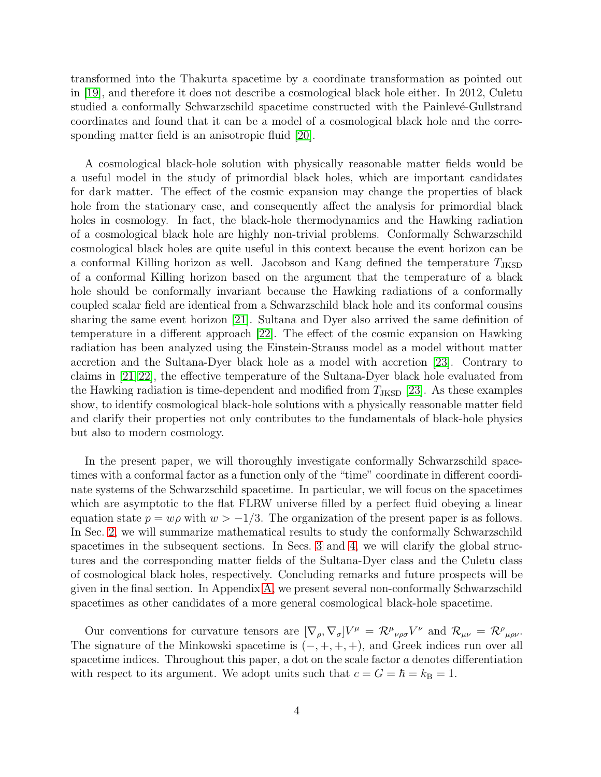transformed into the Thakurta spacetime by a coordinate transformation as pointed out in [\[19\]](#page-53-7), and therefore it does not describe a cosmological black hole either. In 2012, Culetu studied a conformally Schwarzschild spacetime constructed with the Painlevé-Gullstrand coordinates and found that it can be a model of a cosmological black hole and the corresponding matter field is an anisotropic fluid [\[20\]](#page-53-8).

A cosmological black-hole solution with physically reasonable matter fields would be a useful model in the study of primordial black holes, which are important candidates for dark matter. The effect of the cosmic expansion may change the properties of black hole from the stationary case, and consequently affect the analysis for primordial black holes in cosmology. In fact, the black-hole thermodynamics and the Hawking radiation of a cosmological black hole are highly non-trivial problems. Conformally Schwarzschild cosmological black holes are quite useful in this context because the event horizon can be a conformal Killing horizon as well. Jacobson and Kang defined the temperature  $T_{\text{JKSD}}$ of a conformal Killing horizon based on the argument that the temperature of a black hole should be conformally invariant because the Hawking radiations of a conformally coupled scalar field are identical from a Schwarzschild black hole and its conformal cousins sharing the same event horizon [\[21\]](#page-53-9). Sultana and Dyer also arrived the same definition of temperature in a different approach [\[22\]](#page-53-10). The effect of the cosmic expansion on Hawking radiation has been analyzed using the Einstein-Strauss model as a model without matter accretion and the Sultana-Dyer black hole as a model with accretion [\[23\]](#page-53-11). Contrary to claims in [\[21,](#page-53-9) [22\]](#page-53-10), the effective temperature of the Sultana-Dyer black hole evaluated from the Hawking radiation is time-dependent and modified from  $T_{\text{JKSD}}$  [\[23\]](#page-53-11). As these examples show, to identify cosmological black-hole solutions with a physically reasonable matter field and clarify their properties not only contributes to the fundamentals of black-hole physics but also to modern cosmology.

In the present paper, we will thoroughly investigate conformally Schwarzschild spacetimes with a conformal factor as a function only of the "time" coordinate in different coordinate systems of the Schwarzschild spacetime. In particular, we will focus on the spacetimes which are asymptotic to the flat FLRW universe filled by a perfect fluid obeying a linear equation state  $p = w\rho$  with  $w > -1/3$ . The organization of the present paper is as follows. In Sec. [2,](#page-5-0) we will summarize mathematical results to study the conformally Schwarzschild spacetimes in the subsequent sections. In Secs. [3](#page-22-1) and [4,](#page-36-0) we will clarify the global structures and the corresponding matter fields of the Sultana-Dyer class and the Culetu class of cosmological black holes, respectively. Concluding remarks and future prospects will be given in the final section. In Appendix [A,](#page-49-0) we present several non-conformally Schwarzschild spacetimes as other candidates of a more general cosmological black-hole spacetime.

Our conventions for curvature tensors are  $[\nabla_{\rho}, \nabla_{\sigma}]V^{\mu} = \mathcal{R}^{\mu}{}_{\nu\rho\sigma}V^{\nu}$  and  $\mathcal{R}_{\mu\nu} = \mathcal{R}^{\rho}{}_{\mu\rho\nu}$ . The signature of the Minkowski spacetime is  $(-, +, +, +)$ , and Greek indices run over all spacetime indices. Throughout this paper, a dot on the scale factor a denotes differentiation with respect to its argument. We adopt units such that  $c = G = \hbar = k_B = 1$ .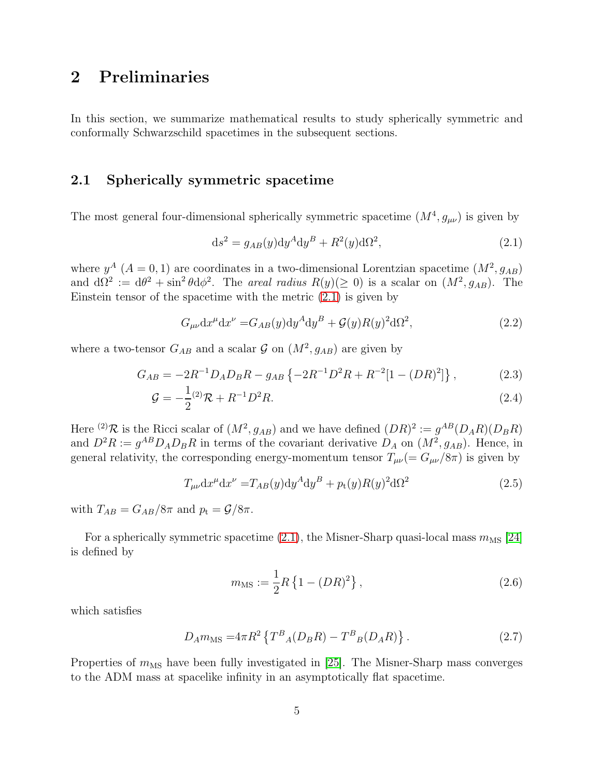## <span id="page-5-0"></span>2 Preliminaries

<span id="page-5-1"></span>In this section, we summarize mathematical results to study spherically symmetric and conformally Schwarzschild spacetimes in the subsequent sections.

## 2.1 Spherically symmetric spacetime

The most general four-dimensional spherically symmetric spacetime  $(M^4, g_{\mu\nu})$  is given by

<span id="page-5-2"></span>
$$
\mathrm{d}s^2 = g_{AB}(y)\mathrm{d}y^A\mathrm{d}y^B + R^2(y)\mathrm{d}\Omega^2,\tag{2.1}
$$

where  $y^A$  ( $A = 0, 1$ ) are coordinates in a two-dimensional Lorentzian spacetime  $(M^2, g_{AB})$ and  $d\Omega^2 := d\theta^2 + \sin^2 \theta d\phi^2$ . The *areal radius*  $R(y) (\ge 0)$  is a scalar on  $(M^2, g_{AB})$ . The Einstein tensor of the spacetime with the metric [\(2.1\)](#page-5-2) is given by

$$
G_{\mu\nu}dx^{\mu}dx^{\nu} = G_{AB}(y)dy^A dy^B + \mathcal{G}(y)R(y)^2 d\Omega^2,
$$
\n(2.2)

where a two-tensor  $G_{AB}$  and a scalar  $\mathcal{G}$  on  $(M^2, g_{AB})$  are given by

$$
G_{AB} = -2R^{-1}D_A D_B R - g_{AB} \left\{ -2R^{-1}D^2 R + R^{-2} [1 - (DR)^2] \right\},\tag{2.3}
$$

$$
\mathcal{G} = -\frac{1}{2} {}^{(2)}\mathcal{R} + R^{-1} D^2 R. \tag{2.4}
$$

Here <sup>(2)</sup>R is the Ricci scalar of  $(M^2, g_{AB})$  and we have defined  $(DR)^2 := g^{AB}(D_A R)(D_B R)$ and  $D^2R := g^{AB}D_A D_B R$  in terms of the covariant derivative  $D_A$  on  $(M^2, g_{AB})$ . Hence, in general relativity, the corresponding energy-momentum tensor  $T_{\mu\nu} (= G_{\mu\nu}/8\pi)$  is given by

$$
T_{\mu\nu}dx^{\mu}dx^{\nu} = T_{AB}(y)dy^A dy^B + p_t(y)R(y)^2 d\Omega^2
$$
\n(2.5)

with  $T_{AB} = G_{AB}/8\pi$  and  $p_t = \mathcal{G}/8\pi$ .

For a spherically symmetric spacetime [\(2.1\)](#page-5-2), the Misner-Sharp quasi-local mass  $m_{\text{MS}}$  [\[24\]](#page-53-12) is defined by

<span id="page-5-4"></span><span id="page-5-3"></span>
$$
m_{\rm MS} := \frac{1}{2} R \left\{ 1 - (DR)^2 \right\},\tag{2.6}
$$

which satisfies

$$
D_A m_{\rm MS} = 4\pi R^2 \left\{ T^B{}_A (D_B R) - T^B{}_B (D_A R) \right\}.
$$
 (2.7)

Properties of  $m_{\text{MS}}$  have been fully investigated in [\[25\]](#page-53-13). The Misner-Sharp mass converges to the ADM mass at spacelike infinity in an asymptotically flat spacetime.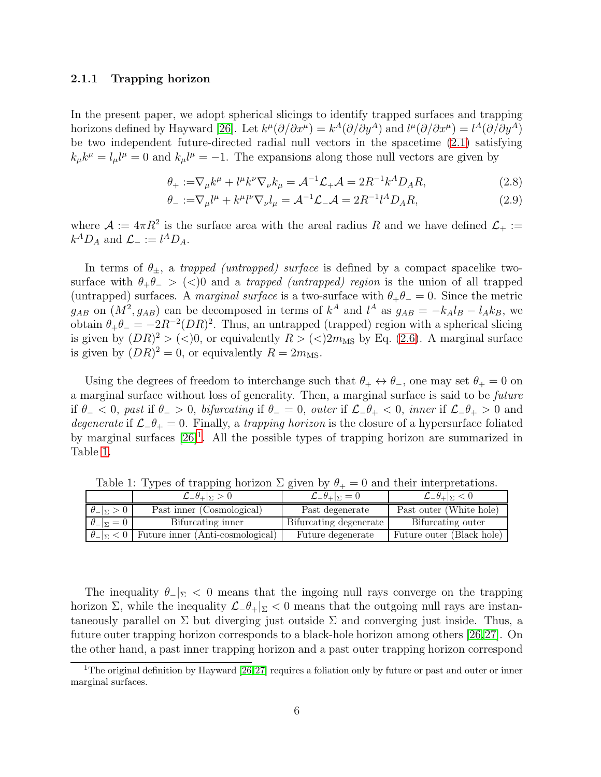#### <span id="page-6-0"></span>2.1.1 Trapping horizon

In the present paper, we adopt spherical slicings to identify trapped surfaces and trapping horizons defined by Hayward [\[26\]](#page-53-14). Let  $k^{\mu}(\partial/\partial x^{\mu}) = k^{A}(\partial/\partial y^{A})$  and  $l^{\mu}(\partial/\partial x^{\mu}) = l^{A}(\partial/\partial y^{A})$ be two independent future-directed radial null vectors in the spacetime [\(2.1\)](#page-5-2) satisfying  $k_{\mu}k^{\mu} = l_{\mu}l^{\mu} = 0$  and  $k_{\mu}l^{\mu} = -1$ . The expansions along those null vectors are given by

<span id="page-6-3"></span>
$$
\theta_{+} := \nabla_{\mu} k^{\mu} + l^{\mu} k^{\nu} \nabla_{\nu} k_{\mu} = \mathcal{A}^{-1} \mathcal{L}_{+} \mathcal{A} = 2R^{-1} k^{A} D_{A} R, \qquad (2.8)
$$

<span id="page-6-4"></span>
$$
\theta_- := \nabla_\mu l^\mu + k^\mu l^\nu \nabla_\nu l_\mu = \mathcal{A}^{-1} \mathcal{L}_- \mathcal{A} = 2R^{-1} l^A D_A R,\tag{2.9}
$$

where  $\mathcal{A} := 4\pi R^2$  is the surface area with the areal radius R and we have defined  $\mathcal{L}_+ :=$  $k^A D_A$  and  $\mathcal{L}_- := l^A D_A$ .

In terms of  $\theta_{\pm}$ , a *trapped (untrapped) surface* is defined by a compact spacelike twosurface with  $\theta_+\theta_- >$  (<)0 and a *trapped (untrapped) region* is the union of all trapped (untrapped) surfaces. A *marginal surface* is a two-surface with  $\theta_+\theta_-=0$ . Since the metric  $g_{AB}$  on  $(M^2, g_{AB})$  can be decomposed in terms of  $k^A$  and  $l^A$  as  $g_{AB} = -k_A l_B - l_A k_B$ , we obtain  $\theta_+ \theta_- = -2R^{-2}(DR)^2$ . Thus, an untrapped (trapped) region with a spherical slicing is given by  $(DR)^2 > (<)0$ , or equivalently  $R > (<)2m_{\rm MS}$  by Eq. [\(2.6\)](#page-5-3). A marginal surface is given by  $(DR)^2 = 0$ , or equivalently  $R = 2m<sub>MS</sub>$ .

Using the degrees of freedom to interchange such that  $\theta_+ \leftrightarrow \theta_-$ , one may set  $\theta_+ = 0$  on a marginal surface without loss of generality. Then, a marginal surface is said to be *future* if  $\theta$  − < 0, past if  $\theta$  − > 0, *bifurcating* if  $\theta$  − = 0, *outer* if  $\mathcal{L}$ − $\theta$ + < 0, *inner* if  $\mathcal{L}$ − $\theta$ + > 0 and *degenerate* if L−θ<sup>+</sup> = 0. Finally, a *trapping horizon* is the closure of a hypersurface foliated by marginal surfaces [\[26\]](#page-53-14)<sup>[1](#page-6-1)</sup>. All the possible types of trapping horizon are summarized in Table [1.](#page-6-2)

|                           | $\mathcal{L}_{-}\theta_{+} _{\Sigma}>0$                      | $\mathcal{L}_{-}\theta_{+} _{\Sigma}=0$ | $\mathcal{L}_{-}\theta_{+} _{\Sigma}<0$ |
|---------------------------|--------------------------------------------------------------|-----------------------------------------|-----------------------------------------|
| $\theta_{-\vert\Sigma}>0$ | Past inner (Cosmological)                                    | Past degenerate                         | Past outer (White hole)                 |
| $\theta_{-} _{\Sigma}=0$  | Bifurcating inner                                            | Bifurcating degenerate                  | Bifurcating outer                       |
|                           | $\theta_{-}  _{\Sigma} < 0$ Future inner (Anti-cosmological) | Future degenerate                       | Future outer (Black hole)               |

<span id="page-6-2"></span>Table 1: Types of trapping horizon  $\Sigma$  given by  $\theta_+ = 0$  and their interpretations.

The inequality  $\theta_-\vert_{\Sigma} < 0$  means that the ingoing null rays converge on the trapping horizon  $\Sigma$ , while the inequality  $\mathcal{L}$ - $\theta$ + $|\Sigma|$  < 0 means that the outgoing null rays are instantaneously parallel on  $\Sigma$  but diverging just outside  $\Sigma$  and converging just inside. Thus, a future outer trapping horizon corresponds to a black-hole horizon among others [\[26,](#page-53-14)[27\]](#page-53-15). On the other hand, a past inner trapping horizon and a past outer trapping horizon correspond

<span id="page-6-1"></span><sup>&</sup>lt;sup>1</sup>The original definition by Hayward [\[26,](#page-53-14)[27\]](#page-53-15) requires a foliation only by future or past and outer or inner marginal surfaces.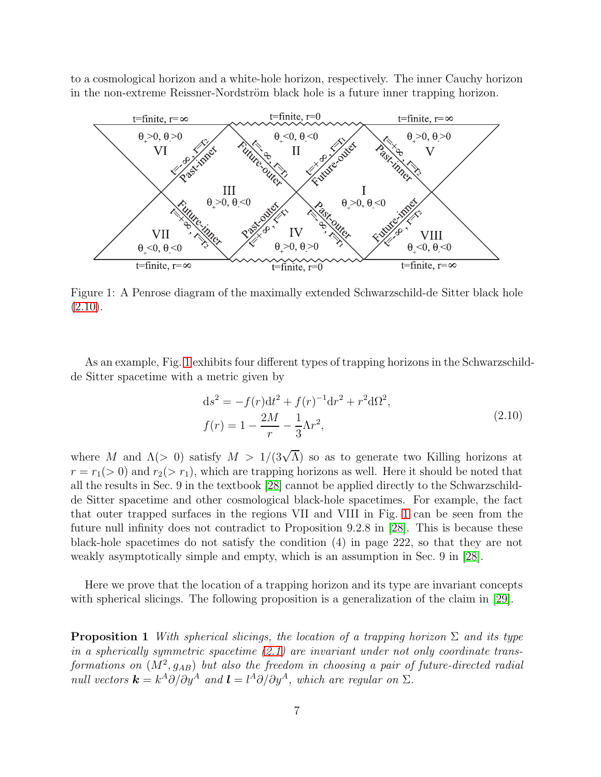to a cosmological horizon and a white-hole horizon, respectively. The inner Cauchy horizon in the non-extreme Reissner-Nordström black hole is a future inner trapping horizon.



<span id="page-7-1"></span>Figure 1: A Penrose diagram of the maximally extended Schwarzschild-de Sitter black hole  $(2.10).$  $(2.10).$ 

As an example, Fig. [1](#page-7-1) exhibits four different types of trapping horizons in the Schwarzschildde Sitter spacetime with a metric given by

<span id="page-7-2"></span><span id="page-7-0"></span>
$$
ds^{2} = -f(r)dt^{2} + f(r)^{-1}dr^{2} + r^{2}d\Omega^{2},
$$
  
\n
$$
f(r) = 1 - \frac{2M}{r} - \frac{1}{3}\Lambda r^{2},
$$
\n(2.10)

where M and  $\Lambda$ (> 0) satisfy  $M > 1/(3\sqrt{\Lambda})$  so as to generate two Killing horizons at  $r = r_1(> 0)$  and  $r_2(> r_1)$ , which are trapping horizons as well. Here it should be noted that all the results in Sec. 9 in the textbook [\[28\]](#page-53-16) cannot be applied directly to the Schwarzschildde Sitter spacetime and other cosmological black-hole spacetimes. For example, the fact that outer trapped surfaces in the regions VII and VIII in Fig. [1](#page-7-1) can be seen from the future null infinity does not contradict to Proposition 9.2.8 in [\[28\]](#page-53-16). This is because these black-hole spacetimes do not satisfy the condition (4) in page 222, so that they are not weakly asymptotically simple and empty, which is an assumption in Sec. 9 in [\[28\]](#page-53-16).

Here we prove that the location of a trapping horizon and its type are invariant concepts with spherical slicings. The following proposition is a generalization of the claim in [\[29\]](#page-54-0).

Proposition 1 *With spherical slicings, the location of a trapping horizon* Σ *and its type in a spherically symmetric spacetime [\(2.1\)](#page-5-2) are invariant under not only coordinate trans-* ${\it formalations on} \,\, (M^2,g_{AB})$  *but also the freedom in choosing a pair of future-directed radial*  $null$  vectors  $\mathbf{k} = k^A \partial/\partial y^A$  and  $\mathbf{l} = l^A \partial/\partial y^A$ , which are regular on  $\Sigma$ .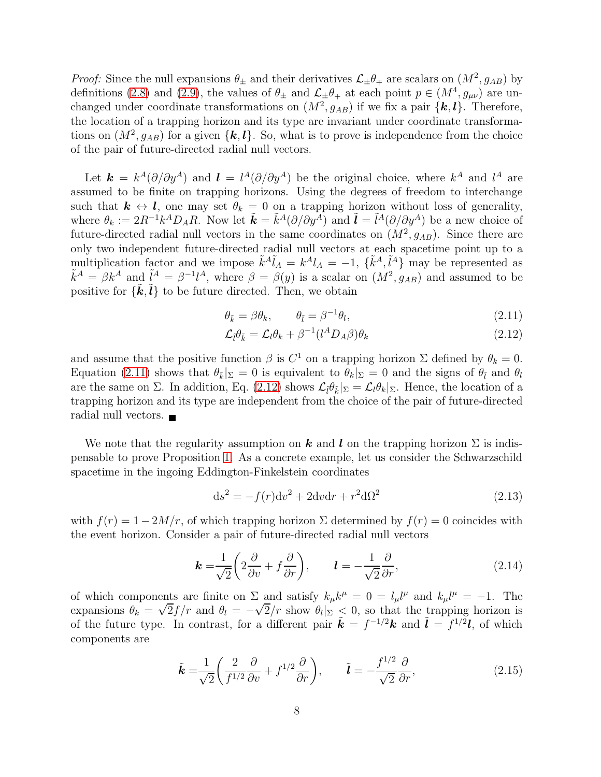*Proof:* Since the null expansions  $\theta_{\pm}$  and their derivatives  $\mathcal{L}_{\pm}\theta_{\mp}$  are scalars on  $(M^2, g_{AB})$  by definitions [\(2.8\)](#page-6-3) and [\(2.9\)](#page-6-4), the values of  $\theta_{\pm}$  and  $\mathcal{L}_{\pm}\theta_{\mp}$  at each point  $p \in (M^4, g_{\mu\nu})$  are unchanged under coordinate transformations on  $(M^2, g_{AB})$  if we fix a pair  $\{k, l\}$ . Therefore, the location of a trapping horizon and its type are invariant under coordinate transformations on  $(M^2, g_{AB})$  for a given  $\{k, l\}$ . So, what is to prove is independence from the choice of the pair of future-directed radial null vectors.

Let  $\mathbf{k} = k^A(\partial/\partial y^A)$  and  $\mathbf{l} = l^A(\partial/\partial y^A)$  be the original choice, where  $k^A$  and  $l^A$  are assumed to be finite on trapping horizons. Using the degrees of freedom to interchange such that  $k \leftrightarrow l$ , one may set  $\theta_k = 0$  on a trapping horizon without loss of generality, where  $\theta_k := 2R^{-1}k^A D_A R$ . Now let  $\tilde{\boldsymbol{k}} = \tilde{k}^A(\partial/\partial y^A)$  and  $\tilde{\boldsymbol{l}} = \tilde{l}^A(\partial/\partial y^A)$  be a new choice of future-directed radial null vectors in the same coordinates on  $(M^2, g_{AB})$ . Since there are only two independent future-directed radial null vectors at each spacetime point up to a multiplication factor and we impose  $\tilde{k}^A \tilde{l}_A = k^A l_A = -1$ ,  $\{\tilde{k}^A, \tilde{l}^A\}$  may be represented as  $\tilde{k}^A = \beta k^A$  and  $\tilde{l}^A = \beta^{-1}l^A$ , where  $\beta = \beta(y)$  is a scalar on  $(M^2, g_{AB})$  and assumed to be positive for  $\{\tilde{k}, \tilde{l}\}$  to be future directed. Then, we obtain

<span id="page-8-0"></span>
$$
\theta_{\tilde{k}} = \beta \theta_k, \qquad \theta_{\tilde{l}} = \beta^{-1} \theta_l, \tag{2.11}
$$

<span id="page-8-1"></span>
$$
\mathcal{L}_{\tilde{l}}\theta_{\tilde{k}} = \mathcal{L}_{l}\theta_{k} + \beta^{-1}(l^{A}D_{A}\beta)\theta_{k} \qquad (2.12)
$$

and assume that the positive function  $\beta$  is  $C^1$  on a trapping horizon  $\Sigma$  defined by  $\theta_k = 0$ . Equation [\(2.11\)](#page-8-0) shows that  $\theta_{\tilde{k}}|_{\Sigma} = 0$  is equivalent to  $\theta_k|_{\Sigma} = 0$  and the signs of  $\theta_{\tilde{l}}$  and  $\theta_l$ are the same on  $\Sigma$ . In addition, Eq. [\(2.12\)](#page-8-1) shows  $\mathcal{L}_{\tilde{l}}\theta_{\tilde{k}}|_{\Sigma} = \mathcal{L}_{l}\theta_{k}|_{\Sigma}$ . Hence, the location of a trapping horizon and its type are independent from the choice of the pair of future-directed radial null vectors.  $\blacksquare$ 

We note that the regularity assumption on k and l on the trapping horizon  $\Sigma$  is indispensable to prove Proposition [1.](#page-7-2) As a concrete example, let us consider the Schwarzschild spacetime in the ingoing Eddington-Finkelstein coordinates

$$
\mathrm{d}s^2 = -f(r)\mathrm{d}v^2 + 2\mathrm{d}v\mathrm{d}r + r^2\mathrm{d}\Omega^2\tag{2.13}
$$

with  $f(r) = 1 - 2M/r$ , of which trapping horizon  $\Sigma$  determined by  $f(r) = 0$  coincides with the event horizon. Consider a pair of future-directed radial null vectors

$$
\boldsymbol{k} = \frac{1}{\sqrt{2}} \left( 2 \frac{\partial}{\partial v} + f \frac{\partial}{\partial r} \right), \qquad \boldsymbol{l} = -\frac{1}{\sqrt{2}} \frac{\partial}{\partial r}, \tag{2.14}
$$

of which components are finite on  $\Sigma$  and satisfy  $k_{\mu}k^{\mu} = 0 = l_{\mu}l^{\mu}$  and  $k_{\mu}l^{\mu} = -1$ . The expansions  $\theta_k = \sqrt{2}f/r$  and  $\theta_l = -\sqrt{2}/r$  show  $\theta_l|_{\Sigma} \leq 0$ , so that the trapping horizon is of the future type. In contrast, for a different pair  $\tilde{k} = f^{-1/2}k$  and  $\tilde{l} = f^{1/2}l$ , of which components are

$$
\tilde{\boldsymbol{k}} = \frac{1}{\sqrt{2}} \left( \frac{2}{f^{1/2}} \frac{\partial}{\partial v} + f^{1/2} \frac{\partial}{\partial r} \right), \qquad \tilde{\boldsymbol{l}} = -\frac{f^{1/2}}{\sqrt{2}} \frac{\partial}{\partial r}, \tag{2.15}
$$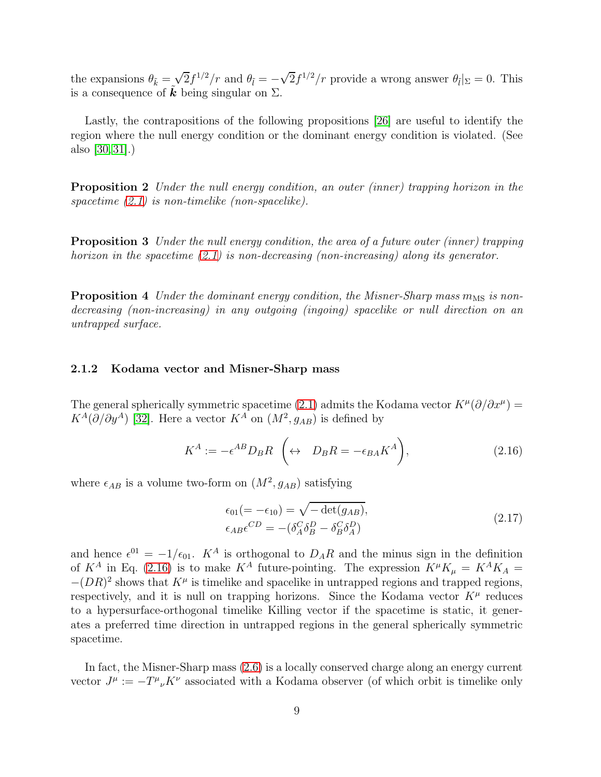the expansions  $\theta_{\tilde{k}} = \sqrt{2} f^{1/2}/r$  and  $\theta_{\tilde{l}} = -\sqrt{2} f^{1/2}/r$  provide a wrong answer  $\theta_{\tilde{l}}|_{\Sigma} = 0$ . This is a consequence of **k** being singular on  $\Sigma$ .

Lastly, the contrapositions of the following propositions [\[26\]](#page-53-14) are useful to identify the region where the null energy condition or the dominant energy condition is violated. (See also [\[30,](#page-54-1) [31\]](#page-54-2).)

Proposition 2 *Under the null energy condition, an outer (inner) trapping horizon in the spacetime [\(2.1\)](#page-5-2) is non-timelike (non-spacelike).*

<span id="page-9-2"></span>Proposition 3 *Under the null energy condition, the area of a future outer (inner) trapping horizon in the spacetime [\(2.1\)](#page-5-2) is non-decreasing (non-increasing) along its generator.*

**Proposition 4** *Under the dominant energy condition, the Misner-Sharp mass m<sub>MS</sub> is nondecreasing (non-increasing) in any outgoing (ingoing) spacelike or null direction on an untrapped surface.*

#### <span id="page-9-0"></span>2.1.2 Kodama vector and Misner-Sharp mass

The general spherically symmetric spacetime [\(2.1\)](#page-5-2) admits the Kodama vector  $K^{\mu}(\partial/\partial x^{\mu}) =$  $K^A(\partial/\partial y^A)$  [\[32\]](#page-54-3). Here a vector  $K^A$  on  $(M^2, g_{AB})$  is defined by

$$
K^{A} := -\epsilon^{AB} D_{B} R \quad (\leftrightarrow \quad D_{B} R = -\epsilon_{BA} K^{A}), \tag{2.16}
$$

where  $\epsilon_{AB}$  is a volume two-form on  $(M^2, g_{AB})$  satisfying

<span id="page-9-1"></span>
$$
\epsilon_{01}(=-\epsilon_{10}) = \sqrt{-\det(g_{AB})},
$$
  
\n
$$
\epsilon_{AB}\epsilon^{CD} = -(\delta^C_A \delta^D_B - \delta^C_B \delta^D_A)
$$
\n(2.17)

and hence  $\epsilon^{01} = -1/\epsilon_{01}$ .  $K^A$  is orthogonal to  $D_A R$  and the minus sign in the definition of  $K^A$  in Eq. [\(2.16\)](#page-9-1) is to make  $K^A$  future-pointing. The expression  $K^\mu K_\mu = K^A K_A =$  $-(DR)^2$  shows that  $K^{\mu}$  is timelike and spacelike in untrapped regions and trapped regions, respectively, and it is null on trapping horizons. Since the Kodama vector  $K^{\mu}$  reduces to a hypersurface-orthogonal timelike Killing vector if the spacetime is static, it generates a preferred time direction in untrapped regions in the general spherically symmetric spacetime.

In fact, the Misner-Sharp mass [\(2.6\)](#page-5-3) is a locally conserved charge along an energy current vector  $J^{\mu} := -T^{\mu}{}_{\nu}K^{\nu}$  associated with a Kodama observer (of which orbit is timelike only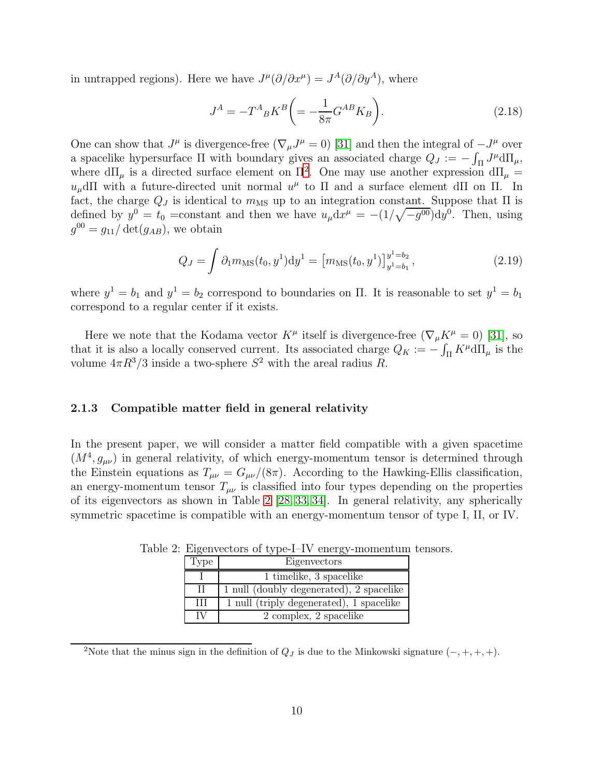in untrapped regions). Here we have  $J^{\mu}(\partial/\partial x^{\mu}) = J^{A}(\partial/\partial y^{A})$ , where

$$
J^{A} = -T^{A}{}_{B}K^{B}\bigg( = -\frac{1}{8\pi}G^{AB}K_{B}\bigg). \tag{2.18}
$$

One can show that  $J^{\mu}$  is divergence-free  $(\nabla_{\mu}J^{\mu}=0)$  [\[31\]](#page-54-2) and then the integral of  $-J^{\mu}$  over a spacelike hypersurface  $\Pi$  with boundary gives an associated charge  $Q_J := -\int_{\Pi} J^{\mu} d\Pi_{\mu}$ , where  $d\Pi_{\mu}$  is a directed surface element on  $\Pi^2$  $\Pi^2$ . One may use another expression  $d\Pi_{\mu} =$  $u_\mu$ dΠ with a future-directed unit normal  $u^\mu$  to Π and a surface element dΠ on Π. In fact, the charge  $Q_J$  is identical to  $m_{\text{MS}}$  up to an integration constant. Suppose that  $\Pi$  is defined by  $y^0 = t_0$  = constant and then we have  $u_\mu dx^\mu = -(1/\sqrt{-g^{00}}) dy^0$ . Then, using  $g^{00} = g_{11}/\det(g_{AB}),$  we obtain

$$
Q_J = \int \partial_1 m_{\rm MS}(t_0, y^1) dy^1 = \left[ m_{\rm MS}(t_0, y^1) \right]_{y^1 = b_1}^{y^1 = b_2},\tag{2.19}
$$

where  $y^1 = b_1$  and  $y^1 = b_2$  correspond to boundaries on  $\Pi$ . It is reasonable to set  $y^1 = b_1$ correspond to a regular center if it exists.

Here we note that the Kodama vector  $K^{\mu}$  itself is divergence-free  $(\nabla_{\mu}K^{\mu}=0)$  [\[31\]](#page-54-2), so that it is also a locally conserved current. Its associated charge  $Q_K := -\int_{\Pi} K^{\mu} d\Pi_{\mu}$  is the volume  $4\pi R^3/3$  inside a two-sphere  $S^2$  with the areal radius R.

#### <span id="page-10-0"></span>2.1.3 Compatible matter field in general relativity

In the present paper, we will consider a matter field compatible with a given spacetime  $(M^4, g_{\mu\nu})$  in general relativity, of which energy-momentum tensor is determined through the Einstein equations as  $T_{\mu\nu} = G_{\mu\nu}/(8\pi)$ . According to the Hawking-Ellis classification, an energy-momentum tensor  $T_{\mu\nu}$  is classified into four types depending on the properties of its eigenvectors as shown in Table [2](#page-10-2) [\[28,](#page-53-16) [33,](#page-54-4) [34\]](#page-54-5). In general relativity, any spherically symmetric spacetime is compatible with an energy-momentum tensor of type I, II, or IV.

<span id="page-10-2"></span>

| Type | Eigenvectors                             |
|------|------------------------------------------|
|      | 1 timelike, 3 spacelike                  |
| H    | 1 null (doubly degenerated), 2 spacelike |
| Ħ    | 1 null (triply degenerated), 1 spacelike |
|      | 2 complex, 2 spacelike                   |

Table 2: Eigenvectors of type-I–IV energy-momentum tensors.

<span id="page-10-1"></span><sup>&</sup>lt;sup>2</sup>Note that the minus sign in the definition of  $Q_J$  is due to the Minkowski signature  $(-, +, +, +)$ .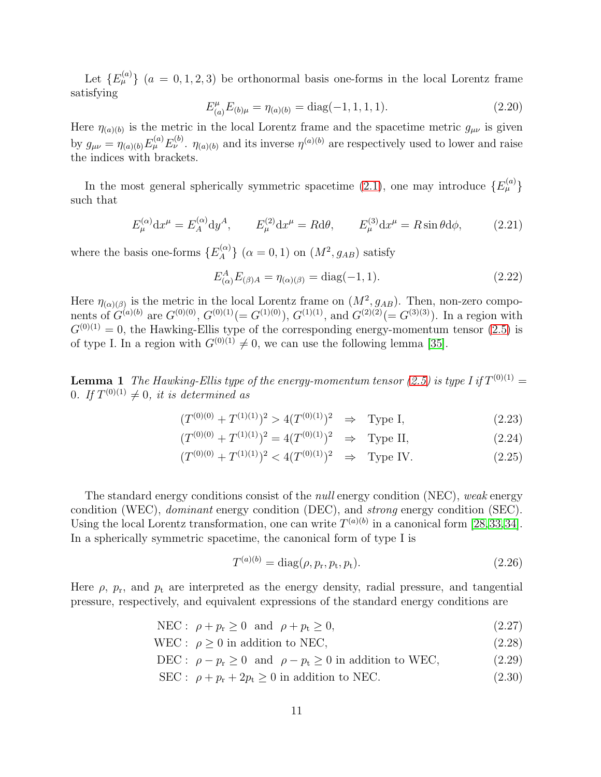Let  ${E}^{(a)}_{\mu}$  ( $a = 0, 1, 2, 3$ ) be orthonormal basis one-forms in the local Lorentz frame satisfying

$$
E_{(a)}^{\mu} E_{(b)\mu} = \eta_{(a)(b)} = \text{diag}(-1, 1, 1, 1). \tag{2.20}
$$

Here  $\eta_{(a)(b)}$  is the metric in the local Lorentz frame and the spacetime metric  $g_{\mu\nu}$  is given by  $g_{\mu\nu} = \eta_{(a)(b)} E^{(a)}_{\mu} E^{(b)}_{\nu}$ .  $\eta_{(a)(b)}$  and its inverse  $\eta^{(a)(b)}$  are respectively used to lower and raise the indices with brackets.

In the most general spherically symmetric spacetime [\(2.1\)](#page-5-2), one may introduce  $\{E_{\mu}^{(a)}\}$ such that

$$
E_{\mu}^{(\alpha)} \mathrm{d}x^{\mu} = E_A^{(\alpha)} \mathrm{d}y^A, \qquad E_{\mu}^{(2)} \mathrm{d}x^{\mu} = R \mathrm{d}\theta, \qquad E_{\mu}^{(3)} \mathrm{d}x^{\mu} = R \sin \theta \mathrm{d}\phi, \tag{2.21}
$$

where the basis one-forms  $\{E_A^{(\alpha)}\}$  ${a(\alpha) \choose A}$   $(\alpha = 0, 1)$  on  $(M^2, g_{AB})$  satisfy

<span id="page-11-1"></span>
$$
E_{(\alpha)}^{A} E_{(\beta)A} = \eta_{(\alpha)(\beta)} = \text{diag}(-1, 1). \tag{2.22}
$$

Here  $\eta_{(\alpha)(\beta)}$  is the metric in the local Lorentz frame on  $(M^2, g_{AB})$ . Then, non-zero components of  $G^{(a)(b)}$  are  $G^{(0)(0)}$ ,  $G^{(0)(1)} (= G^{(1)(0)})$ ,  $G^{(1)(1)}$ , and  $G^{(2)(2)} (= G^{(3)(3)})$ . In a region with  $G^{(0)(1)} = 0$ , the Hawking-Ellis type of the corresponding energy-momentum tensor [\(2.5\)](#page-5-4) is of type I. In a region with  $G^{(0)(1)} \neq 0$ , we can use the following lemma [\[35\]](#page-54-6).

**Lemma 1** The Hawking-Ellis type of the energy-momentum tensor [\(2.5\)](#page-5-4) is type I if  $T^{(0)(1)}$  = 0. If  $T^{(0)(1)} \neq 0$ , it is determined as

$$
(T^{(0)(0)} + T^{(1)(1)})^2 > 4(T^{(0)(1)})^2 \Rightarrow \text{Type I}, \tag{2.23}
$$

$$
(T^{(0)(0)} + T^{(1)(1)})^2 = 4(T^{(0)(1)})^2 \Rightarrow \text{Type II}, \tag{2.24}
$$

$$
(T^{(0)(0)} + T^{(1)(1)})^2 < 4(T^{(0)(1)})^2 \quad \Rightarrow \quad \text{Type IV.} \tag{2.25}
$$

The standard energy conditions consist of the *null* energy condition (NEC), *weak* energy condition (WEC), *dominant* energy condition (DEC), and *strong* energy condition (SEC). Using the local Lorentz transformation, one can write  $T^{(a)(b)}$  in a canonical form [\[28,](#page-53-16)[33,](#page-54-4)[34\]](#page-54-5). In a spherically symmetric spacetime, the canonical form of type I is

<span id="page-11-3"></span><span id="page-11-2"></span><span id="page-11-0"></span>
$$
T^{(a)(b)} = \text{diag}(\rho, p_{\rm r}, p_{\rm t}, p_{\rm t}).\tag{2.26}
$$

Here  $\rho$ ,  $p_r$ , and  $p_t$  are interpreted as the energy density, radial pressure, and tangential pressure, respectively, and equivalent expressions of the standard energy conditions are

$$
NEC: \ \rho + p_r \ge 0 \ \text{ and } \ \rho + p_t \ge 0,
$$
\n
$$
(2.27)
$$

WEC :  $\rho \ge 0$  in addition to NEC, (2.28)

DEC :  $\rho - p_r \ge 0$  and  $\rho - p_t \ge 0$  in addition to WEC, (2.29)

$$
SEC: \rho + p_{r} + 2p_{t} \ge 0 \text{ in addition to NEC.}
$$
 (2.30)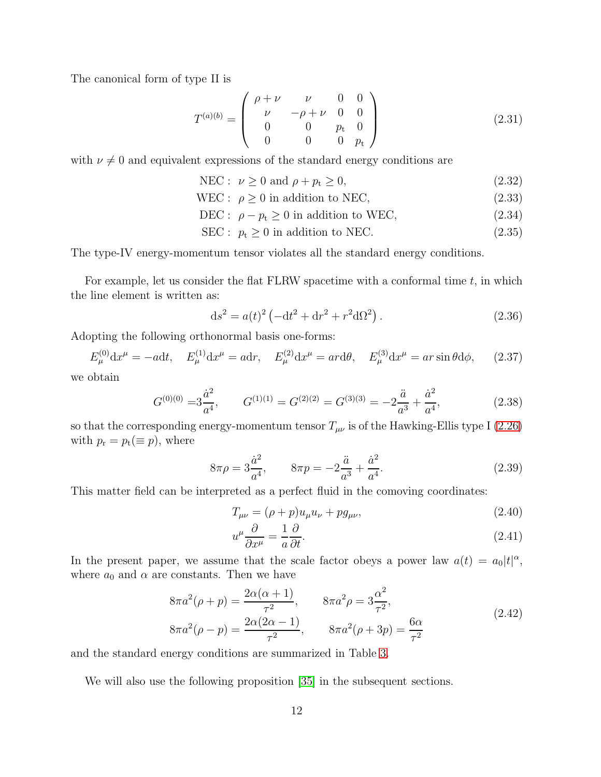The canonical form of type II is

$$
T^{(a)(b)} = \begin{pmatrix} \rho + \nu & \nu & 0 & 0\\ \nu & -\rho + \nu & 0 & 0\\ 0 & 0 & p_{t} & 0\\ 0 & 0 & 0 & p_{t} \end{pmatrix}
$$
 (2.31)

with  $\nu \neq 0$  and equivalent expressions of the standard energy conditions are

<span id="page-12-2"></span>
$$
NEC: \nu \ge 0 \text{ and } \rho + p_t \ge 0,
$$
\n
$$
(2.32)
$$

$$
WEC: \ \rho \ge 0 \text{ in addition to NEC}, \tag{2.33}
$$

$$
\text{DEC: } \rho - p_t \ge 0 \text{ in addition to WEC}, \tag{2.34}
$$

<span id="page-12-3"></span>
$$
SEC: pt \ge 0 in addition to NEC.
$$
 (2.35)

The type-IV energy-momentum tensor violates all the standard energy conditions.

For example, let us consider the flat FLRW spacetime with a conformal time  $t$ , in which the line element is written as:

<span id="page-12-0"></span>
$$
ds^{2} = a(t)^{2} \left(-dt^{2} + dr^{2} + r^{2} d\Omega^{2}\right).
$$
 (2.36)

Adopting the following orthonormal basis one-forms:

 $E_{\mu}^{(0)} dx^{\mu} = -a dt$ ,  $E_{\mu}^{(1)} dx^{\mu} = a dr$ ,  $E_{\mu}^{(2)} dx^{\mu} = ar d\theta$ ,  $E_{\mu}^{(3)} dx^{\mu} = ar \sin \theta d\phi$ , (2.37)

we obtain

$$
G^{(0)(0)} = 3\frac{\dot{a}^2}{a^4}, \qquad G^{(1)(1)} = G^{(2)(2)} = G^{(3)(3)} = -2\frac{\ddot{a}}{a^3} + \frac{\dot{a}^2}{a^4},\tag{2.38}
$$

so that the corresponding energy-momentum tensor  $T_{\mu\nu}$  is of the Hawking-Ellis type I [\(2.26\)](#page-11-0) with  $p_{\rm r} = p_{\rm t} (\equiv p)$ , where

$$
8\pi \rho = 3\frac{\dot{a}^2}{a^4}, \qquad 8\pi p = -2\frac{\ddot{a}}{a^3} + \frac{\dot{a}^2}{a^4}.
$$
 (2.39)

This matter field can be interpreted as a perfect fluid in the comoving coordinates:

$$
T_{\mu\nu} = (\rho + p)u_{\mu}u_{\nu} + pg_{\mu\nu}, \qquad (2.40)
$$

<span id="page-12-1"></span>
$$
u^{\mu}\frac{\partial}{\partial x^{\mu}} = \frac{1}{a}\frac{\partial}{\partial t}.
$$
\n(2.41)

In the present paper, we assume that the scale factor obeys a power law  $a(t) = a_0|t|^{\alpha}$ , where  $a_0$  and  $\alpha$  are constants. Then we have

$$
8\pi a^2(\rho + p) = \frac{2\alpha(\alpha + 1)}{\tau^2}, \qquad 8\pi a^2 \rho = 3\frac{\alpha^2}{\tau^2},
$$
  
\n
$$
8\pi a^2(\rho - p) = \frac{2\alpha(2\alpha - 1)}{\tau^2}, \qquad 8\pi a^2(\rho + 3p) = \frac{6\alpha}{\tau^2}
$$
\n(2.42)

and the standard energy conditions are summarized in Table [3.](#page-13-1)

We will also use the following proposition [\[35\]](#page-54-6) in the subsequent sections.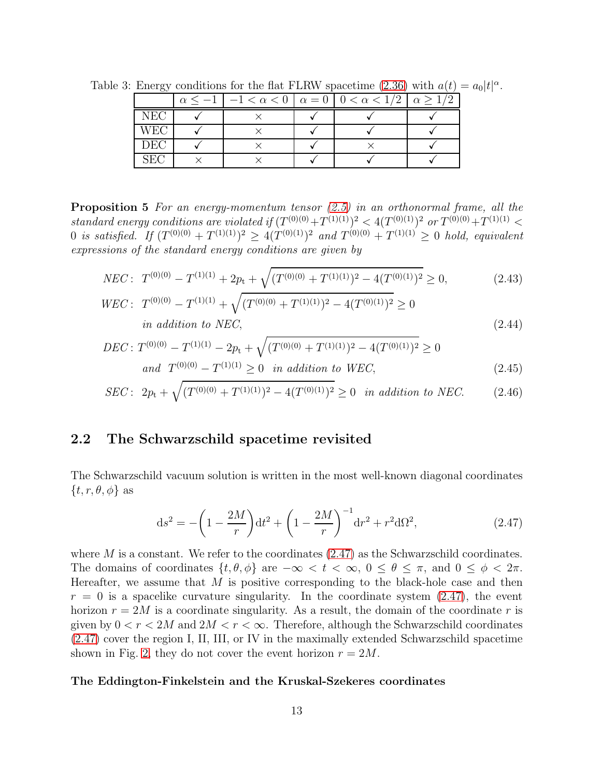<span id="page-13-1"></span>

|            |  | $\leq -1$   $-1 < \alpha < 0$   $\alpha = 0$   $0 < \alpha < 1/2$   $\alpha > 1$ |  |
|------------|--|----------------------------------------------------------------------------------|--|
| <b>NEC</b> |  |                                                                                  |  |
| <b>WEC</b> |  |                                                                                  |  |
| DEC        |  |                                                                                  |  |
| SEC        |  |                                                                                  |  |

Table 3: Energy conditions for the flat FLRW spacetime [\(2.36\)](#page-12-0) with  $a(t) = a_0|t|^{\alpha}$ .

Proposition 5 *For an energy-momentum tensor [\(2.5\)](#page-5-4) in an orthonormal frame, all the standard energy conditions are violated if*  $(T^{(0)(0)}+T^{(1)(1)})^2 < 4(T^{(0)(1)})^2$  *or*  $T^{(0)(0)}+T^{(1)(1)} <$  $0$  *is satisfied.* If  $(T^{(0)(0)} + T^{(1)(1)})^2 \ge 4(T^{(0)(1)})^2$  and  $T^{(0)(0)} + T^{(1)(1)} \ge 0$  hold, equivalent *expressions of the standard energy conditions are given by*

$$
NEC: T^{(0)(0)} - T^{(1)(1)} + 2p_t + \sqrt{(T^{(0)(0)} + T^{(1)(1)})^2 - 4(T^{(0)(1)})^2} \ge 0,
$$
\n(2.43)

$$
WEC: T^{(0)(0)} - T^{(1)(1)} + \sqrt{(T^{(0)(0)} + T^{(1)(1)})^2 - 4(T^{(0)(1)})^2} \ge 0
$$
  
in addition to NEC, (2.44)

$$
DEC: T^{(0)(0)} - T^{(1)(1)} - 2p_t + \sqrt{(T^{(0)(0)} + T^{(1)(1)})^2 - 4(T^{(0)(1)})^2} \ge 0
$$
  
and  $T^{(0)(0)} - T^{(1)(1)} \ge 0$  in addition to WEC, (2.45)

$$
SEC: 2p_t + \sqrt{(T^{(0)(0)} + T^{(1)(1)})^2 - 4(T^{(0)(1)})^2} \ge 0 \text{ in addition to NEC.}
$$
 (2.46)

## <span id="page-13-0"></span>2.2 The Schwarzschild spacetime revisited

The Schwarzschild vacuum solution is written in the most well-known diagonal coordinates  $\{t, r, \theta, \phi\}$  as

<span id="page-13-2"></span>
$$
ds^{2} = -\left(1 - \frac{2M}{r}\right)dt^{2} + \left(1 - \frac{2M}{r}\right)^{-1}dr^{2} + r^{2}d\Omega^{2},
$$
\n(2.47)

where  $M$  is a constant. We refer to the coordinates  $(2.47)$  as the Schwarzschild coordinates. The domains of coordinates  $\{t, \theta, \phi\}$  are  $-\infty < t < \infty$ ,  $0 \le \theta \le \pi$ , and  $0 \le \phi < 2\pi$ . Hereafter, we assume that  $M$  is positive corresponding to the black-hole case and then  $r = 0$  is a spacelike curvature singularity. In the coordinate system  $(2.47)$ , the event horizon  $r = 2M$  is a coordinate singularity. As a result, the domain of the coordinate r is given by  $0 < r < 2M$  and  $2M < r < \infty$ . Therefore, although the Schwarzschild coordinates [\(2.47\)](#page-13-2) cover the region I, II, III, or IV in the maximally extended Schwarzschild spacetime shown in Fig. [2,](#page-14-0) they do not cover the event horizon  $r = 2M$ .

#### The Eddington-Finkelstein and the Kruskal-Szekeres coordinates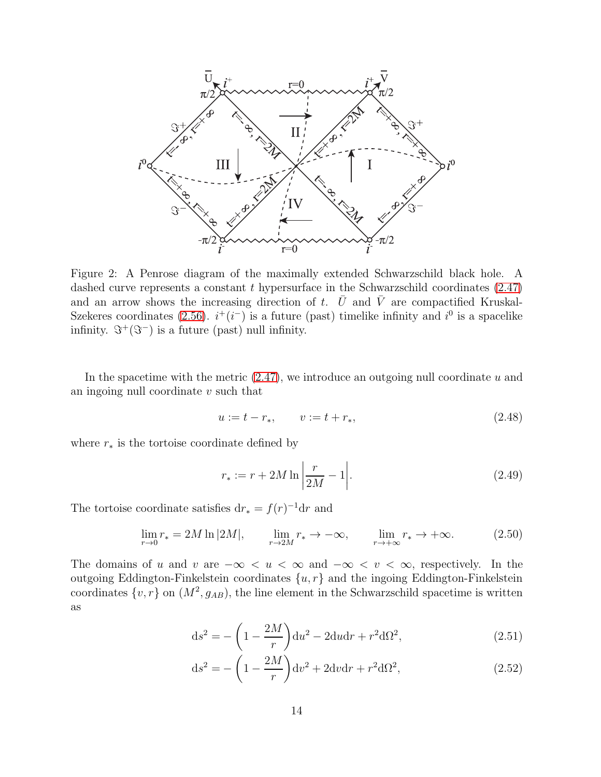

<span id="page-14-0"></span>Figure 2: A Penrose diagram of the maximally extended Schwarzschild black hole. A dashed curve represents a constant  $t$  hypersurface in the Schwarzschild coordinates  $(2.47)$ and an arrow shows the increasing direction of t.  $\overline{U}$  and  $\overline{V}$  are compactified Kruskal-Szekeres coordinates [\(2.56\)](#page-15-0).  $i^+(i^-)$  is a future (past) timelike infinity and  $i^0$  is a spacelike infinity.  $\Im^+(\Im^-)$  is a future (past) null infinity.

In the spacetime with the metric  $(2.47)$ , we introduce an outgoing null coordinate u and an ingoing null coordinate  $v$  such that

<span id="page-14-3"></span>
$$
u := t - r_*, \qquad v := t + r_*, \tag{2.48}
$$

where  $r_*$  is the tortoise coordinate defined by

<span id="page-14-4"></span>
$$
r_* := r + 2M \ln \left| \frac{r}{2M} - 1 \right|.
$$
 (2.49)

The tortoise coordinate satisfies  $dr_* = f(r)^{-1}dr$  and

$$
\lim_{r \to 0} r_* = 2M \ln |2M|, \qquad \lim_{r \to 2M} r_* \to -\infty, \qquad \lim_{r \to +\infty} r_* \to +\infty. \tag{2.50}
$$

The domains of u and v are  $-\infty < u < \infty$  and  $-\infty < v < \infty$ , respectively. In the outgoing Eddington-Finkelstein coordinates  $\{u, r\}$  and the ingoing Eddington-Finkelstein coordinates  $\{v, r\}$  on  $(M^2, g_{AB})$ , the line element in the Schwarzschild spacetime is written as

<span id="page-14-1"></span>
$$
ds^{2} = -\left(1 - \frac{2M}{r}\right)du^{2} - 2du dr + r^{2}d\Omega^{2},
$$
\n(2.51)

<span id="page-14-2"></span>
$$
ds^{2} = -\left(1 - \frac{2M}{r}\right)dv^{2} + 2dvdr + r^{2}d\Omega^{2},
$$
\n(2.52)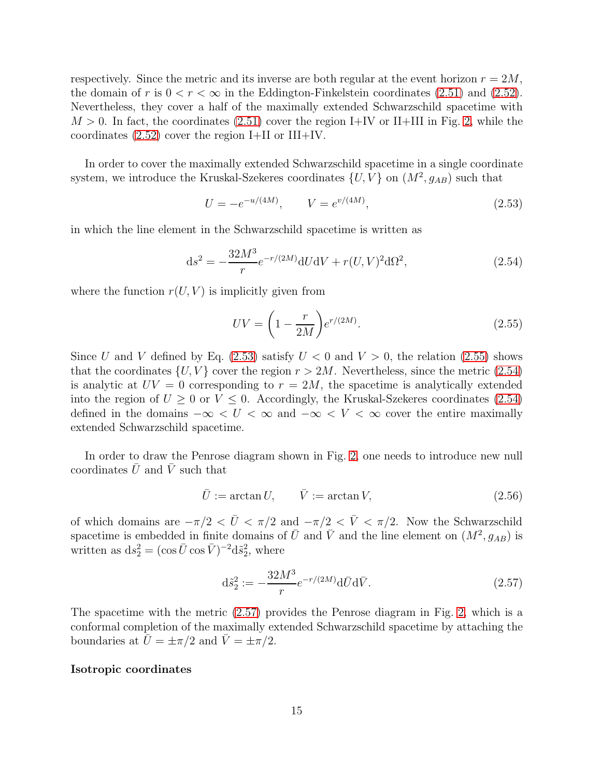respectively. Since the metric and its inverse are both regular at the event horizon  $r = 2M$ , the domain of r is  $0 < r < \infty$  in the Eddington-Finkelstein coordinates [\(2.51\)](#page-14-1) and [\(2.52\)](#page-14-2). Nevertheless, they cover a half of the maximally extended Schwarzschild spacetime with  $M > 0$ . In fact, the coordinates [\(2.51\)](#page-14-1) cover the region I+IV or II+III in Fig. [2,](#page-14-0) while the coordinates  $(2.52)$  cover the region I+II or III+IV.

In order to cover the maximally extended Schwarzschild spacetime in a single coordinate system, we introduce the Kruskal-Szekeres coordinates  $\{U,V\}$  on  $(M^2,g_{AB})$  such that

<span id="page-15-1"></span>
$$
U = -e^{-u/(4M)}, \qquad V = e^{v/(4M)}, \tag{2.53}
$$

in which the line element in the Schwarzschild spacetime is written as

$$
ds^{2} = -\frac{32M^{3}}{r}e^{-r/(2M)}dUdV + r(U,V)^{2}d\Omega^{2},
$$
\n(2.54)

where the function  $r(U, V)$  is implicitly given from

<span id="page-15-3"></span><span id="page-15-2"></span>
$$
UV = \left(1 - \frac{r}{2M}\right)e^{r/(2M)}.\tag{2.55}
$$

Since U and V defined by Eq.  $(2.53)$  satisfy  $U < 0$  and  $V > 0$ , the relation  $(2.55)$  shows that the coordinates  $\{U, V\}$  cover the region  $r > 2M$ . Nevertheless, since the metric [\(2.54\)](#page-15-3) is analytic at  $UV = 0$  corresponding to  $r = 2M$ , the spacetime is analytically extended into the region of  $U \geq 0$  or  $V \leq 0$ . Accordingly, the Kruskal-Szekeres coordinates [\(2.54\)](#page-15-3) defined in the domains  $-\infty < U < \infty$  and  $-\infty < V < \infty$  cover the entire maximally extended Schwarzschild spacetime.

In order to draw the Penrose diagram shown in Fig. [2,](#page-14-0) one needs to introduce new null coordinates  $\bar{U}$  and  $\bar{V}$  such that

<span id="page-15-0"></span>
$$
\bar{U} := \arctan U, \qquad \bar{V} := \arctan V, \tag{2.56}
$$

of which domains are  $-\pi/2 < \bar{U} < \pi/2$  and  $-\pi/2 < \bar{V} < \pi/2$ . Now the Schwarzschild spacetime is embedded in finite domains of  $\bar{U}$  and  $\bar{V}$  and the line element on  $(M^2, g_{AB})$  is written as  $ds_2^2 = (\cos \bar{U} \cos \bar{V})^{-2} d\tilde{s}_2^2$ , where

<span id="page-15-4"></span>
$$
d\tilde{s}_2^2 := -\frac{32M^3}{r} e^{-r/(2M)} d\bar{U} d\bar{V}.
$$
 (2.57)

The spacetime with the metric [\(2.57\)](#page-15-4) provides the Penrose diagram in Fig. [2,](#page-14-0) which is a conformal completion of the maximally extended Schwarzschild spacetime by attaching the boundaries at  $\bar{U} = \pm \pi/2$  and  $\bar{V} = \pm \pi/2$ .

#### Isotropic coordinates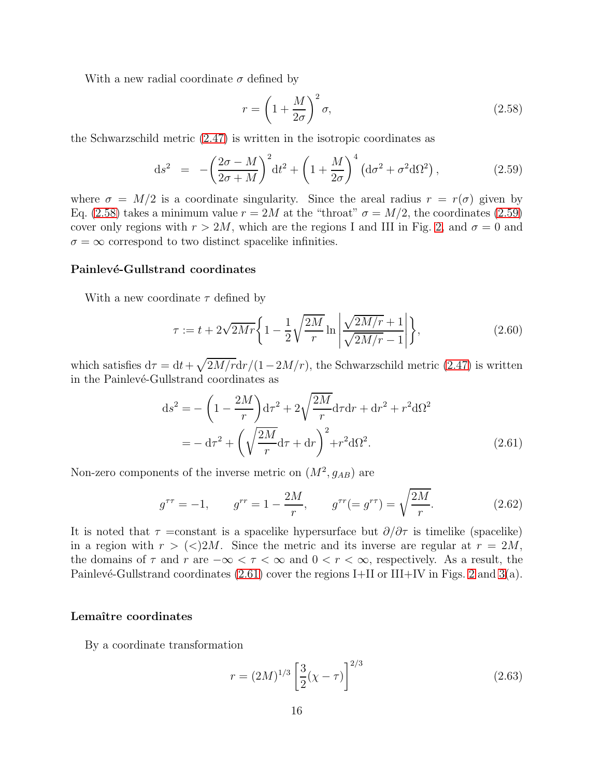With a new radial coordinate  $\sigma$  defined by

<span id="page-16-0"></span>
$$
r = \left(1 + \frac{M}{2\sigma}\right)^2 \sigma,\tag{2.58}
$$

the Schwarzschild metric [\(2.47\)](#page-13-2) is written in the isotropic coordinates as

<span id="page-16-1"></span>
$$
\mathrm{d}s^2 = -\left(\frac{2\sigma - M}{2\sigma + M}\right)^2 \mathrm{d}t^2 + \left(1 + \frac{M}{2\sigma}\right)^4 \left(\mathrm{d}\sigma^2 + \sigma^2 \mathrm{d}\Omega^2\right),\tag{2.59}
$$

where  $\sigma = M/2$  is a coordinate singularity. Since the areal radius  $r = r(\sigma)$  given by Eq. [\(2.58\)](#page-16-0) takes a minimum value  $r = 2M$  at the "throat"  $\sigma = M/2$ , the coordinates [\(2.59\)](#page-16-1) cover only regions with  $r > 2M$ , which are the regions I and III in Fig. [2,](#page-14-0) and  $\sigma = 0$  and  $\sigma = \infty$  correspond to two distinct spacelike infinities.

#### Painlevé-Gullstrand coordinates

With a new coordinate  $\tau$  defined by

<span id="page-16-4"></span>
$$
\tau := t + 2\sqrt{2Mr} \left\{ 1 - \frac{1}{2} \sqrt{\frac{2M}{r}} \ln \left| \frac{\sqrt{2M/r} + 1}{\sqrt{2M/r} - 1} \right| \right\},\tag{2.60}
$$

which satisfies  $d\tau = dt + \sqrt{2M/r}dr/(1-2M/r)$ , the Schwarzschild metric [\(2.47\)](#page-13-2) is written in the Painlevé-Gullstrand coordinates as

<span id="page-16-2"></span>
$$
ds^{2} = -\left(1 - \frac{2M}{r}\right) d\tau^{2} + 2\sqrt{\frac{2M}{r}} d\tau dr + dr^{2} + r^{2} d\Omega^{2}
$$

$$
= -d\tau^{2} + \left(\sqrt{\frac{2M}{r}} d\tau + dr\right)^{2} + r^{2} d\Omega^{2}.
$$
(2.61)

Non-zero components of the inverse metric on  $(M^2, g_{AB})$  are

$$
g^{\tau\tau} = -1, \qquad g^{rr} = 1 - \frac{2M}{r}, \qquad g^{\tau r} = g^{r\tau} = \sqrt{\frac{2M}{r}}.
$$
 (2.62)

It is noted that  $\tau = constant$  is a spacelike hypersurface but  $\partial/\partial \tau$  is timelike (spacelike) in a region with  $r > \langle \langle \rangle 2M$ . Since the metric and its inverse are regular at  $r = 2M$ , the domains of  $\tau$  and  $r$  are  $-\infty < \tau < \infty$  and  $0 < r < \infty$ , respectively. As a result, the Painlevé-Gullstrand coordinates  $(2.61)$  cover the regions I+II or III+IV in Figs. [2](#page-14-0) and [3\(](#page-17-0)a).

#### Lemaître coordinates

By a coordinate transformation

<span id="page-16-3"></span>
$$
r = (2M)^{1/3} \left[ \frac{3}{2} (\chi - \tau) \right]^{2/3}
$$
 (2.63)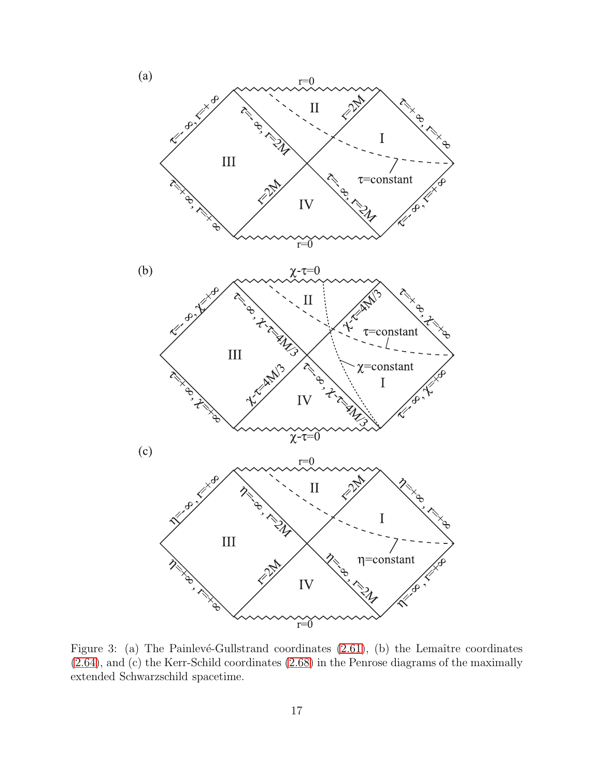

<span id="page-17-0"></span>Figure 3: (a) The Painlevé-Gullstrand coordinates  $(2.61)$ , (b) the Lemaître coordinates [\(2.64\)](#page-18-0), and (c) the Kerr-Schild coordinates [\(2.68\)](#page-18-1) in the Penrose diagrams of the maximally extended Schwarzschild spacetime.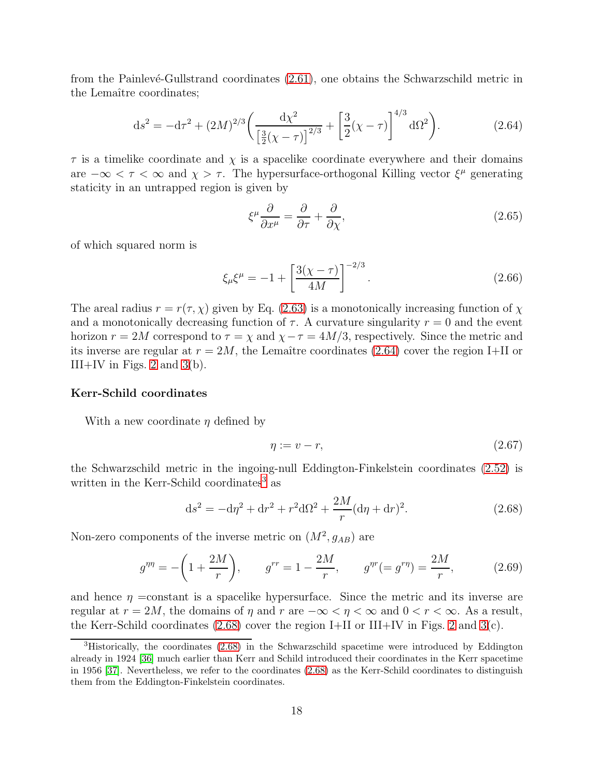from the Painlevé-Gullstrand coordinates  $(2.61)$ , one obtains the Schwarzschild metric in the Lemaître coordinates;

<span id="page-18-0"></span>
$$
ds^{2} = -d\tau^{2} + (2M)^{2/3} \left( \frac{d\chi^{2}}{\left[\frac{3}{2}(\chi - \tau)\right]^{2/3}} + \left[\frac{3}{2}(\chi - \tau)\right]^{4/3} d\Omega^{2} \right).
$$
 (2.64)

 $\tau$  is a timelike coordinate and  $\chi$  is a spacelike coordinate everywhere and their domains are  $-\infty < \tau < \infty$  and  $\chi > \tau$ . The hypersurface-orthogonal Killing vector  $\xi^{\mu}$  generating staticity in an untrapped region is given by

$$
\xi^{\mu}\frac{\partial}{\partial x^{\mu}} = \frac{\partial}{\partial \tau} + \frac{\partial}{\partial \chi},\tag{2.65}
$$

of which squared norm is

$$
\xi_{\mu}\xi^{\mu} = -1 + \left[\frac{3(\chi - \tau)}{4M}\right]^{-2/3}.
$$
\n(2.66)

The areal radius  $r = r(\tau, \chi)$  given by Eq. [\(2.63\)](#page-16-3) is a monotonically increasing function of  $\chi$ and a monotonically decreasing function of  $\tau$ . A curvature singularity  $r = 0$  and the event horizon  $r = 2M$  correspond to  $\tau = \chi$  and  $\chi - \tau = 4M/3$ , respectively. Since the metric and its inverse are regular at  $r = 2M$ , the Lemaître coordinates [\(2.64\)](#page-18-0) cover the region I+II or III+IV in Figs. [2](#page-14-0) and  $3(b)$ .

#### Kerr-Schild coordinates

With a new coordinate  $\eta$  defined by

<span id="page-18-3"></span>
$$
\eta := v - r,\tag{2.67}
$$

the Schwarzschild metric in the ingoing-null Eddington-Finkelstein coordinates [\(2.52\)](#page-14-2) is written in the Kerr-Schild coordinates<sup>[3](#page-18-2)</sup> as

<span id="page-18-1"></span>
$$
ds^{2} = -d\eta^{2} + dr^{2} + r^{2}d\Omega^{2} + \frac{2M}{r}(d\eta + dr)^{2}.
$$
 (2.68)

Non-zero components of the inverse metric on  $(M^2, g_{AB})$  are

$$
g^{\eta\eta} = -\left(1 + \frac{2M}{r}\right), \qquad g^{rr} = 1 - \frac{2M}{r}, \qquad g^{\eta r} = g^{r\eta} = \frac{2M}{r}, \tag{2.69}
$$

and hence  $\eta$  =constant is a spacelike hypersurface. Since the metric and its inverse are regular at  $r = 2M$ , the domains of  $\eta$  and  $r$  are  $-\infty < \eta < \infty$  and  $0 < r < \infty$ . As a result, the Kerr-Schild coordinates  $(2.68)$  cover the region I+II or III+IV in Figs. [2](#page-14-0) and [3\(](#page-17-0)c).

<span id="page-18-2"></span><sup>3</sup>Historically, the coordinates [\(2.68\)](#page-18-1) in the Schwarzschild spacetime were introduced by Eddington already in 1924 [\[36\]](#page-54-7) much earlier than Kerr and Schild introduced their coordinates in the Kerr spacetime in 1956 [\[37\]](#page-54-8). Nevertheless, we refer to the coordinates [\(2.68\)](#page-18-1) as the Kerr-Schild coordinates to distinguish them from the Eddington-Finkelstein coordinates.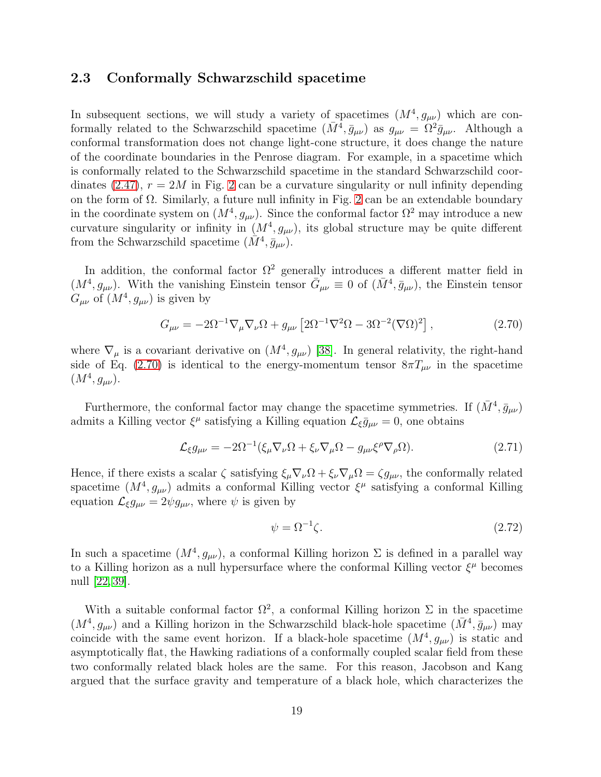### <span id="page-19-0"></span>2.3 Conformally Schwarzschild spacetime

In subsequent sections, we will study a variety of spacetimes  $(M^4, g_{\mu\nu})$  which are conformally related to the Schwarzschild spacetime  $(\bar{M}^4, \bar{g}_{\mu\nu})$  as  $g_{\mu\nu} = \Omega^2 \bar{g}_{\mu\nu}$ . Although a conformal transformation does not change light-cone structure, it does change the nature of the coordinate boundaries in the Penrose diagram. For example, in a spacetime which is conformally related to the Schwarzschild spacetime in the standard Schwarzschild coor-dinates [\(2.47\)](#page-13-2),  $r = 2M$  $r = 2M$  $r = 2M$  in Fig. 2 can be a curvature singularity or null infinity depending on the form of  $\Omega$ . Similarly, a future null infinity in Fig. [2](#page-14-0) can be an extendable boundary in the coordinate system on  $(M^4, g_{\mu\nu})$ . Since the conformal factor  $\Omega^2$  may introduce a new curvature singularity or infinity in  $(M^4, g_{\mu\nu})$ , its global structure may be quite different from the Schwarzschild spacetime  $(\tilde{M}^4, \bar{g}_{\mu\nu})$ .

In addition, the conformal factor  $\Omega^2$  generally introduces a different matter field in  $(M^4, g_{\mu\nu})$ . With the vanishing Einstein tensor  $\bar{G}_{\mu\nu} \equiv 0$  of  $(\bar{M}^4, \bar{g}_{\mu\nu})$ , the Einstein tensor  $G_{\mu\nu}$  of  $(M^4, g_{\mu\nu})$  is given by

$$
G_{\mu\nu} = -2\Omega^{-1}\nabla_{\mu}\nabla_{\nu}\Omega + g_{\mu\nu}\left[2\Omega^{-1}\nabla^2\Omega - 3\Omega^{-2}(\nabla\Omega)^2\right],\tag{2.70}
$$

where  $\nabla_{\mu}$  is a covariant derivative on  $(M^4, g_{\mu\nu})$  [\[38\]](#page-54-9). In general relativity, the right-hand side of Eq. [\(2.70\)](#page-19-1) is identical to the energy-momentum tensor  $8\pi T_{\mu\nu}$  in the spacetime  $(M^4, g_{\mu\nu}).$ 

Furthermore, the conformal factor may change the spacetime symmetries. If  $(\bar{M}^4, \bar{g}_{\mu\nu})$ admits a Killing vector  $\xi^{\mu}$  satisfying a Killing equation  $\mathcal{L}_{\xi}\bar{g}_{\mu\nu}=0$ , one obtains

$$
\mathcal{L}_{\xi} g_{\mu\nu} = -2\Omega^{-1} (\xi_{\mu} \nabla_{\nu} \Omega + \xi_{\nu} \nabla_{\mu} \Omega - g_{\mu\nu} \xi^{\rho} \nabla_{\rho} \Omega). \tag{2.71}
$$

Hence, if there exists a scalar  $\zeta$  satisfying  $\xi_\mu \nabla_\nu \Omega + \xi_\nu \nabla_\mu \Omega = \zeta g_{\mu\nu}$ , the conformally related spacetime  $(M^4, g_{\mu\nu})$  admits a conformal Killing vector  $\xi^{\mu}$  satisfying a conformal Killing equation  $\mathcal{L}_{\xi}g_{\mu\nu} = 2\psi g_{\mu\nu}$ , where  $\psi$  is given by

<span id="page-19-1"></span>
$$
\psi = \Omega^{-1} \zeta. \tag{2.72}
$$

In such a spacetime  $(M^4, g_{\mu\nu})$ , a conformal Killing horizon  $\Sigma$  is defined in a parallel way to a Killing horizon as a null hypersurface where the conformal Killing vector  $\xi^{\mu}$  becomes null [\[22,](#page-53-10) [39\]](#page-54-10).

With a suitable conformal factor  $\Omega^2$ , a conformal Killing horizon  $\Sigma$  in the spacetime  $(M^4, g_{\mu\nu})$  and a Killing horizon in the Schwarzschild black-hole spacetime  $(\bar{M}^4, \bar{g}_{\mu\nu})$  may coincide with the same event horizon. If a black-hole spacetime  $(M^4, g_{\mu\nu})$  is static and asymptotically flat, the Hawking radiations of a conformally coupled scalar field from these two conformally related black holes are the same. For this reason, Jacobson and Kang argued that the surface gravity and temperature of a black hole, which characterizes the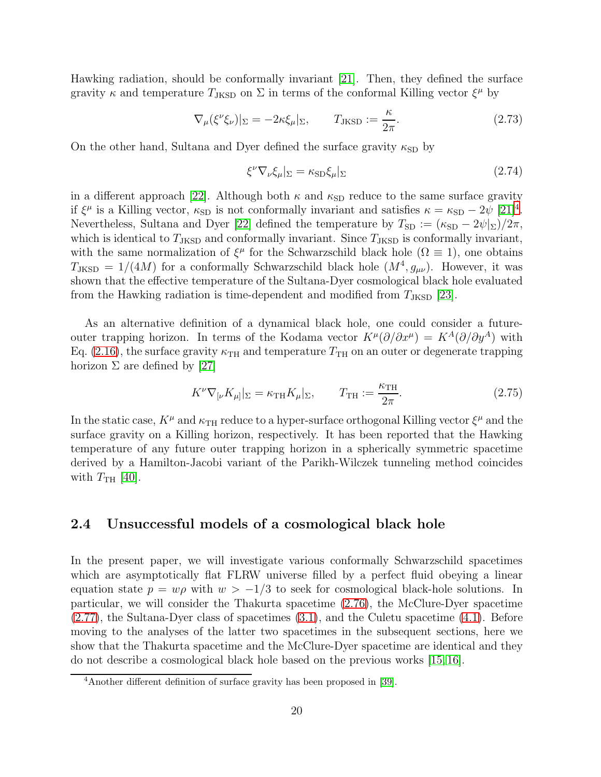Hawking radiation, should be conformally invariant [\[21\]](#page-53-9). Then, they defined the surface gravity  $\kappa$  and temperature  $T_{\text{JKSD}}$  on  $\Sigma$  in terms of the conformal Killing vector  $\xi^{\mu}$  by

$$
\nabla_{\mu}(\xi^{\nu}\xi_{\nu})|_{\Sigma} = -2\kappa\xi_{\mu}|_{\Sigma}, \qquad T_{\text{JKSD}} := \frac{\kappa}{2\pi}.
$$
 (2.73)

On the other hand, Sultana and Dyer defined the surface gravity  $\kappa_{\rm SD}$  by

<span id="page-20-2"></span>
$$
\xi^{\nu}\nabla_{\nu}\xi_{\mu}|_{\Sigma} = \kappa_{\text{SD}}\xi_{\mu}|_{\Sigma} \tag{2.74}
$$

in a different approach [\[22\]](#page-53-10). Although both  $\kappa$  and  $\kappa_{SD}$  reduce to the same surface gravity if  $\xi^{\mu}$  is a Killing vector,  $\kappa_{\text{SD}}$  is not conformally invariant and satisfies  $\kappa = \kappa_{\text{SD}} - 2\psi$  [\[21\]](#page-53-9)<sup>[4](#page-20-1)</sup>. Nevertheless, Sultana and Dyer [\[22\]](#page-53-10) defined the temperature by  $T_{SD} := (\kappa_{SD} - 2\psi|_{\Sigma})/2\pi$ , which is identical to  $T_{\text{JKSD}}$  and conformally invariant. Since  $T_{\text{JKSD}}$  is conformally invariant, with the same normalization of  $\xi^{\mu}$  for the Schwarzschild black hole ( $\Omega \equiv 1$ ), one obtains  $T_{\text{JKSD}} = 1/(4M)$  for a conformally Schwarzschild black hole  $(M^4, g_{\mu\nu})$ . However, it was shown that the effective temperature of the Sultana-Dyer cosmological black hole evaluated from the Hawking radiation is time-dependent and modified from  $T_{\text{JKSD}}$  [\[23\]](#page-53-11).

As an alternative definition of a dynamical black hole, one could consider a futureouter trapping horizon. In terms of the Kodama vector  $K^{\mu}(\partial/\partial x^{\mu}) = K^{A}(\partial/\partial y^{A})$  with Eq. [\(2.16\)](#page-9-1), the surface gravity  $\kappa_{TH}$  and temperature  $T_{TH}$  on an outer or degenerate trapping horizon  $\Sigma$  are defined by [\[27\]](#page-53-15)

<span id="page-20-3"></span>
$$
K^{\nu}\nabla_{\left[\nu}K_{\mu\right]}\vert_{\Sigma} = \kappa_{\text{TH}}K_{\mu}\vert_{\Sigma}, \qquad T_{\text{TH}} := \frac{\kappa_{\text{TH}}}{2\pi}.
$$
 (2.75)

In the static case,  $K^{\mu}$  and  $\kappa_{TH}$  reduce to a hyper-surface orthogonal Killing vector  $\xi^{\mu}$  and the surface gravity on a Killing horizon, respectively. It has been reported that the Hawking temperature of any future outer trapping horizon in a spherically symmetric spacetime derived by a Hamilton-Jacobi variant of the Parikh-Wilczek tunneling method coincides with  $T_{\text{TH}}$  [\[40\]](#page-54-11).

## <span id="page-20-0"></span>2.4 Unsuccessful models of a cosmological black hole

In the present paper, we will investigate various conformally Schwarzschild spacetimes which are asymptotically flat FLRW universe filled by a perfect fluid obeying a linear equation state  $p = w\rho$  with  $w > -1/3$  to seek for cosmological black-hole solutions. In particular, we will consider the Thakurta spacetime [\(2.76\)](#page-21-1), the McClure-Dyer spacetime [\(2.77\)](#page-22-3), the Sultana-Dyer class of spacetimes [\(3.1\)](#page-22-4), and the Culetu spacetime [\(4.1\)](#page-36-1). Before moving to the analyses of the latter two spacetimes in the subsequent sections, here we show that the Thakurta spacetime and the McClure-Dyer spacetime are identical and they do not describe a cosmological black hole based on the previous works [\[15,](#page-53-3) [16\]](#page-53-4).

<span id="page-20-1"></span><sup>4</sup>Another different definition of surface gravity has been proposed in [\[39\]](#page-54-10).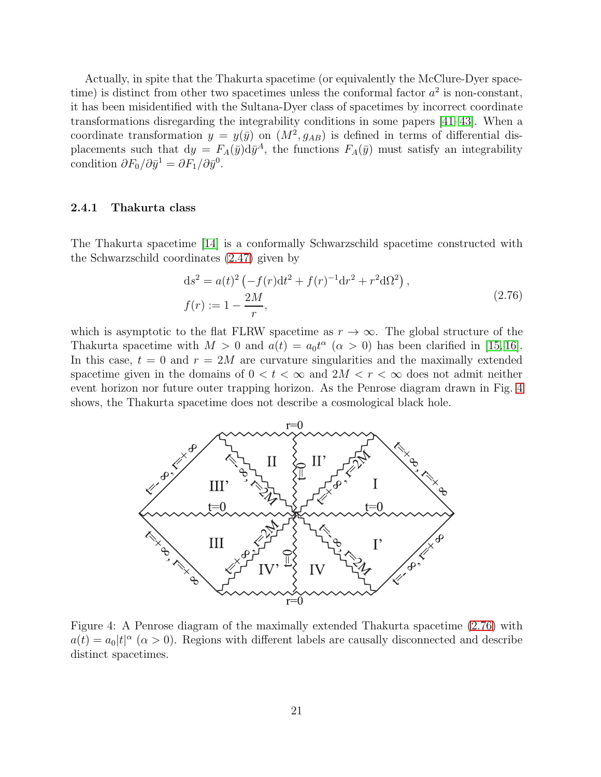Actually, in spite that the Thakurta spacetime (or equivalently the McClure-Dyer spacetime) is distinct from other two spacetimes unless the conformal factor  $a^2$  is non-constant, it has been misidentified with the Sultana-Dyer class of spacetimes by incorrect coordinate transformations disregarding the integrability conditions in some papers [\[41](#page-54-12)[–43\]](#page-54-13). When a coordinate transformation  $y = y(\bar{y})$  on  $(M^2, g_{AB})$  is defined in terms of differential displacements such that  $dy = F_A(\bar{y})d\bar{y}^A$ , the functions  $F_A(\bar{y})$  must satisfy an integrability condition  $\partial F_0 / \partial \bar{y}^1 = \partial F_1 / \partial \bar{y}^0$ .

#### <span id="page-21-0"></span>2.4.1 Thakurta class

The Thakurta spacetime [\[14\]](#page-53-2) is a conformally Schwarzschild spacetime constructed with the Schwarzschild coordinates [\(2.47\)](#page-13-2) given by

<span id="page-21-1"></span>
$$
ds^{2} = a(t)^{2} \left( -f(r)dt^{2} + f(r)^{-1}dr^{2} + r^{2}d\Omega^{2} \right),
$$
  

$$
f(r) := 1 - \frac{2M}{r},
$$
 (2.76)

which is asymptotic to the flat FLRW spacetime as  $r \to \infty$ . The global structure of the Thakurta spacetime with  $M > 0$  and  $a(t) = a_0 t^{\alpha}$   $(\alpha > 0)$  has been clarified in [\[15,](#page-53-3) [16\]](#page-53-4). In this case,  $t = 0$  and  $r = 2M$  are curvature singularities and the maximally extended spacetime given in the domains of  $0 < t < \infty$  and  $2M < r < \infty$  does not admit neither event horizon nor future outer trapping horizon. As the Penrose diagram drawn in Fig. [4](#page-21-2) shows, the Thakurta spacetime does not describe a cosmological black hole.



<span id="page-21-2"></span>Figure 4: A Penrose diagram of the maximally extended Thakurta spacetime [\(2.76\)](#page-21-1) with  $a(t) = a_0|t|^{\alpha}$  ( $\alpha > 0$ ). Regions with different labels are causally disconnected and describe distinct spacetimes.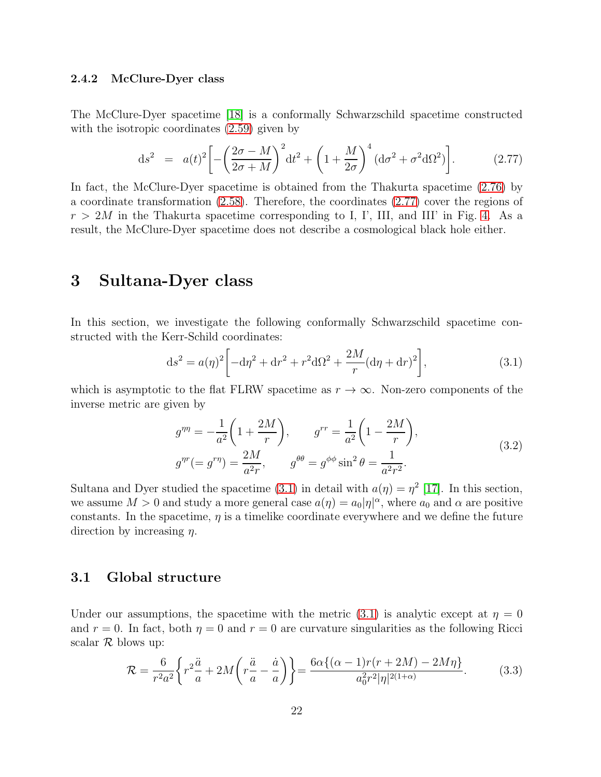#### <span id="page-22-0"></span>2.4.2 McClure-Dyer class

The McClure-Dyer spacetime [\[18\]](#page-53-6) is a conformally Schwarzschild spacetime constructed with the isotropic coordinates [\(2.59\)](#page-16-1) given by

<span id="page-22-3"></span>
$$
ds^{2} = a(t)^{2} \left[ -\left(\frac{2\sigma - M}{2\sigma + M}\right)^{2} dt^{2} + \left(1 + \frac{M}{2\sigma}\right)^{4} (d\sigma^{2} + \sigma^{2} d\Omega^{2}) \right].
$$
 (2.77)

In fact, the McClure-Dyer spacetime is obtained from the Thakurta spacetime [\(2.76\)](#page-21-1) by a coordinate transformation [\(2.58\)](#page-16-0). Therefore, the coordinates [\(2.77\)](#page-22-3) cover the regions of  $r > 2M$  in the Thakurta spacetime corresponding to I, I', III, and III' in Fig. [4.](#page-21-2) As a result, the McClure-Dyer spacetime does not describe a cosmological black hole either.

## <span id="page-22-1"></span>3 Sultana-Dyer class

In this section, we investigate the following conformally Schwarzschild spacetime constructed with the Kerr-Schild coordinates:

<span id="page-22-4"></span>
$$
ds^{2} = a(\eta)^{2} \left[ -d\eta^{2} + dr^{2} + r^{2} d\Omega^{2} + \frac{2M}{r} (d\eta + dr)^{2} \right],
$$
 (3.1)

which is asymptotic to the flat FLRW spacetime as  $r \to \infty$ . Non-zero components of the inverse metric are given by

$$
g^{\eta\eta} = -\frac{1}{a^2} \left( 1 + \frac{2M}{r} \right), \qquad g^{rr} = \frac{1}{a^2} \left( 1 - \frac{2M}{r} \right),
$$
  

$$
g^{\eta r} (= g^{r\eta}) = \frac{2M}{a^2 r}, \qquad g^{\theta\theta} = g^{\phi\phi} \sin^2 \theta = \frac{1}{a^2 r^2}.
$$
 (3.2)

Sultana and Dyer studied the spacetime [\(3.1\)](#page-22-4) in detail with  $a(\eta) = \eta^2$  [\[17\]](#page-53-5). In this section, we assume  $M > 0$  and study a more general case  $a(\eta) = a_0 |\eta|^{\alpha}$ , where  $a_0$  and  $\alpha$  are positive constants. In the spacetime,  $\eta$  is a timelike coordinate everywhere and we define the future direction by increasing  $\eta$ .

### <span id="page-22-2"></span>3.1 Global structure

Under our assumptions, the spacetime with the metric [\(3.1\)](#page-22-4) is analytic except at  $\eta = 0$ and  $r = 0$ . In fact, both  $\eta = 0$  and  $r = 0$  are curvature singularities as the following Ricci scalar  $\mathcal R$  blows up:

$$
\mathcal{R} = \frac{6}{r^2 a^2} \left\{ r^2 \frac{\ddot{a}}{a} + 2M \left( r \frac{\ddot{a}}{a} - \frac{\dot{a}}{a} \right) \right\} = \frac{6\alpha \{ (\alpha - 1)r(r + 2M) - 2M\eta \}}{a_0^2 r^2 |\eta|^{2(1+\alpha)}}.
$$
(3.3)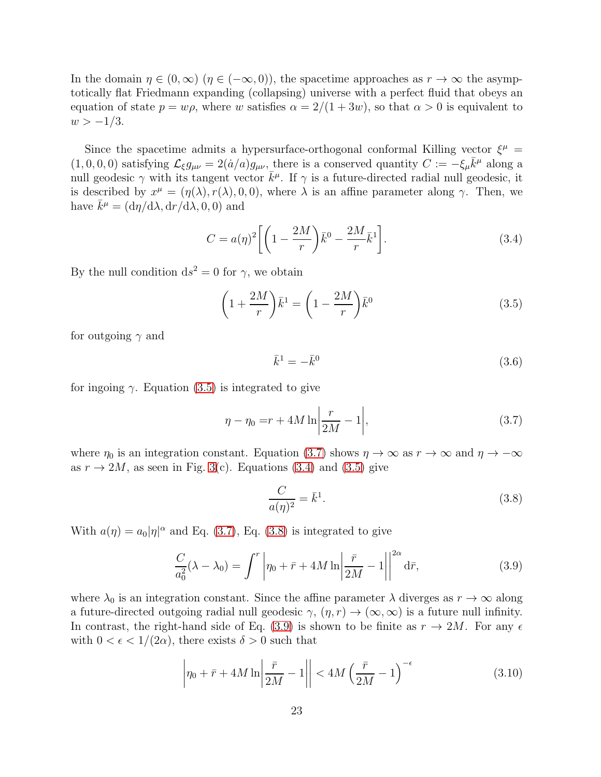In the domain  $\eta \in (0,\infty)$   $(\eta \in (-\infty,0))$ , the spacetime approaches as  $r \to \infty$  the asymptotically flat Friedmann expanding (collapsing) universe with a perfect fluid that obeys an equation of state  $p = w\rho$ , where w satisfies  $\alpha = 2/(1+3w)$ , so that  $\alpha > 0$  is equivalent to  $w > -1/3$ .

Since the spacetime admits a hypersurface-orthogonal conformal Killing vector  $\xi^{\mu}$  =  $(1,0,0,0)$  satisfying  $\mathcal{L}_{\xi}g_{\mu\nu} = 2(\dot{a}/a)g_{\mu\nu}$ , there is a conserved quantity  $C := -\xi_{\mu}\bar{k}^{\mu}$  along a null geodesic  $\gamma$  with its tangent vector  $\bar{k}^{\mu}$ . If  $\gamma$  is a future-directed radial null geodesic, it is described by  $x^{\mu} = (\eta(\lambda), r(\lambda), 0, 0)$ , where  $\lambda$  is an affine parameter along  $\gamma$ . Then, we have  $\bar{k}^{\mu} = (d\eta/d\lambda, dr/d\lambda, 0, 0)$  and

<span id="page-23-2"></span>
$$
C = a(\eta)^2 \left[ \left( 1 - \frac{2M}{r} \right) \bar{k}^0 - \frac{2M}{r} \bar{k}^1 \right]. \tag{3.4}
$$

By the null condition  $ds^2 = 0$  for  $\gamma$ , we obtain

$$
\left(1 + \frac{2M}{r}\right)\bar{k}^1 = \left(1 - \frac{2M}{r}\right)\bar{k}^0\tag{3.5}
$$

for outgoing  $\gamma$  and

<span id="page-23-5"></span><span id="page-23-1"></span><span id="page-23-0"></span>
$$
\bar{k}^1 = -\bar{k}^0 \tag{3.6}
$$

for ingoing  $\gamma$ . Equation [\(3.5\)](#page-23-0) is integrated to give

$$
\eta - \eta_0 = r + 4M \ln \left| \frac{r}{2M} - 1 \right|,\tag{3.7}
$$

where  $\eta_0$  is an integration constant. Equation [\(3.7\)](#page-23-1) shows  $\eta \to \infty$  as  $r \to \infty$  and  $\eta \to -\infty$ as  $r \to 2M$ , as seen in Fig. [3\(](#page-17-0)c). Equations [\(3.4\)](#page-23-2) and [\(3.5\)](#page-23-0) give

<span id="page-23-3"></span>
$$
\frac{C}{a(\eta)^2} = \bar{k}^1. \tag{3.8}
$$

With  $a(\eta) = a_0 |\eta|^\alpha$  and Eq. [\(3.7\)](#page-23-1), Eq. [\(3.8\)](#page-23-3) is integrated to give

<span id="page-23-4"></span>
$$
\frac{C}{a_0^2}(\lambda - \lambda_0) = \int^r \left| \eta_0 + \bar{r} + 4M \ln \left| \frac{\bar{r}}{2M} - 1 \right| \right|^{2\alpha} d\bar{r},\tag{3.9}
$$

where  $\lambda_0$  is an integration constant. Since the affine parameter  $\lambda$  diverges as  $r \to \infty$  along a future-directed outgoing radial null geodesic  $\gamma$ ,  $(\eta, r) \rightarrow (\infty, \infty)$  is a future null infinity. In contrast, the right-hand side of Eq. [\(3.9\)](#page-23-4) is shown to be finite as  $r \to 2M$ . For any  $\epsilon$ with  $0 < \epsilon < 1/(2\alpha)$ , there exists  $\delta > 0$  such that

$$
\left|\eta_0 + \bar{r} + 4M \ln \left| \frac{\bar{r}}{2M} - 1 \right| \right| < 4M \left(\frac{\bar{r}}{2M} - 1\right)^{-\epsilon} \tag{3.10}
$$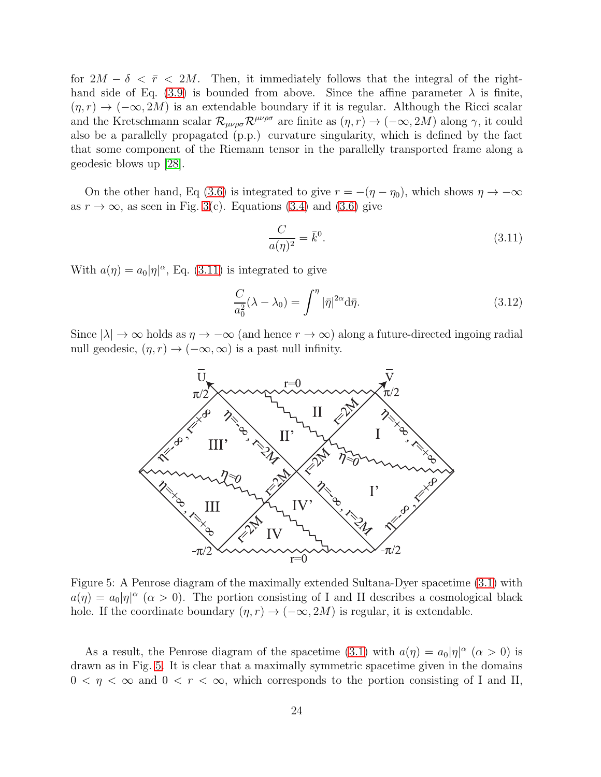for  $2M - \delta < \bar{r} < 2M$ . Then, it immediately follows that the integral of the right-hand side of Eq. [\(3.9\)](#page-23-4) is bounded from above. Since the affine parameter  $\lambda$  is finite,  $(\eta, r) \rightarrow (-\infty, 2M)$  is an extendable boundary if it is regular. Although the Ricci scalar and the Kretschmann scalar  $\mathcal{R}_{\mu\nu\rho\sigma} \mathcal{R}^{\mu\nu\rho\sigma}$  are finite as  $(\eta, r) \to (-\infty, 2M)$  along  $\gamma$ , it could also be a parallelly propagated (p.p.) curvature singularity, which is defined by the fact that some component of the Riemann tensor in the parallelly transported frame along a geodesic blows up [\[28\]](#page-53-16).

On the other hand, Eq [\(3.6\)](#page-23-5) is integrated to give  $r = -(\eta - \eta_0)$ , which shows  $\eta \to -\infty$ as  $r \to \infty$ , as seen in Fig. [3\(](#page-17-0)c). Equations [\(3.4\)](#page-23-2) and [\(3.6\)](#page-23-5) give

<span id="page-24-0"></span>
$$
\frac{C}{a(\eta)^2} = \bar{k}^0. \tag{3.11}
$$

With  $a(\eta) = a_0 |\eta|^\alpha$ , Eq. [\(3.11\)](#page-24-0) is integrated to give

$$
\frac{C}{a_0^2}(\lambda - \lambda_0) = \int^{\eta} |\bar{\eta}|^{2\alpha} d\bar{\eta}.
$$
\n(3.12)

Since  $|\lambda| \to \infty$  holds as  $\eta \to -\infty$  (and hence  $r \to \infty$ ) along a future-directed ingoing radial null geodesic,  $(\eta, r) \rightarrow (-\infty, \infty)$  is a past null infinity.



<span id="page-24-1"></span>Figure 5: A Penrose diagram of the maximally extended Sultana-Dyer spacetime [\(3.1\)](#page-22-4) with  $a(\eta) = a_0 |\eta|^{\alpha}$  ( $\alpha > 0$ ). The portion consisting of I and II describes a cosmological black hole. If the coordinate boundary  $(\eta, r) \to (-\infty, 2M)$  is regular, it is extendable.

As a result, the Penrose diagram of the spacetime [\(3.1\)](#page-22-4) with  $a(\eta) = a_0 |\eta|^{\alpha}$  ( $\alpha > 0$ ) is drawn as in Fig. [5.](#page-24-1) It is clear that a maximally symmetric spacetime given in the domains  $0 < \eta < \infty$  and  $0 < r < \infty$ , which corresponds to the portion consisting of I and II,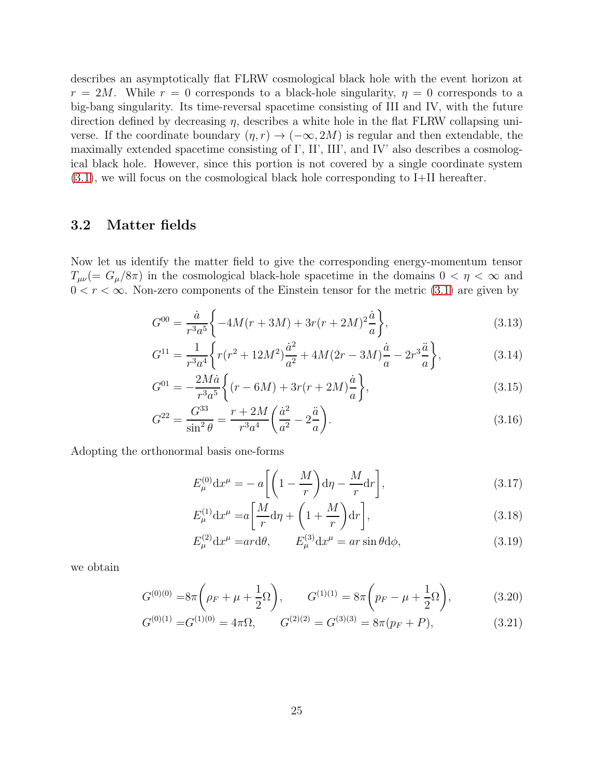describes an asymptotically flat FLRW cosmological black hole with the event horizon at  $r = 2M$ . While  $r = 0$  corresponds to a black-hole singularity,  $\eta = 0$  corresponds to a big-bang singularity. Its time-reversal spacetime consisting of III and IV, with the future direction defined by decreasing  $\eta$ , describes a white hole in the flat FLRW collapsing universe. If the coordinate boundary  $(\eta, r) \to (-\infty, 2M)$  is regular and then extendable, the maximally extended spacetime consisting of I', II', III', and IV' also describes a cosmological black hole. However, since this portion is not covered by a single coordinate system [\(3.1\)](#page-22-4), we will focus on the cosmological black hole corresponding to I+II hereafter.

### <span id="page-25-0"></span>3.2 Matter fields

Now let us identify the matter field to give the corresponding energy-momentum tensor  $T_{\mu\nu}$  (=  $G_{\mu}/8\pi$ ) in the cosmological black-hole spacetime in the domains  $0 < \eta < \infty$  and  $0 < r < \infty$ . Non-zero components of the Einstein tensor for the metric [\(3.1\)](#page-22-4) are given by

$$
G^{00} = \frac{\dot{a}}{r^3 a^5} \left\{ -4M(r+3M) + 3r(r+2M)^2 \frac{\dot{a}}{a} \right\},\tag{3.13}
$$

$$
G^{11} = \frac{1}{r^3 a^4} \left\{ r(r^2 + 12M^2) \frac{\dot{a}^2}{a^2} + 4M(2r - 3M) \frac{\dot{a}}{a} - 2r^3 \frac{\ddot{a}}{a} \right\},\tag{3.14}
$$

$$
G^{01} = -\frac{2M\dot{a}}{r^3 a^5} \left\{ (r - 6M) + 3r(r + 2M)\frac{\dot{a}}{a} \right\},\tag{3.15}
$$

$$
G^{22} = \frac{G^{33}}{\sin^2 \theta} = \frac{r + 2M}{r^3 a^4} \left(\frac{\dot{a}^2}{a^2} - 2\frac{\ddot{a}}{a}\right).
$$
 (3.16)

Adopting the orthonormal basis one-forms

<span id="page-25-3"></span><span id="page-25-2"></span>
$$
E_{\mu}^{(0)} \mathrm{d}x^{\mu} = -a \left[ \left( 1 - \frac{M}{r} \right) \mathrm{d}\eta - \frac{M}{r} \mathrm{d}r \right],\tag{3.17}
$$

<span id="page-25-4"></span>
$$
E_{\mu}^{(1)} \mathrm{d}x^{\mu} = a \left[ \frac{M}{r} \mathrm{d}\eta + \left( 1 + \frac{M}{r} \right) \mathrm{d}r \right],\tag{3.18}
$$

<span id="page-25-5"></span><span id="page-25-1"></span>
$$
E_{\mu}^{(2)} \mathrm{d}x^{\mu} = ar \mathrm{d}\theta, \qquad E_{\mu}^{(3)} \mathrm{d}x^{\mu} = ar \sin \theta \mathrm{d}\phi, \tag{3.19}
$$

we obtain

$$
G^{(0)(0)} = 8\pi \left(\rho_F + \mu + \frac{1}{2}\Omega\right), \qquad G^{(1)(1)} = 8\pi \left(p_F - \mu + \frac{1}{2}\Omega\right), \tag{3.20}
$$

$$
G^{(0)(1)} = G^{(1)(0)} = 4\pi\Omega, \qquad G^{(2)(2)} = G^{(3)(3)} = 8\pi(p_F + P), \tag{3.21}
$$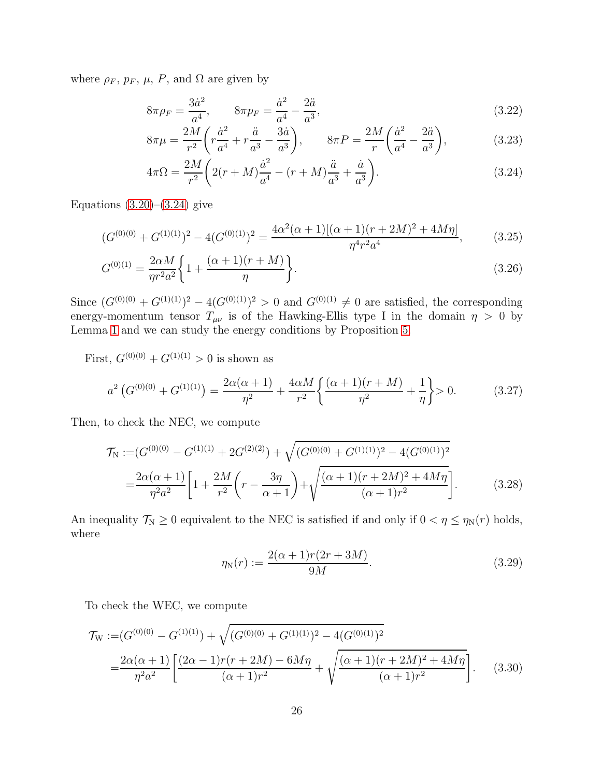where  $\rho_F$ ,  $p_F$ ,  $\mu$ ,  $P$ , and  $\Omega$  are given by

<span id="page-26-1"></span>
$$
8\pi \rho_F = \frac{3\dot{a}^2}{a^4}, \qquad 8\pi p_F = \frac{\dot{a}^2}{a^4} - \frac{2\ddot{a}}{a^3}, \tag{3.22}
$$

<span id="page-26-2"></span><span id="page-26-0"></span>
$$
8\pi\mu = \frac{2M}{r^2} \left( r \frac{\dot{a}^2}{a^4} + r \frac{\ddot{a}}{a^3} - \frac{3\dot{a}}{a^3} \right), \qquad 8\pi P = \frac{2M}{r} \left( \frac{\dot{a}^2}{a^4} - \frac{2\ddot{a}}{a^3} \right), \tag{3.23}
$$

$$
4\pi\Omega = \frac{2M}{r^2} \left( 2(r+M)\frac{\dot{a}^2}{a^4} - (r+M)\frac{\ddot{a}}{a^3} + \frac{\dot{a}}{a^3} \right).
$$
 (3.24)

Equations  $(3.20)$ – $(3.24)$  give

$$
(G^{(0)(0)} + G^{(1)(1)})^2 - 4(G^{(0)(1)})^2 = \frac{4\alpha^2(\alpha+1)[(\alpha+1)(r+2M)^2 + 4M\eta]}{\eta^4 r^2 a^4},
$$
(3.25)

$$
G^{(0)(1)} = \frac{2\alpha M}{\eta r^2 a^2} \left\{ 1 + \frac{(\alpha + 1)(r + M)}{\eta} \right\}.
$$
\n(3.26)

Since  $(G^{(0)(0)} + G^{(1)(1)})^2 - 4(G^{(0)(1)})^2 > 0$  and  $G^{(0)(1)} \neq 0$  are satisfied, the corresponding energy-momentum tensor  $T_{\mu\nu}$  is of the Hawking-Ellis type I in the domain  $\eta > 0$  by Lemma [1](#page-11-1) and we can study the energy conditions by Proposition [5.](#page-12-1)

First,  $G^{(0)(0)} + G^{(1)(1)} > 0$  is shown as

$$
a^2 \left( G^{(0)(0)} + G^{(1)(1)} \right) = \frac{2\alpha(\alpha+1)}{\eta^2} + \frac{4\alpha M}{r^2} \left\{ \frac{(\alpha+1)(r+M)}{\eta^2} + \frac{1}{\eta} \right\} > 0. \tag{3.27}
$$

Then, to check the NEC, we compute

$$
\mathcal{T}_{N} := (G^{(0)(0)} - G^{(1)(1)} + 2G^{(2)(2)}) + \sqrt{(G^{(0)(0)} + G^{(1)(1)})^2 - 4(G^{(0)(1)})^2}
$$
  
= 
$$
\frac{2\alpha(\alpha+1)}{\eta^2 a^2} \left[ 1 + \frac{2M}{r^2} \left( r - \frac{3\eta}{\alpha+1} \right) + \sqrt{\frac{(\alpha+1)(r+2M)^2 + 4M\eta}{(\alpha+1)r^2}} \right].
$$
 (3.28)

An inequality  $\mathcal{T}_N \geq 0$  equivalent to the NEC is satisfied if and only if  $0 < \eta \leq \eta_N(r)$  holds, where

$$
\eta_{\rm N}(r) := \frac{2(\alpha + 1)r(2r + 3M)}{9M}.
$$
\n(3.29)

To check the WEC, we compute

$$
\mathcal{T}_{\rm W} := (G^{(0)(0)} - G^{(1)(1)}) + \sqrt{(G^{(0)(0)} + G^{(1)(1)})^2 - 4(G^{(0)(1)})^2}
$$
  
= 
$$
\frac{2\alpha(\alpha+1)}{\eta^2 a^2} \left[ \frac{(2\alpha-1)r(r+2M) - 6M\eta}{(\alpha+1)r^2} + \sqrt{\frac{(\alpha+1)(r+2M)^2 + 4M\eta}{(\alpha+1)r^2}} \right].
$$
 (3.30)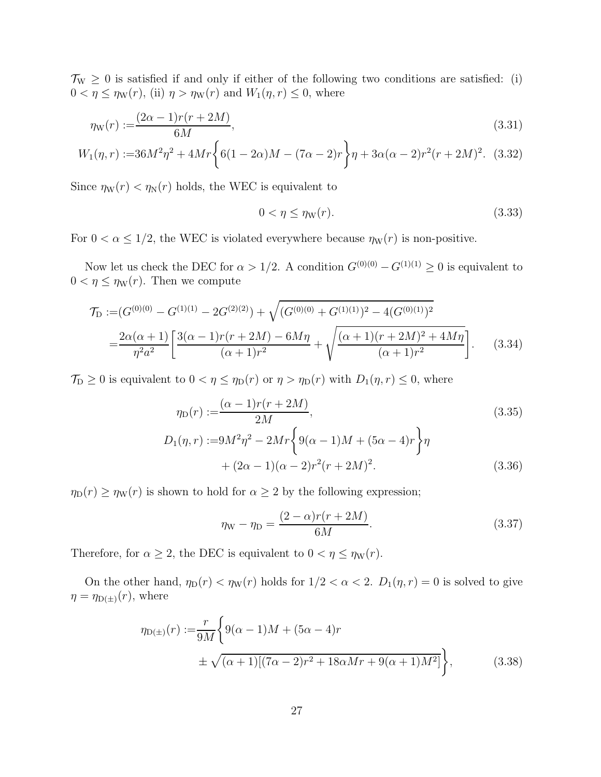$\mathcal{T}_{W} \geq 0$  is satisfied if and only if either of the following two conditions are satisfied: (i)  $0 < \eta \leq \eta_w(r)$ , (ii)  $\eta > \eta_w(r)$  and  $W_1(\eta, r) \leq 0$ , where

$$
\eta_{\mathcal{W}}(r) := \frac{(2\alpha - 1)r(r + 2M)}{6M},\tag{3.31}
$$

$$
W_1(\eta, r) := 36M^2\eta^2 + 4Mr\bigg\{6(1 - 2\alpha)M - (7\alpha - 2)r\bigg\}\eta + 3\alpha(\alpha - 2)r^2(r + 2M)^2. \tag{3.32}
$$

Since  $\eta_{\rm W}(r) < \eta_{\rm N}(r)$  holds, the WEC is equivalent to

<span id="page-27-0"></span>
$$
0 < \eta \le \eta \le (7). \tag{3.33}
$$

For  $0 < \alpha \leq 1/2$ , the WEC is violated everywhere because  $\eta_{\rm W}(r)$  is non-positive.

Now let us check the DEC for  $\alpha > 1/2$ . A condition  $G^{(0)(0)} - G^{(1)(1)} \geq 0$  is equivalent to  $0 < \eta \leq \eta_w(r)$ . Then we compute

$$
\mathcal{T}_{\mathcal{D}} := (G^{(0)(0)} - G^{(1)(1)} - 2G^{(2)(2)}) + \sqrt{(G^{(0)(0)} + G^{(1)(1)})^2 - 4(G^{(0)(1)})^2}
$$
  
= 
$$
\frac{2\alpha(\alpha+1)}{\eta^2 a^2} \left[ \frac{3(\alpha-1)r(r+2M) - 6M\eta}{(\alpha+1)r^2} + \sqrt{\frac{(\alpha+1)(r+2M)^2 + 4M\eta}{(\alpha+1)r^2}} \right].
$$
 (3.34)

 $\mathcal{T}_{\text{D}} \geq 0$  is equivalent to  $0 < \eta \leq \eta_{\text{D}}(r)$  or  $\eta > \eta_{\text{D}}(r)$  with  $D_1(\eta, r) \leq 0$ , where

$$
\eta_{\mathcal{D}}(r) := \frac{(\alpha - 1)r(r + 2M)}{2M},\tag{3.35}
$$

$$
D_1(\eta, r) := 9M^2\eta^2 - 2Mr \left\{ 9(\alpha - 1)M + (5\alpha - 4)r \right\} \eta
$$
  
+  $(2\alpha - 1)(\alpha - 2)r^2(r + 2M)^2$ . (3.36)

 $\eta_D(r) \geq \eta_W(r)$  is shown to hold for  $\alpha \geq 2$  by the following expression;

<span id="page-27-1"></span>
$$
\eta_{\rm W} - \eta_{\rm D} = \frac{(2 - \alpha)r(r + 2M)}{6M}.
$$
\n(3.37)

Therefore, for  $\alpha \geq 2$ , the DEC is equivalent to  $0 < \eta \leq \eta_{\mathcal{W}}(r)$ .

On the other hand,  $\eta_D(r) < \eta_W(r)$  holds for  $1/2 < \alpha < 2$ .  $D_1(\eta, r) = 0$  is solved to give  $\eta = \eta_{D(\pm)}(r)$ , where

$$
\eta_{D(\pm)}(r) := \frac{r}{9M} \left\{ 9(\alpha - 1)M + (5\alpha - 4)r + \pm \sqrt{(\alpha + 1)[(7\alpha - 2)r^2 + 18\alpha Mr + 9(\alpha + 1)M^2]} \right\},
$$
\n(3.38)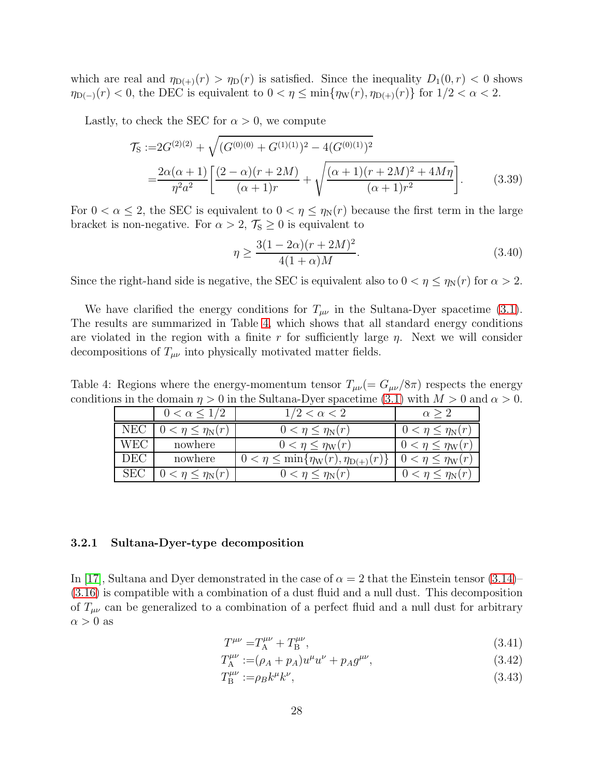which are real and  $\eta_{D(+)}(r) > \eta_D(r)$  is satisfied. Since the inequality  $D_1(0,r) < 0$  shows  $\eta_{D(-)}(r) < 0$ , the DEC is equivalent to  $0 < \eta \le \min{\eta_W(r), \eta_{D(+)}(r)}$  for  $1/2 < \alpha < 2$ .

Lastly, to check the SEC for  $\alpha > 0$ , we compute

$$
\mathcal{T}_{\mathcal{S}} := 2G^{(2)(2)} + \sqrt{(G^{(0)(0)} + G^{(1)(1)})^2 - 4(G^{(0)(1)})^2}
$$
  
= 
$$
\frac{2\alpha(\alpha+1)}{\eta^2 a^2} \left[ \frac{(2-\alpha)(r+2M)}{(\alpha+1)r} + \sqrt{\frac{(\alpha+1)(r+2M)^2 + 4M\eta}{(\alpha+1)r^2}} \right].
$$
 (3.39)

For  $0 < \alpha \leq 2$ , the SEC is equivalent to  $0 < \eta \leq \eta_N(r)$  because the first term in the large bracket is non-negative. For  $\alpha > 2$ ,  $\mathcal{T}_{S} \geq 0$  is equivalent to

$$
\eta \ge \frac{3(1 - 2\alpha)(r + 2M)^2}{4(1 + \alpha)M}.\tag{3.40}
$$

Since the right-hand side is negative, the SEC is equivalent also to  $0 < \eta \le \eta_N(r)$  for  $\alpha > 2$ .

We have clarified the energy conditions for  $T_{\mu\nu}$  in the Sultana-Dyer spacetime [\(3.1\)](#page-22-4). The results are summarized in Table [4,](#page-28-1) which shows that all standard energy conditions are violated in the region with a finite r for sufficiently large  $\eta$ . Next we will consider decompositions of  $T_{\mu\nu}$  into physically motivated matter fields.

Table 4: Regions where the energy-momentum tensor  $T_{\mu\nu}$  (=  $G_{\mu\nu}/8\pi$ ) respects the energy conditions in the domain  $\eta > 0$  in the Sultana-Dyer spacetime [\(3.1\)](#page-22-4) with  $M > 0$  and  $\alpha > 0$ .

<span id="page-28-1"></span>

|            | $0 < \alpha \leq 1/2$ | $1/2 < \alpha < 2$                                          |                                 |
|------------|-----------------------|-------------------------------------------------------------|---------------------------------|
| <b>NEC</b> | $\eta \leq \eta_N(r)$ | $0 < \eta \leq \eta_N(r)$                                   | $0 < \eta \leq \eta_N(r)$       |
| WEC        | nowhere               | $0 < \eta \leq \eta_{\rm W}(r)$                             | $0 < \eta \leq \eta_{\rm W}(r)$ |
| DEC.       | nowhere               | $0 < \eta \le \min\{\eta_{\rm W}(r),\eta_{{\rm D}(+)}(r)\}$ | $0 < \eta \leq \eta_{\rm W}(r)$ |
| <b>SEC</b> | $\eta \leq \eta_N(r)$ | $0 < \eta \leq \eta_N(r)$                                   | $0 < \eta \leq \eta_N(r)$       |

#### <span id="page-28-0"></span>3.2.1 Sultana-Dyer-type decomposition

In [\[17\]](#page-53-5), Sultana and Dyer demonstrated in the case of  $\alpha = 2$  that the Einstein tensor [\(3.14\)](#page-25-2)– [\(3.16\)](#page-25-3) is compatible with a combination of a dust fluid and a null dust. This decomposition of  $T_{\mu\nu}$  can be generalized to a combination of a perfect fluid and a null dust for arbitrary  $\alpha > 0$  as

<span id="page-28-2"></span>
$$
T^{\mu\nu} = T_{\rm A}^{\mu\nu} + T_{\rm B}^{\mu\nu},\tag{3.41}
$$

$$
T_{\rm A}^{\mu\nu} := (\rho_A + p_A)u^{\mu}u^{\nu} + p_A g^{\mu\nu}, \tag{3.42}
$$

$$
T_{\rm B}^{\mu\nu} := \rho_B k^{\mu} k^{\nu},\tag{3.43}
$$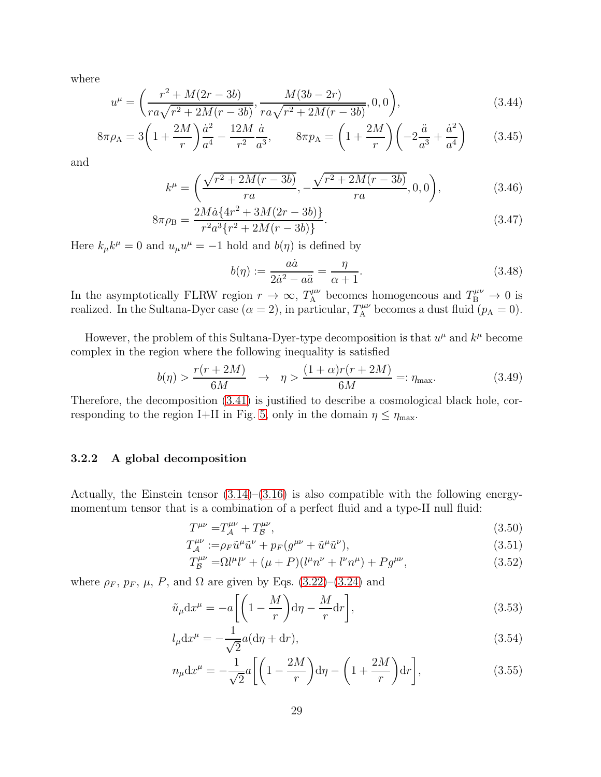where

$$
u^{\mu} = \left(\frac{r^2 + M(2r - 3b)}{ra\sqrt{r^2 + 2M(r - 3b)}}, \frac{M(3b - 2r)}{ra\sqrt{r^2 + 2M(r - 3b)}}, 0, 0\right),\tag{3.44}
$$

$$
8\pi \rho_A = 3\left(1 + \frac{2M}{r}\right)\frac{\dot{a}^2}{a^4} - \frac{12M}{r^2}\frac{\dot{a}}{a^3}, \qquad 8\pi p_A = \left(1 + \frac{2M}{r}\right)\left(-2\frac{\ddot{a}}{a^3} + \frac{\dot{a}^2}{a^4}\right) \tag{3.45}
$$

and

$$
k^{\mu} = \left(\frac{\sqrt{r^2 + 2M(r - 3b)}}{ra}, -\frac{\sqrt{r^2 + 2M(r - 3b)}}{ra}, 0, 0\right),\tag{3.46}
$$

$$
8\pi\rho_{\rm B} = \frac{2M\dot{a}\{4r^2 + 3M(2r - 3b)\}}{r^2a^3\{r^2 + 2M(r - 3b)\}}.\tag{3.47}
$$

Here  $k_{\mu}k^{\mu} = 0$  and  $u_{\mu}u^{\mu} = -1$  hold and  $b(\eta)$  is defined by

$$
b(\eta) := \frac{a\dot{a}}{2\dot{a}^2 - a\ddot{a}} = \frac{\eta}{\alpha + 1}.
$$
\n(3.48)

In the asymptotically FLRW region  $r \to \infty$ ,  $T_A^{\mu\nu}$  becomes homogeneous and  $T_B^{\mu\nu} \to 0$  is realized. In the Sultana-Dyer case  $(\alpha = 2)$ , in particular,  $T_A^{\mu\nu}$  becomes a dust fluid  $(p_A = 0)$ .

However, the problem of this Sultana-Dyer-type decomposition is that  $u^{\mu}$  and  $k^{\mu}$  become complex in the region where the following inequality is satisfied

$$
b(\eta) > \frac{r(r+2M)}{6M} \quad \rightarrow \quad \eta > \frac{(1+\alpha)r(r+2M)}{6M} =: \eta_{\text{max}}.\tag{3.49}
$$

<span id="page-29-0"></span>Therefore, the decomposition [\(3.41\)](#page-28-2) is justified to describe a cosmological black hole, cor-responding to the region I+II in Fig. [5,](#page-24-1) only in the domain  $\eta \leq \eta_{\text{max}}$ .

#### 3.2.2 A global decomposition

Actually, the Einstein tensor  $(3.14)$ – $(3.16)$  is also compatible with the following energymomentum tensor that is a combination of a perfect fluid and a type-II null fluid:

<span id="page-29-1"></span>
$$
T^{\mu\nu} = T^{\mu\nu}_A + T^{\mu\nu}_B,\tag{3.50}
$$

$$
T_{\mathcal{A}}^{\mu\nu} := \rho_F \tilde{u}^\mu \tilde{u}^\nu + p_F (g^{\mu\nu} + \tilde{u}^\mu \tilde{u}^\nu),\tag{3.51}
$$

$$
T_{\mathcal{B}}^{\mu\nu} = \Omega l^{\mu} l^{\nu} + (\mu + P)(l^{\mu} n^{\nu} + l^{\nu} n^{\mu}) + P g^{\mu\nu}, \tag{3.52}
$$

where  $\rho_F$ ,  $p_F$ ,  $\mu$ ,  $P$ , and  $\Omega$  are given by Eqs. [\(3.22\)](#page-26-1)–[\(3.24\)](#page-26-0) and

$$
\tilde{u}_{\mu} dx^{\mu} = -a \left[ \left( 1 - \frac{M}{r} \right) d\eta - \frac{M}{r} dr \right],
$$
\n(3.53)

$$
l_{\mu}dx^{\mu} = -\frac{1}{\sqrt{2}}a(d\eta + dr),\qquad(3.54)
$$

$$
n_{\mu}dx^{\mu} = -\frac{1}{\sqrt{2}}a\left[\left(1 - \frac{2M}{r}\right)d\eta - \left(1 + \frac{2M}{r}\right)dr\right],\tag{3.55}
$$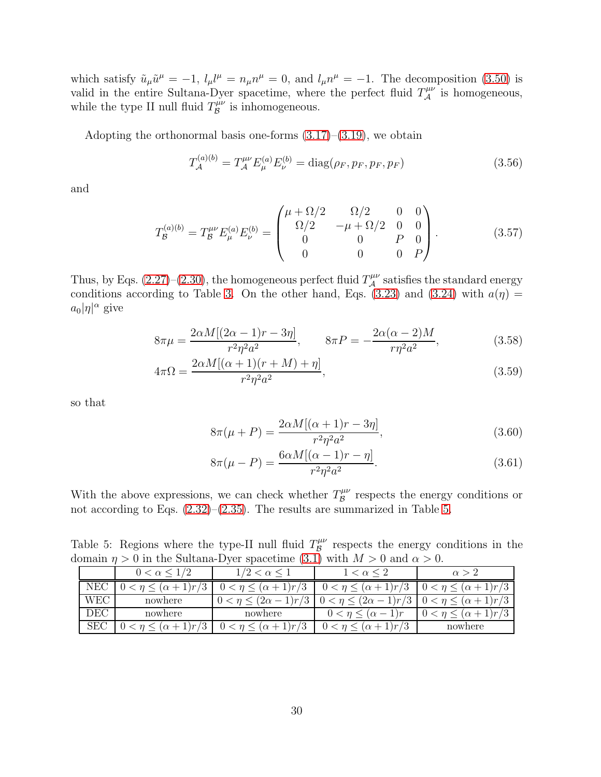which satisfy  $\tilde{u}_{\mu}\tilde{u}^{\mu} = -1$ ,  $l_{\mu}l^{\mu} = n_{\mu}n^{\mu} = 0$ , and  $l_{\mu}n^{\mu} = -1$ . The decomposition [\(3.50\)](#page-29-1) is valid in the entire Sultana-Dyer spacetime, where the perfect fluid  $T_A^{\mu\nu}$  is homogeneous, while the type II null fluid  $T_{\mathcal{B}}^{\mu\nu}$  $\mathcal{B}^{\mu\nu}$  is inhomogeneous.

Adopting the orthonormal basis one-forms  $(3.17)$ – $(3.19)$ , we obtain

$$
T_{\mathcal{A}}^{(a)(b)} = T_{\mathcal{A}}^{\mu\nu} E_{\mu}^{(a)} E_{\nu}^{(b)} = \text{diag}(\rho_F, p_F, p_F, p_F)
$$
(3.56)

and

$$
T_{\mathcal{B}}^{(a)(b)} = T_{\mathcal{B}}^{\mu\nu} E_{\mu}^{(a)} E_{\nu}^{(b)} = \begin{pmatrix} \mu + \Omega/2 & \Omega/2 & 0 & 0\\ \Omega/2 & -\mu + \Omega/2 & 0 & 0\\ 0 & 0 & P & 0\\ 0 & 0 & 0 & P \end{pmatrix}.
$$
 (3.57)

Thus, by Eqs. [\(2.27\)](#page-11-2)–[\(2.30\)](#page-11-3), the homogeneous perfect fluid  $T^{\mu\nu}_{\mathcal{A}}$  satisfies the standard energy conditions according to Table [3.](#page-13-1) On the other hand, Eqs. [\(3.23\)](#page-26-2) and [\(3.24\)](#page-26-0) with  $a(\eta) =$  $a_0|\eta|^{\alpha}$  give

$$
8\pi\mu = \frac{2\alpha M[(2\alpha - 1)r - 3\eta]}{r^2\eta^2 a^2}, \qquad 8\pi P = -\frac{2\alpha(\alpha - 2)M}{r\eta^2 a^2},
$$
\n(3.58)

$$
4\pi\Omega = \frac{2\alpha M[(\alpha+1)(r+M)+\eta]}{r^2\eta^2 a^2},
$$
\n(3.59)

so that

$$
8\pi(\mu + P) = \frac{2\alpha M[(\alpha + 1)r - 3\eta]}{r^2 \eta^2 a^2},
$$
\n(3.60)

$$
8\pi(\mu - P) = \frac{6\alpha M[(\alpha - 1)r - \eta]}{r^2 \eta^2 a^2}.
$$
\n(3.61)

With the above expressions, we can check whether  $T_{\mathcal{B}}^{\mu\nu}$  $B^{\mu\nu}$  respects the energy conditions or not according to Eqs. [\(2.32\)](#page-12-2)–[\(2.35\)](#page-12-3). The results are summarized in Table [5.](#page-30-0)

Table 5: Regions where the type-II null fluid  $T_{\mathcal{B}}^{\mu\nu}$  $B^{\mu\nu}$  respects the energy conditions in the domain  $\eta > 0$  in the Sultana-Dyer spacetime [\(3.1\)](#page-22-4) with  $M > 0$  and  $\alpha > 0$ .

<span id="page-30-0"></span>

|              | $0 < \alpha$ < . | $1/2 < \alpha \leq 1$    | $1 < \alpha \leq 2$             | $\alpha > 2$                |
|--------------|------------------|--------------------------|---------------------------------|-----------------------------|
| $_{\rm NEC}$ | $(\alpha+1)r/3$  | $(\alpha+1)r/3$<br>0 < n | $0 < \eta \leq (\alpha + 1)r/3$ | $\eta \leq (\alpha + 1)r/3$ |
| <b>WEC</b>   | nowhere          | 1)r/3                    | $(2\alpha - 1)$<br>1)r/3        | $(\alpha+1)r/3$             |
| DEC          | nowhere          | nowhere                  |                                 | $(\alpha+1)r/3$             |
| SEC          | 1)r/3            | $(\alpha+1)r/3$<br>0 <   | $(\alpha+1)r/3$                 | nowhere                     |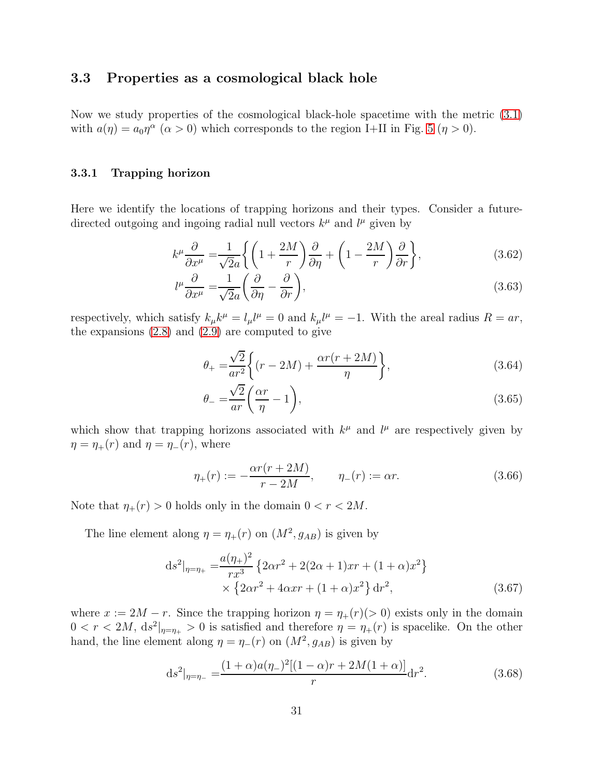### <span id="page-31-0"></span>3.3 Properties as a cosmological black hole

<span id="page-31-1"></span>Now we study properties of the cosmological black-hole spacetime with the metric [\(3.1\)](#page-22-4) with  $a(\eta) = a_0 \eta^{\alpha}$  ( $\alpha > 0$ ) which corresponds to the region I+II in Fig. [5](#page-24-1) ( $\eta > 0$ ).

#### 3.3.1 Trapping horizon

Here we identify the locations of trapping horizons and their types. Consider a futuredirected outgoing and ingoing radial null vectors  $k^{\mu}$  and  $l^{\mu}$  given by

$$
k^{\mu}\frac{\partial}{\partial x^{\mu}} = \frac{1}{\sqrt{2}a} \left\{ \left( 1 + \frac{2M}{r} \right) \frac{\partial}{\partial \eta} + \left( 1 - \frac{2M}{r} \right) \frac{\partial}{\partial r} \right\},\tag{3.62}
$$

$$
l^{\mu}\frac{\partial}{\partial x^{\mu}} = \frac{1}{\sqrt{2}a} \left( \frac{\partial}{\partial \eta} - \frac{\partial}{\partial r} \right),\tag{3.63}
$$

respectively, which satisfy  $k_{\mu}k^{\mu} = l_{\mu}l^{\mu} = 0$  and  $k_{\mu}l^{\mu} = -1$ . With the areal radius  $R = ar$ , the expansions  $(2.8)$  and  $(2.9)$  are computed to give

$$
\theta_{+} = \frac{\sqrt{2}}{ar^2} \left\{ (r - 2M) + \frac{\alpha r(r + 2M)}{\eta} \right\},\tag{3.64}
$$

$$
\theta_{-} = \frac{\sqrt{2}}{ar} \left( \frac{\alpha r}{\eta} - 1 \right),\tag{3.65}
$$

which show that trapping horizons associated with  $k^{\mu}$  and  $l^{\mu}$  are respectively given by  $\eta = \eta_+(r)$  and  $\eta = \eta_-(r)$ , where

<span id="page-31-2"></span>
$$
\eta_{+}(r) := -\frac{\alpha r(r + 2M)}{r - 2M}, \qquad \eta_{-}(r) := \alpha r.
$$
\n(3.66)

Note that  $\eta_+(r) > 0$  holds only in the domain  $0 < r < 2M$ .

The line element along  $\eta = \eta_+(r)$  on  $(M^2, g_{AB})$  is given by

$$
ds^{2}|_{\eta=\eta_{+}} = \frac{a(\eta_{+})^{2}}{rx^{3}} \left\{ 2\alpha r^{2} + 2(2\alpha + 1)xr + (1 + \alpha)x^{2} \right\}
$$
  
 
$$
\times \left\{ 2\alpha r^{2} + 4\alpha xr + (1 + \alpha)x^{2} \right\} dr^{2},
$$
 (3.67)

where  $x := 2M - r$ . Since the trapping horizon  $\eta = \eta_+(r)(> 0)$  exists only in the domain  $0 < r < 2M$ ,  $ds^2|_{\eta=\eta_+} > 0$  is satisfied and therefore  $\eta = \eta_+(r)$  is spacelike. On the other hand, the line element along  $\eta = \eta_-(r)$  on  $(M^2, g_{AB})$  is given by

$$
ds^{2}|_{\eta=\eta_{-}} = \frac{(1+\alpha)a(\eta_{-})^{2}[(1-\alpha)r+2M(1+\alpha)]}{r}dr^{2}.
$$
\n(3.68)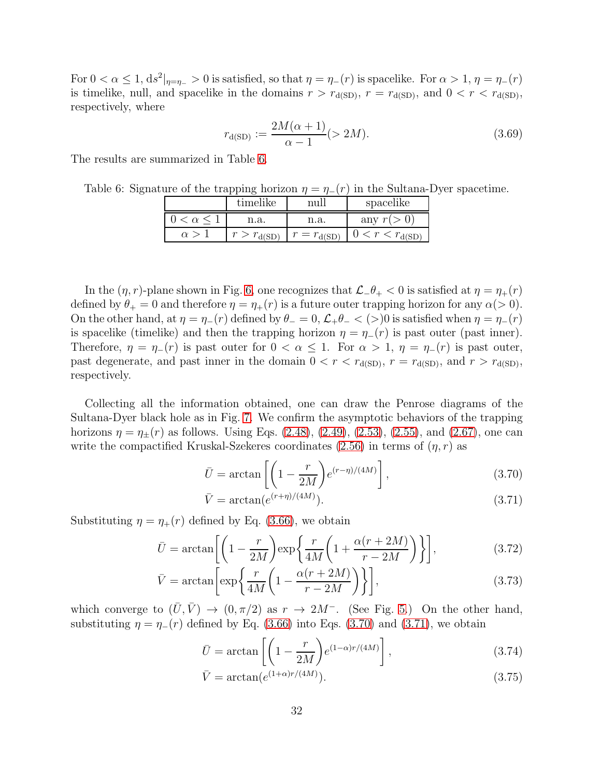For  $0 < \alpha \leq 1$ ,  $ds^2|_{\eta=\eta_-} > 0$  is satisfied, so that  $\eta=\eta_-(r)$  is spacelike. For  $\alpha > 1$ ,  $\eta=\eta_-(r)$ is timelike, null, and spacelike in the domains  $r > r_{d(SD)}$ ,  $r = r_{d(SD)}$ , and  $0 < r < r_{d(SD)}$ , respectively, where

$$
r_{d(SD)} := \frac{2M(\alpha + 1)}{\alpha - 1} (> 2M).
$$
 (3.69)

The results are summarized in Table [6.](#page-32-0)

Table 6: Signature of the trapping horizon  $\eta = \eta_-(r)$  in the Sultana-Dyer spacetime.

<span id="page-32-0"></span>

|            | timelike           |                   | spacelike                           |
|------------|--------------------|-------------------|-------------------------------------|
| $\alpha$   | n.a.               | n.a.              | any $r(r)$                          |
| $\alpha$ > | $r > r_{\rm d(S)}$ | $r = r_{\rm dS}r$ | $\langle r \rangle r_{\text{A/SD}}$ |

In the  $(\eta, r)$ -plane shown in Fig. [6,](#page-33-0) one recognizes that  $\mathcal{L}$ − $\theta$ + < 0 is satisfied at  $\eta = \eta_+(r)$ defined by  $\theta_+ = 0$  and therefore  $\eta = \eta_+(r)$  is a future outer trapping horizon for any  $\alpha(>0)$ . On the other hand, at  $\eta = \eta_-(r)$  defined by  $\theta_-=0$ ,  $\mathcal{L}_+\theta_-< (>)0$  is satisfied when  $\eta = \eta_-(r)$ is spacelike (timelike) and then the trapping horizon  $\eta = \eta_-(r)$  is past outer (past inner). Therefore,  $\eta = \eta_-(r)$  is past outer for  $0 < \alpha \leq 1$ . For  $\alpha > 1$ ,  $\eta = \eta_-(r)$  is past outer, past degenerate, and past inner in the domain  $0 < r < r_{d(SD)}$ ,  $r = r_{d(SD)}$ , and  $r > r_{d(SD)}$ , respectively.

Collecting all the information obtained, one can draw the Penrose diagrams of the Sultana-Dyer black hole as in Fig. [7.](#page-34-1) We confirm the asymptotic behaviors of the trapping horizons  $\eta = \eta_{\pm}(r)$  as follows. Using Eqs. [\(2.48\)](#page-14-3), [\(2.49\)](#page-14-4), [\(2.53\)](#page-15-1), [\(2.55\)](#page-15-2), and [\(2.67\)](#page-18-3), one can write the compactified Kruskal-Szekeres coordinates [\(2.56\)](#page-15-0) in terms of  $(\eta, r)$  as

<span id="page-32-1"></span>
$$
\bar{U} = \arctan\left[\left(1 - \frac{r}{2M}\right) e^{(r-\eta)/(4M)}\right],\tag{3.70}
$$

<span id="page-32-2"></span>
$$
\bar{V} = \arctan(e^{(r+\eta)/(4M)}).
$$
\n(3.71)

Substituting  $\eta = \eta_+(r)$  defined by Eq. [\(3.66\)](#page-31-2), we obtain

$$
\bar{U} = \arctan\left[\left(1 - \frac{r}{2M}\right) \exp\left\{\frac{r}{4M} \left(1 + \frac{\alpha(r + 2M)}{r - 2M}\right)\right\}\right],\tag{3.72}
$$

$$
\bar{V} = \arctan\left[\exp\left\{\frac{r}{4M}\left(1 - \frac{\alpha(r + 2M)}{r - 2M}\right)\right\}\right],\tag{3.73}
$$

which converge to  $(\bar{U}, \bar{V}) \rightarrow (0, \pi/2)$  as  $r \rightarrow 2M^-$ . (See Fig. [5.](#page-24-1)) On the other hand, substituting  $\eta = \eta_-(r)$  defined by Eq. [\(3.66\)](#page-31-2) into Eqs. [\(3.70\)](#page-32-1) and [\(3.71\)](#page-32-2), we obtain

$$
\bar{U} = \arctan\left[\left(1 - \frac{r}{2M}\right)e^{(1-\alpha)r/(4M)}\right],\tag{3.74}
$$

$$
\bar{V} = \arctan(e^{(1+\alpha)r/(4M)}).
$$
\n(3.75)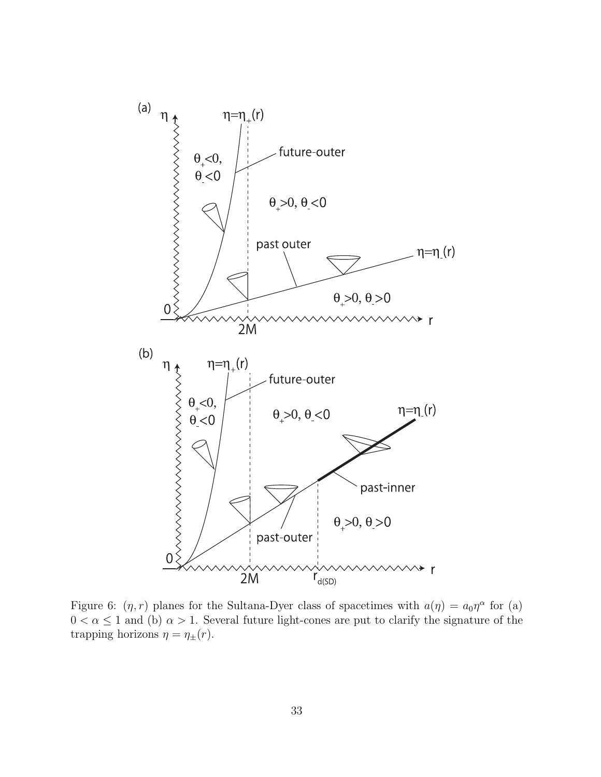

<span id="page-33-0"></span>Figure 6:  $(\eta, r)$  planes for the Sultana-Dyer class of spacetimes with  $a(\eta) = a_0 \eta^{\alpha}$  for (a)  $0 < \alpha \leq 1$  and (b)  $\alpha > 1$ . Several future light-cones are put to clarify the signature of the trapping horizons  $\eta = \eta_{\pm}(r)$ .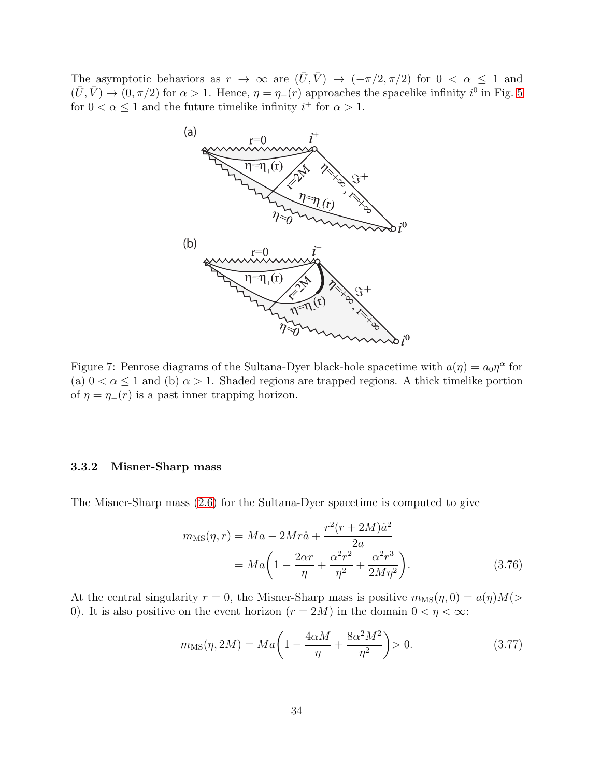The asymptotic behaviors as  $r \to \infty$  are  $(\bar{U}, \bar{V}) \to (-\pi/2, \pi/2)$  for  $0 < \alpha \leq 1$  and  $(\bar{U}, \bar{V}) \to (0, \pi/2)$  for  $\alpha > 1$ . Hence,  $\eta = \eta_{-}(r)$  approaches the spacelike infinity  $i^0$  in Fig. [5](#page-24-1) for  $0 < \alpha \leq 1$  and the future timelike infinity  $i^+$  for  $\alpha > 1$ .



<span id="page-34-1"></span>Figure 7: Penrose diagrams of the Sultana-Dyer black-hole spacetime with  $a(\eta) = a_0 \eta^{\alpha}$  for (a)  $0 < \alpha \leq 1$  and (b)  $\alpha > 1$ . Shaded regions are trapped regions. A thick timelike portion of  $\eta = \eta_-(r)$  is a past inner trapping horizon.

#### <span id="page-34-0"></span>3.3.2 Misner-Sharp mass

The Misner-Sharp mass [\(2.6\)](#page-5-3) for the Sultana-Dyer spacetime is computed to give

<span id="page-34-2"></span>
$$
m_{\text{MS}}(\eta, r) = Ma - 2Mr\dot{a} + \frac{r^2(r + 2M)\dot{a}^2}{2a}
$$
  
= 
$$
Ma\left(1 - \frac{2\alpha r}{\eta} + \frac{\alpha^2 r^2}{\eta^2} + \frac{\alpha^2 r^3}{2M\eta^2}\right).
$$
 (3.76)

At the central singularity  $r = 0$ , the Misner-Sharp mass is positive  $m_{\text{MS}}(\eta, 0) = a(\eta)M(z)$ 0). It is also positive on the event horizon  $(r = 2M)$  in the domain  $0 < \eta < \infty$ :

$$
m_{\rm MS}(\eta, 2M) = Ma \left( 1 - \frac{4\alpha M}{\eta} + \frac{8\alpha^2 M^2}{\eta^2} \right) > 0. \tag{3.77}
$$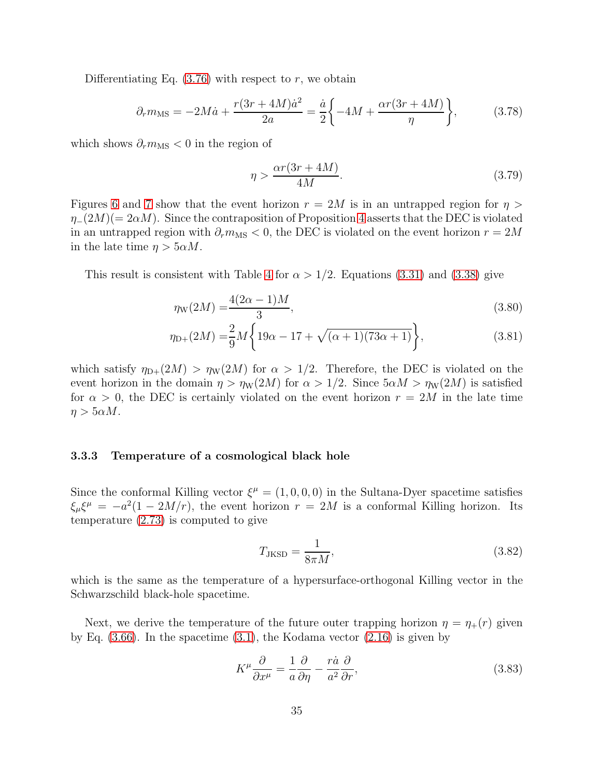Differentiating Eq.  $(3.76)$  with respect to r, we obtain

$$
\partial_r m_{\text{MS}} = -2M\dot{a} + \frac{r(3r + 4M)\dot{a}^2}{2a} = \frac{\dot{a}}{2} \left\{-4M + \frac{\alpha r(3r + 4M)}{\eta} \right\},\tag{3.78}
$$

which shows  $\partial_r m_{\text{MS}} < 0$  in the region of

$$
\eta > \frac{\alpha r (3r + 4M)}{4M}.\tag{3.79}
$$

Figures [6](#page-33-0) and [7](#page-34-1) show that the event horizon  $r = 2M$  is in an untrapped region for  $\eta >$  $\eta_-(2M)(=2\alpha M)$ . Since the contraposition of Proposition [4](#page-9-2) asserts that the DEC is violated in an untrapped region with  $\partial_r m_{\rm MS} < 0$ , the DEC is violated on the event horizon  $r = 2M$ in the late time  $\eta > 5\alpha M$ .

This result is consistent with Table [4](#page-28-1) for  $\alpha > 1/2$ . Equations [\(3.31\)](#page-27-0) and [\(3.38\)](#page-27-1) give

$$
\eta_{\rm W}(2M) = \frac{4(2\alpha - 1)M}{3},\tag{3.80}
$$

$$
\eta_{D+}(2M) = \frac{2}{9}M\left\{19\alpha - 17 + \sqrt{(\alpha+1)(73\alpha+1)}\right\},\tag{3.81}
$$

which satisfy  $\eta_{D+}(2M) > \eta_W(2M)$  for  $\alpha > 1/2$ . Therefore, the DEC is violated on the event horizon in the domain  $\eta > \eta_W(2M)$  for  $\alpha > 1/2$ . Since  $5\alpha M > \eta_W(2M)$  is satisfied for  $\alpha > 0$ , the DEC is certainly violated on the event horizon  $r = 2M$  in the late time  $\eta > 5\alpha M$ .

#### <span id="page-35-0"></span>3.3.3 Temperature of a cosmological black hole

Since the conformal Killing vector  $\xi^{\mu} = (1, 0, 0, 0)$  in the Sultana-Dyer spacetime satisfies  $\xi_{\mu}\xi^{\mu} = -a^2(1-2M/r)$ , the event horizon  $r = 2M$  is a conformal Killing horizon. Its temperature [\(2.73\)](#page-20-2) is computed to give

$$
T_{\text{JKSD}} = \frac{1}{8\pi M},\tag{3.82}
$$

which is the same as the temperature of a hypersurface-orthogonal Killing vector in the Schwarzschild black-hole spacetime.

Next, we derive the temperature of the future outer trapping horizon  $\eta = \eta_+(r)$  given by Eq.  $(3.66)$ . In the spacetime  $(3.1)$ , the Kodama vector  $(2.16)$  is given by

$$
K^{\mu}\frac{\partial}{\partial x^{\mu}} = \frac{1}{a}\frac{\partial}{\partial \eta} - \frac{r\dot{a}}{a^2}\frac{\partial}{\partial r},\tag{3.83}
$$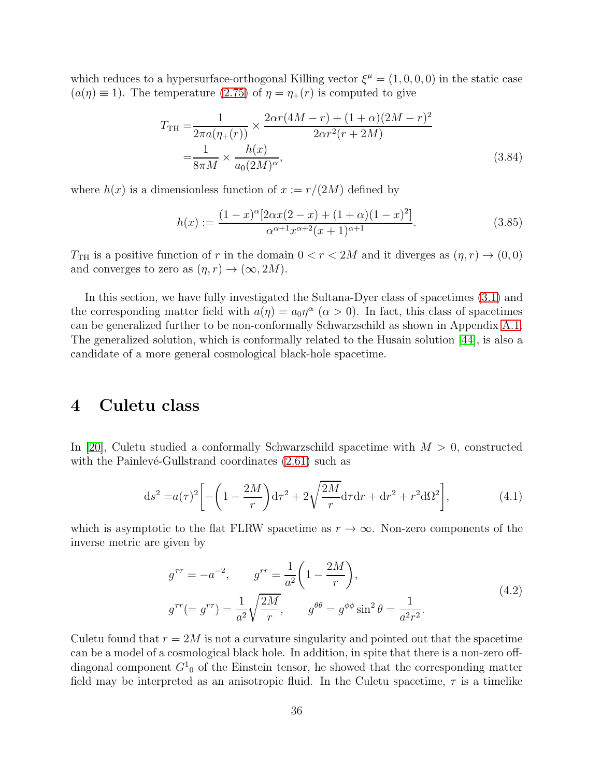which reduces to a hypersurface-orthogonal Killing vector  $\xi^{\mu} = (1, 0, 0, 0)$  in the static case  $(a(\eta) \equiv 1)$ . The temperature  $(2.75)$  of  $\eta = \eta_+(r)$  is computed to give

$$
T_{\rm TH} = \frac{1}{2\pi a(\eta_+(r))} \times \frac{2\alpha r (4M - r) + (1 + \alpha)(2M - r)^2}{2\alpha r^2 (r + 2M)}
$$
  
=  $\frac{1}{8\pi M} \times \frac{h(x)}{a_0 (2M)^\alpha},$  (3.84)

where  $h(x)$  is a dimensionless function of  $x := r/(2M)$  defined by

$$
h(x) := \frac{(1-x)^{\alpha} [2\alpha x(2-x) + (1+\alpha)(1-x)^{2}]}{\alpha^{\alpha+1} x^{\alpha+2} (x+1)^{\alpha+1}}.
$$
\n(3.85)

 $T<sub>TH</sub>$  is a positive function of r in the domain  $0 < r < 2M$  and it diverges as  $(\eta, r) \rightarrow (0, 0)$ and converges to zero as  $(\eta, r) \to (\infty, 2M)$ .

In this section, we have fully investigated the Sultana-Dyer class of spacetimes [\(3.1\)](#page-22-4) and the corresponding matter field with  $a(\eta) = a_0 \eta^{\alpha}$  ( $\alpha > 0$ ). In fact, this class of spacetimes can be generalized further to be non-conformally Schwarzschild as shown in Appendix [A.1.](#page-50-0) The generalized solution, which is conformally related to the Husain solution [\[44\]](#page-54-14), is also a candidate of a more general cosmological black-hole spacetime.

## <span id="page-36-0"></span>4 Culetu class

In [\[20\]](#page-53-8), Culetu studied a conformally Schwarzschild spacetime with  $M > 0$ , constructed with the Painlevé-Gullstrand coordinates  $(2.61)$  such as

$$
ds^{2} = a(\tau)^{2} \left[ -\left(1 - \frac{2M}{r}\right) d\tau^{2} + 2\sqrt{\frac{2M}{r}} d\tau dr + dr^{2} + r^{2} d\Omega^{2} \right],
$$
 (4.1)

which is asymptotic to the flat FLRW spacetime as  $r \to \infty$ . Non-zero components of the inverse metric are given by

<span id="page-36-1"></span>
$$
g^{\tau\tau} = -a^{-2}, \qquad g^{rr} = \frac{1}{a^2} \left( 1 - \frac{2M}{r} \right),
$$
  

$$
g^{\tau r} (= g^{r\tau}) = \frac{1}{a^2} \sqrt{\frac{2M}{r}}, \qquad g^{\theta\theta} = g^{\phi\phi} \sin^2 \theta = \frac{1}{a^2 r^2}.
$$
 (4.2)

Culetu found that  $r = 2M$  is not a curvature singularity and pointed out that the spacetime can be a model of a cosmological black hole. In addition, in spite that there is a non-zero offdiagonal component  $G_{\mathbf{0}}^1$  of the Einstein tensor, he showed that the corresponding matter field may be interpreted as an anisotropic fluid. In the Culetu spacetime,  $\tau$  is a timelike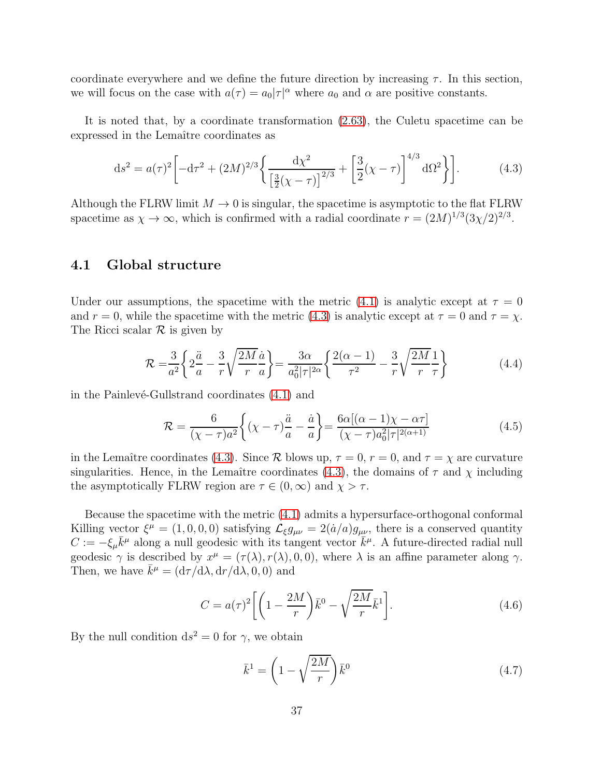coordinate everywhere and we define the future direction by increasing  $\tau$ . In this section, we will focus on the case with  $a(\tau) = a_0 |\tau|^{\alpha}$  where  $a_0$  and  $\alpha$  are positive constants.

It is noted that, by a coordinate transformation [\(2.63\)](#page-16-3), the Culetu spacetime can be expressed in the Lemaître coordinates as

<span id="page-37-1"></span>
$$
ds^{2} = a(\tau)^{2} \left[ -d\tau^{2} + (2M)^{2/3} \left\{ \frac{d\chi^{2}}{\left[\frac{3}{2}(\chi - \tau)\right]^{2/3}} + \left[\frac{3}{2}(\chi - \tau)\right]^{4/3} d\Omega^{2} \right\} \right].
$$
 (4.3)

<span id="page-37-0"></span>Although the FLRW limit  $M \to 0$  is singular, the spacetime is asymptotic to the flat FLRW spacetime as  $\chi \to \infty$ , which is confirmed with a radial coordinate  $r = (2M)^{1/3} (3\chi/2)^{2/3}$ .

### 4.1 Global structure

Under our assumptions, the spacetime with the metric [\(4.1\)](#page-36-1) is analytic except at  $\tau = 0$ and  $r = 0$ , while the spacetime with the metric [\(4.3\)](#page-37-1) is analytic except at  $\tau = 0$  and  $\tau = \chi$ . The Ricci scalar  $\mathcal R$  is given by

$$
\mathcal{R} = \frac{3}{a^2} \left\{ 2\frac{\ddot{a}}{a} - \frac{3}{r} \sqrt{\frac{2M}{r}} \frac{\dot{a}}{a} \right\} = \frac{3\alpha}{a_0^2 |\tau|^{2\alpha}} \left\{ \frac{2(\alpha - 1)}{\tau^2} - \frac{3}{r} \sqrt{\frac{2M}{r}} \frac{1}{\tau} \right\}
$$
(4.4)

in the Painlevé-Gullstrand coordinates  $(4.1)$  and

$$
\mathcal{R} = \frac{6}{(\chi - \tau)a^2} \left\{ (\chi - \tau) \frac{\ddot{a}}{a} - \frac{\dot{a}}{a} \right\} = \frac{6\alpha[(\alpha - 1)\chi - \alpha\tau]}{(\chi - \tau)a_0^2|\tau|^{2(\alpha + 1)}} \tag{4.5}
$$

in the Lemaître coordinates [\(4.3\)](#page-37-1). Since R blows up,  $\tau = 0$ ,  $r = 0$ , and  $\tau = \chi$  are curvature singularities. Hence, in the Lemaître coordinates [\(4.3\)](#page-37-1), the domains of  $\tau$  and  $\chi$  including the asymptotically FLRW region are  $\tau \in (0,\infty)$  and  $\chi > \tau$ .

Because the spacetime with the metric [\(4.1\)](#page-36-1) admits a hypersurface-orthogonal conformal Killing vector  $\xi^{\mu} = (1, 0, 0, 0)$  satisfying  $\mathcal{L}_{\xi}g_{\mu\nu} = 2(\dot{a}/a)g_{\mu\nu}$ , there is a conserved quantity  $C := -\xi_{\mu}\bar{k}^{\mu}$  along a null geodesic with its tangent vector  $\bar{k}^{\mu}$ . A future-directed radial null geodesic  $\gamma$  is described by  $x^{\mu} = (\tau(\lambda), r(\lambda), 0, 0)$ , where  $\lambda$  is an affine parameter along  $\gamma$ . Then, we have  $\bar{k}^{\mu} = (d\tau/d\lambda, dr/d\lambda, 0, 0)$  and

<span id="page-37-3"></span>
$$
C = a(\tau)^2 \left[ \left( 1 - \frac{2M}{r} \right) \bar{k}^0 - \sqrt{\frac{2M}{r}} \bar{k}^1 \right]. \tag{4.6}
$$

By the null condition  $ds^2 = 0$  for  $\gamma$ , we obtain

<span id="page-37-2"></span>
$$
\bar{k}^1 = \left(1 - \sqrt{\frac{2M}{r}}\right)\bar{k}^0\tag{4.7}
$$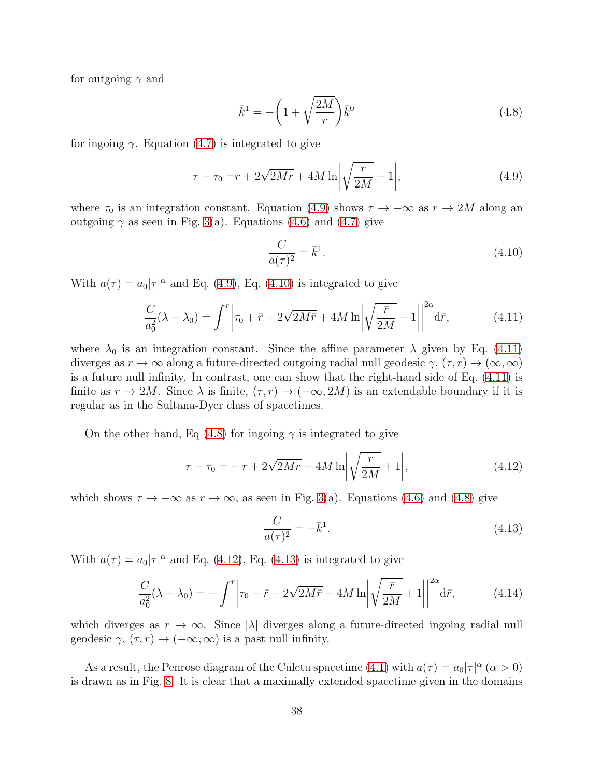for outgoing  $\gamma$  and

<span id="page-38-3"></span>
$$
\bar{k}^1 = -\left(1 + \sqrt{\frac{2M}{r}}\right)\bar{k}^0\tag{4.8}
$$

for ingoing  $\gamma$ . Equation [\(4.7\)](#page-37-2) is integrated to give

$$
\tau - \tau_0 = r + 2\sqrt{2Mr} + 4M \ln \left| \sqrt{\frac{r}{2M}} - 1 \right|,\tag{4.9}
$$

where  $\tau_0$  is an integration constant. Equation [\(4.9\)](#page-38-0) shows  $\tau \to -\infty$  as  $r \to 2M$  along an outgoing  $\gamma$  as seen in Fig. [3\(](#page-17-0)a). Equations [\(4.6\)](#page-37-3) and [\(4.7\)](#page-37-2) give

<span id="page-38-2"></span><span id="page-38-1"></span><span id="page-38-0"></span>
$$
\frac{C}{a(\tau)^2} = \bar{k}^1. \tag{4.10}
$$

With  $a(\tau) = a_0 |\tau|^{\alpha}$  and Eq. [\(4.9\)](#page-38-0), Eq. [\(4.10\)](#page-38-1) is integrated to give

$$
\frac{C}{a_0^2}(\lambda - \lambda_0) = \int^r \left| \tau_0 + \bar{r} + 2\sqrt{2Mr} + 4M \ln \left| \sqrt{\frac{\bar{r}}{2M}} - 1 \right| \right|^{2\alpha} d\bar{r},\tag{4.11}
$$

where  $\lambda_0$  is an integration constant. Since the affine parameter  $\lambda$  given by Eq. [\(4.11\)](#page-38-2) diverges as  $r \to \infty$  along a future-directed outgoing radial null geodesic  $\gamma$ ,  $(\tau, r) \to (\infty, \infty)$ is a future null infinity. In contrast, one can show that the right-hand side of Eq. [\(4.11\)](#page-38-2) is finite as  $r \to 2M$ . Since  $\lambda$  is finite,  $(\tau, r) \to (-\infty, 2M)$  is an extendable boundary if it is regular as in the Sultana-Dyer class of spacetimes.

On the other hand, Eq [\(4.8\)](#page-38-3) for ingoing  $\gamma$  is integrated to give

$$
\tau - \tau_0 = -r + 2\sqrt{2Mr} - 4M \ln \left| \sqrt{\frac{r}{2M}} + 1 \right|,\tag{4.12}
$$

which shows  $\tau \to -\infty$  as  $r \to \infty$ , as seen in Fig. [3\(](#page-17-0)a). Equations [\(4.6\)](#page-37-3) and [\(4.8\)](#page-38-3) give

<span id="page-38-5"></span><span id="page-38-4"></span>
$$
\frac{C}{a(\tau)^2} = -\bar{k}^1. \tag{4.13}
$$

With  $a(\tau) = a_0 |\tau|^{\alpha}$  and Eq. [\(4.12\)](#page-38-4), Eq. [\(4.13\)](#page-38-5) is integrated to give

$$
\frac{C}{a_0^2}(\lambda - \lambda_0) = -\int^r \left| \tau_0 - \bar{r} + 2\sqrt{2M\bar{r}} - 4M\ln\left|\sqrt{\frac{\bar{r}}{2M}} + 1\right|\right|^{2\alpha} d\bar{r},\tag{4.14}
$$

which diverges as  $r \to \infty$ . Since  $|\lambda|$  diverges along a future-directed ingoing radial null geodesic  $\gamma$ ,  $(\tau, r) \rightarrow (-\infty, \infty)$  is a past null infinity.

As a result, the Penrose diagram of the Culetu spacetime [\(4.1\)](#page-36-1) with  $a(\tau) = a_0 |\tau|^{\alpha}$   $(\alpha > 0)$ is drawn as in Fig. [8.](#page-39-1) It is clear that a maximally extended spacetime given in the domains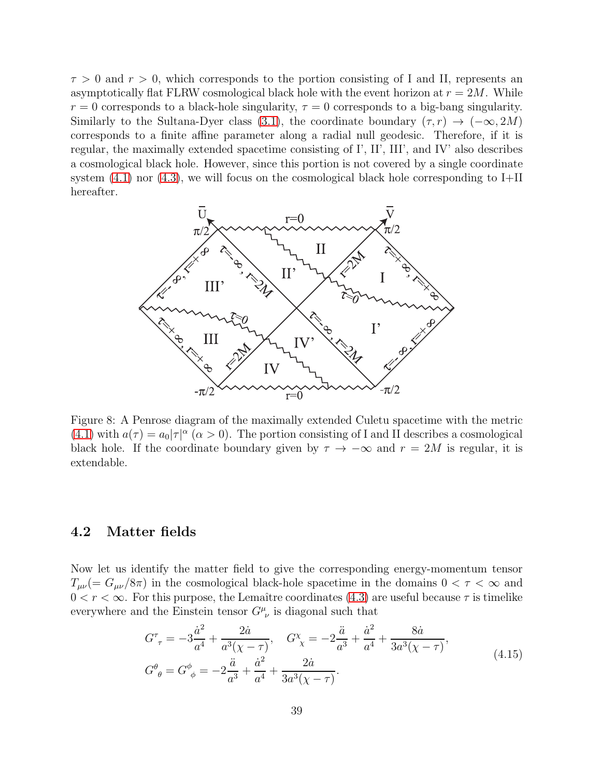$\tau > 0$  and  $r > 0$ , which corresponds to the portion consisting of I and II, represents an asymptotically flat FLRW cosmological black hole with the event horizon at  $r = 2M$ . While  $r = 0$  corresponds to a black-hole singularity,  $\tau = 0$  corresponds to a big-bang singularity. Similarly to the Sultana-Dyer class [\(3.1\)](#page-22-4), the coordinate boundary  $(\tau, r) \rightarrow (-\infty, 2M)$ corresponds to a finite affine parameter along a radial null geodesic. Therefore, if it is regular, the maximally extended spacetime consisting of I', II', III', and IV' also describes a cosmological black hole. However, since this portion is not covered by a single coordinate system  $(4.1)$  nor  $(4.3)$ , we will focus on the cosmological black hole corresponding to I+II hereafter.



<span id="page-39-1"></span>Figure 8: A Penrose diagram of the maximally extended Culetu spacetime with the metric [\(4.1\)](#page-36-1) with  $a(\tau) = a_0 |\tau|^{\alpha}$  ( $\alpha > 0$ ). The portion consisting of I and II describes a cosmological black hole. If the coordinate boundary given by  $\tau \to -\infty$  and  $r = 2M$  is regular, it is extendable.

### <span id="page-39-0"></span>4.2 Matter fields

Now let us identify the matter field to give the corresponding energy-momentum tensor  $T_{\mu\nu}$  (=  $G_{\mu\nu}/8\pi$ ) in the cosmological black-hole spacetime in the domains  $0 < \tau < \infty$  and  $0 < r < \infty$ . For this purpose, the Lemaître coordinates [\(4.3\)](#page-37-1) are useful because  $\tau$  is timelike everywhere and the Einstein tensor  $G^{\mu}_{\ \nu}$  is diagonal such that

$$
G^{\tau}_{\tau} = -3\frac{\dot{a}^{2}}{a^{4}} + \frac{2\dot{a}}{a^{3}(\chi - \tau)}, \quad G^{\chi}_{\chi} = -2\frac{\ddot{a}}{a^{3}} + \frac{\dot{a}^{2}}{a^{4}} + \frac{8\dot{a}}{3a^{3}(\chi - \tau)},
$$
  
\n
$$
G^{\theta}_{\theta} = G^{\phi}_{\phi} = -2\frac{\ddot{a}}{a^{3}} + \frac{\dot{a}^{2}}{a^{4}} + \frac{2\dot{a}}{3a^{3}(\chi - \tau)}.
$$
\n(4.15)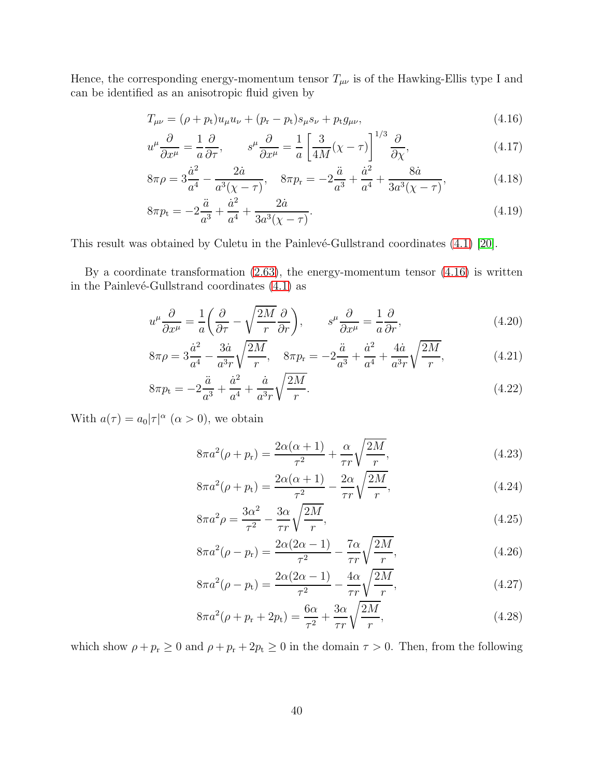Hence, the corresponding energy-momentum tensor  $T_{\mu\nu}$  is of the Hawking-Ellis type I and can be identified as an anisotropic fluid given by

<span id="page-40-0"></span>
$$
T_{\mu\nu} = (\rho + p_t)u_{\mu}u_{\nu} + (p_r - p_t)s_{\mu}s_{\nu} + p_t g_{\mu\nu},
$$
\n(4.16)

$$
u^{\mu}\frac{\partial}{\partial x^{\mu}} = \frac{1}{a}\frac{\partial}{\partial \tau}, \qquad s^{\mu}\frac{\partial}{\partial x^{\mu}} = \frac{1}{a} \left[ \frac{3}{4M}(\chi - \tau) \right]^{1/3} \frac{\partial}{\partial \chi}, \tag{4.17}
$$

$$
8\pi\rho = 3\frac{\dot{a}^2}{a^4} - \frac{2\dot{a}}{a^3(\chi - \tau)}, \quad 8\pi p_{\rm r} = -2\frac{\ddot{a}}{a^3} + \frac{\dot{a}^2}{a^4} + \frac{8\dot{a}}{3a^3(\chi - \tau)},\tag{4.18}
$$

$$
8\pi p_{\rm t} = -2\frac{\ddot{a}}{a^3} + \frac{\dot{a}^2}{a^4} + \frac{2\dot{a}}{3a^3(\chi - \tau)}.
$$
\n(4.19)

This result was obtained by Culetu in the Painlevé-Gullstrand coordinates  $(4.1)$  [\[20\]](#page-53-8).

By a coordinate transformation  $(2.63)$ , the energy-momentum tensor  $(4.16)$  is written in the Painlevé-Gullstrand coordinates  $(4.1)$  as

$$
u^{\mu}\frac{\partial}{\partial x^{\mu}} = \frac{1}{a} \left( \frac{\partial}{\partial \tau} - \sqrt{\frac{2M}{r}} \frac{\partial}{\partial r} \right), \qquad s^{\mu}\frac{\partial}{\partial x^{\mu}} = \frac{1}{a} \frac{\partial}{\partial r}, \tag{4.20}
$$

$$
8\pi\rho = 3\frac{\dot{a}^2}{a^4} - \frac{3\dot{a}}{a^3r}\sqrt{\frac{2M}{r}}, \quad 8\pi p_r = -2\frac{\ddot{a}}{a^3} + \frac{\dot{a}^2}{a^4} + \frac{4\dot{a}}{a^3r}\sqrt{\frac{2M}{r}},\tag{4.21}
$$

$$
8\pi p_{t} = -2\frac{\ddot{a}}{a^{3}} + \frac{\dot{a}^{2}}{a^{4}} + \frac{\dot{a}}{a^{3}r} \sqrt{\frac{2M}{r}}.
$$
\n(4.22)

With  $a(\tau) = a_0 |\tau|^{\alpha}$   $(\alpha > 0)$ , we obtain

<span id="page-40-1"></span>
$$
8\pi a^2(\rho + p_\mathrm{r}) = \frac{2\alpha(\alpha + 1)}{\tau^2} + \frac{\alpha}{\tau r} \sqrt{\frac{2M}{r}},\tag{4.23}
$$

$$
8\pi a^2(\rho + p_t) = \frac{2\alpha(\alpha + 1)}{\tau^2} - \frac{2\alpha}{\tau r} \sqrt{\frac{2M}{r}},
$$
\n(4.24)

$$
8\pi a^2 \rho = \frac{3\alpha^2}{\tau^2} - \frac{3\alpha}{\tau r} \sqrt{\frac{2M}{r}},\tag{4.25}
$$

$$
8\pi a^2(\rho - p_r) = \frac{2\alpha(2\alpha - 1)}{\tau^2} - \frac{7\alpha}{\tau r} \sqrt{\frac{2M}{r}},
$$
\n(4.26)

$$
8\pi a^2(\rho - p_t) = \frac{2\alpha(2\alpha - 1)}{\tau^2} - \frac{4\alpha}{\tau r} \sqrt{\frac{2M}{r}},
$$
\n(4.27)

$$
8\pi a^2(\rho + p_{\rm r} + 2p_{\rm t}) = \frac{6\alpha}{\tau^2} + \frac{3\alpha}{\tau r} \sqrt{\frac{2M}{r}},\tag{4.28}
$$

which show  $\rho + p_r \ge 0$  and  $\rho + p_r + 2p_t \ge 0$  in the domain  $\tau > 0$ . Then, from the following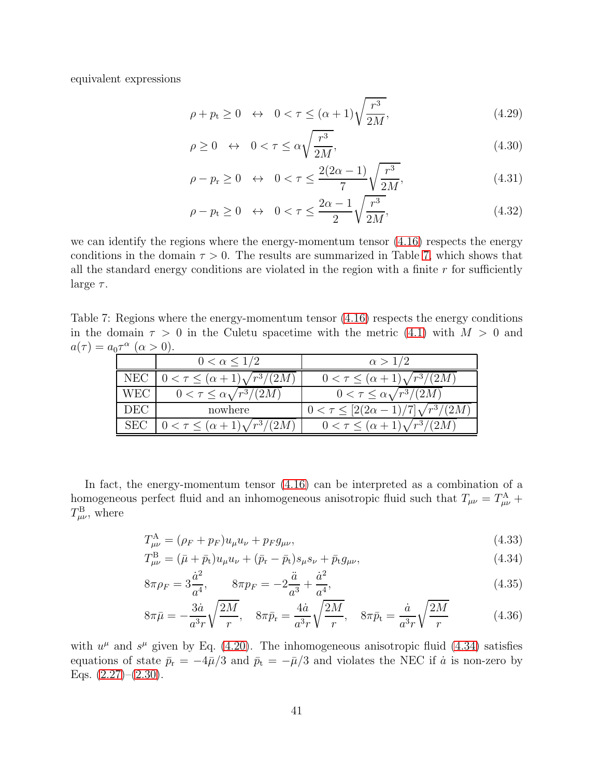equivalent expressions

$$
\rho + p_t \ge 0 \quad \leftrightarrow \quad 0 < \tau \le (\alpha + 1) \sqrt{\frac{r^3}{2M}},\tag{4.29}
$$

$$
\rho \ge 0 \quad \leftrightarrow \quad 0 < \tau \le \alpha \sqrt{\frac{r^3}{2M}},\tag{4.30}
$$

$$
\rho - p_{\rm r} \ge 0 \quad \leftrightarrow \quad 0 < \tau \le \frac{2(2\alpha - 1)}{7} \sqrt{\frac{r^3}{2M}},\tag{4.31}
$$

$$
\rho - p_t \ge 0 \quad \leftrightarrow \quad 0 < \tau \le \frac{2\alpha - 1}{2} \sqrt{\frac{r^3}{2M}},\tag{4.32}
$$

we can identify the regions where the energy-momentum tensor  $(4.16)$  respects the energy conditions in the domain  $\tau > 0$ . The results are summarized in Table [7,](#page-41-0) which shows that all the standard energy conditions are violated in the region with a finite  $r$  for sufficiently large  $\tau$ .

Table 7: Regions where the energy-momentum tensor [\(4.16\)](#page-40-0) respects the energy conditions in the domain  $\tau > 0$  in the Culetu spacetime with the metric [\(4.1\)](#page-36-1) with  $M > 0$  and  $a(\tau) = a_0 \tau^{\alpha} \; (\alpha > 0).$ 

<span id="page-41-0"></span>

|            | $0 < \alpha \leq 1/2$                       | $\alpha > 1/2$                                  |
|------------|---------------------------------------------|-------------------------------------------------|
| <b>NEC</b> | $0 < \tau \leq (\alpha + 1)\sqrt{r^3/(2M)}$ | $0 < \tau \leq (\alpha + 1)\sqrt{r^3/(2M)}$     |
| <b>WEC</b> | $0 < \tau \leq \alpha \sqrt{r^3/(2M)}$      | $0 < \tau \leq \alpha \sqrt{r^3/(2M)}$          |
| DEC        | nowhere                                     | $0 < \tau \leq [2(2\alpha-1)/7]\sqrt{r^3/(2M)}$ |
| <b>SEC</b> | $0 < \tau \leq (\alpha + 1)\sqrt{r^3/(2M)}$ | $0 < \tau \leq (\alpha + 1)\sqrt{r^3/(2M)}$     |

In fact, the energy-momentum tensor [\(4.16\)](#page-40-0) can be interpreted as a combination of a homogeneous perfect fluid and an inhomogeneous anisotropic fluid such that  $T_{\mu\nu} = T_{\mu\nu}^{\rm A} + T_{\mu\nu}^{\rm C}$  $T^{\rm B}_{\mu\nu}$ , where

<span id="page-41-1"></span>
$$
T_{\mu\nu}^{\rm A} = (\rho_F + p_F)u_{\mu}u_{\nu} + p_F g_{\mu\nu},\tag{4.33}
$$

$$
T^{\rm B}_{\mu\nu} = (\bar{\mu} + \bar{p}_{\rm t})u_{\mu}u_{\nu} + (\bar{p}_{\rm r} - \bar{p}_{\rm t})s_{\mu}s_{\nu} + \bar{p}_{\rm t}g_{\mu\nu},\tag{4.34}
$$

$$
8\pi \rho_F = 3\frac{\dot{a}^2}{a^4}, \qquad 8\pi p_F = -2\frac{\ddot{a}}{a^3} + \frac{\dot{a}^2}{a^4}, \tag{4.35}
$$

$$
8\pi\bar{\mu} = -\frac{3\dot{a}}{a^3r}\sqrt{\frac{2M}{r}}, \quad 8\pi\bar{p}_r = \frac{4\dot{a}}{a^3r}\sqrt{\frac{2M}{r}}, \quad 8\pi\bar{p}_t = \frac{\dot{a}}{a^3r}\sqrt{\frac{2M}{r}} \tag{4.36}
$$

with  $u^{\mu}$  and  $s^{\mu}$  given by Eq. [\(4.20\)](#page-40-1). The inhomogeneous anisotropic fluid [\(4.34\)](#page-41-1) satisfies equations of state  $\bar{p}_r = -4\bar{\mu}/3$  and  $\bar{p}_t = -\bar{\mu}/3$  and violates the NEC if  $\dot{a}$  is non-zero by Eqs.  $(2.27)$ – $(2.30)$ .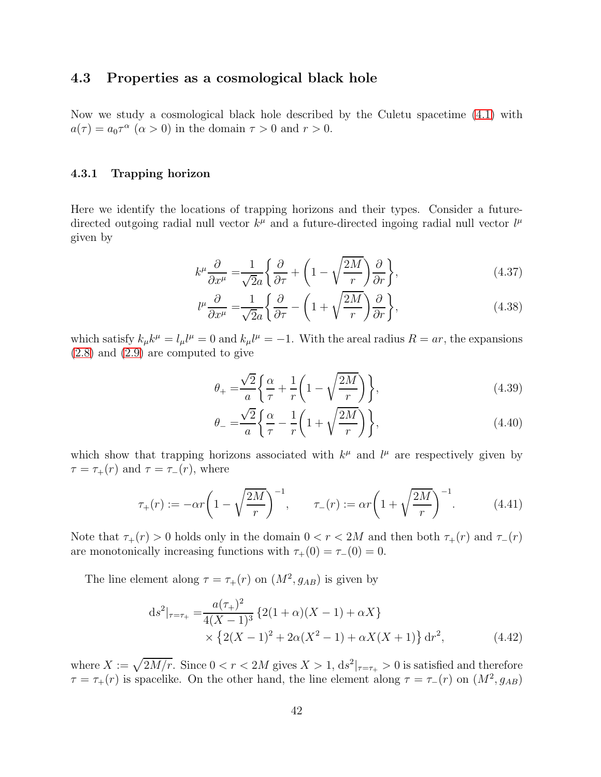### <span id="page-42-0"></span>4.3 Properties as a cosmological black hole

<span id="page-42-1"></span>Now we study a cosmological black hole described by the Culetu spacetime [\(4.1\)](#page-36-1) with  $a(\tau) = a_0 \tau^{\alpha}$   $(\alpha > 0)$  in the domain  $\tau > 0$  and  $r > 0$ .

#### 4.3.1 Trapping horizon

Here we identify the locations of trapping horizons and their types. Consider a futuredirected outgoing radial null vector  $k^{\mu}$  and a future-directed ingoing radial null vector  $l^{\mu}$ given by

$$
k^{\mu}\frac{\partial}{\partial x^{\mu}} = \frac{1}{\sqrt{2}a} \left\{ \frac{\partial}{\partial \tau} + \left( 1 - \sqrt{\frac{2M}{r}} \right) \frac{\partial}{\partial r} \right\},\tag{4.37}
$$

$$
l^{\mu}\frac{\partial}{\partial x^{\mu}} = \frac{1}{\sqrt{2}a} \left\{ \frac{\partial}{\partial \tau} - \left( 1 + \sqrt{\frac{2M}{r}} \right) \frac{\partial}{\partial r} \right\},\tag{4.38}
$$

which satisfy  $k_{\mu}k^{\mu} = l_{\mu}l^{\mu} = 0$  and  $k_{\mu}l^{\mu} = -1$ . With the areal radius  $R = ar$ , the expansions [\(2.8\)](#page-6-3) and [\(2.9\)](#page-6-4) are computed to give

$$
\theta_{+} = \frac{\sqrt{2}}{a} \left\{ \frac{\alpha}{\tau} + \frac{1}{r} \left( 1 - \sqrt{\frac{2M}{r}} \right) \right\},\tag{4.39}
$$

<span id="page-42-2"></span>
$$
\theta_{-} = \frac{\sqrt{2}}{a} \left\{ \frac{\alpha}{\tau} - \frac{1}{r} \left( 1 + \sqrt{\frac{2M}{r}} \right) \right\},\tag{4.40}
$$

which show that trapping horizons associated with  $k^{\mu}$  and  $l^{\mu}$  are respectively given by  $\tau = \tau_+(r)$  and  $\tau = \tau_-(r)$ , where

$$
\tau_{+}(r) := -\alpha r \left( 1 - \sqrt{\frac{2M}{r}} \right)^{-1}, \qquad \tau_{-}(r) := \alpha r \left( 1 + \sqrt{\frac{2M}{r}} \right)^{-1}.
$$
 (4.41)

Note that  $\tau_+(r) > 0$  holds only in the domain  $0 < r < 2M$  and then both  $\tau_+(r)$  and  $\tau_-(r)$ are monotonically increasing functions with  $\tau_{+}(0) = \tau_{-}(0) = 0$ .

The line element along  $\tau = \tau_+(r)$  on  $(M^2, g_{AB})$  is given by

$$
ds^{2}|_{\tau=\tau_{+}} = \frac{a(\tau_{+})^{2}}{4(X-1)^{3}} \left\{ 2(1+\alpha)(X-1) + \alpha X \right\}
$$
  
 
$$
\times \left\{ 2(X-1)^{2} + 2\alpha(X^{2}-1) + \alpha X(X+1) \right\} dr^{2}, \tag{4.42}
$$

where  $X := \sqrt{2M/r}$ . Since  $0 < r < 2M$  gives  $X > 1$ ,  $ds^2|_{\tau=\tau_+} > 0$  is satisfied and therefore  $\tau = \tau_{+}(r)$  is spacelike. On the other hand, the line element along  $\tau = \tau_{-}(r)$  on  $(M^2, g_{AB})$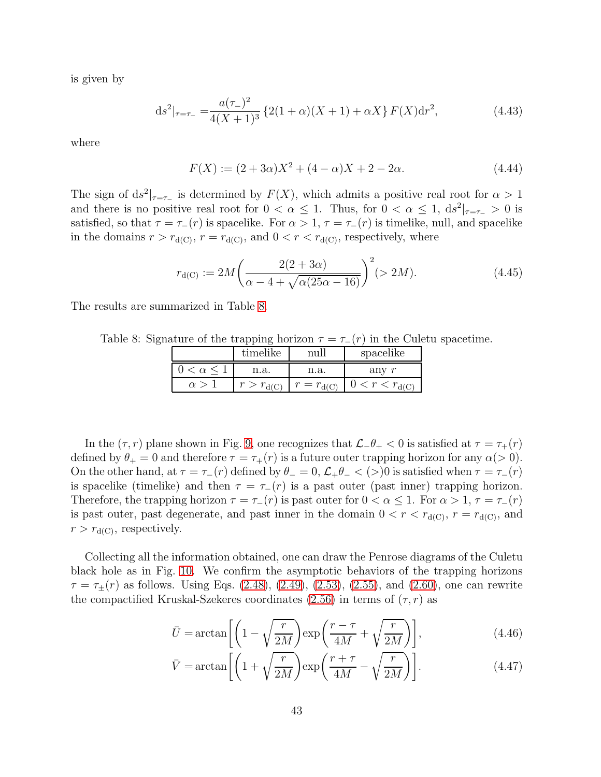is given by

$$
ds^{2}|_{\tau=\tau_{-}} = \frac{a(\tau_{-})^{2}}{4(X+1)^{3}} \left\{ 2(1+\alpha)(X+1) + \alpha X \right\} F(X) dr^{2}, \tag{4.43}
$$

where

$$
F(X) := (2 + 3\alpha)X^2 + (4 - \alpha)X + 2 - 2\alpha.
$$
 (4.44)

The sign of  $ds^2|_{\tau=\tau_-}$  is determined by  $F(X)$ , which admits a positive real root for  $\alpha > 1$ and there is no positive real root for  $0 < \alpha \leq 1$ . Thus, for  $0 < \alpha \leq 1$ ,  $ds^2|_{\tau=\tau_-} > 0$  is satisfied, so that  $\tau = \tau_-(r)$  is spacelike. For  $\alpha > 1$ ,  $\tau = \tau_-(r)$  is timelike, null, and spacelike in the domains  $r > r_{d(C)}$ ,  $r = r_{d(C)}$ , and  $0 < r < r_{d(C)}$ , respectively, where

$$
r_{d(C)} := 2M\left(\frac{2(2+3\alpha)}{\alpha - 4 + \sqrt{\alpha(25\alpha - 16)}}\right)^2 (> 2M).
$$
 (4.45)

The results are summarized in Table [8.](#page-43-0)

Table 8: Signature of the trapping horizon  $\tau = \tau_-(r)$  in the Culetu spacetime.

<span id="page-43-0"></span>

|                     | timelike           | nul                | spacelike              |
|---------------------|--------------------|--------------------|------------------------|
| $0 < \alpha \leq 1$ | n.a.               | n.a.               | anv                    |
| $\alpha >$          | $r > r_{\rm d(C)}$ | $r = r_{\rm d(C)}$ | $0 < r < r_{\rm d(C)}$ |

In the  $(\tau, r)$  plane shown in Fig. [9,](#page-44-0) one recognizes that  $\mathcal{L}$ − $\theta$ + < 0 is satisfied at  $\tau = \tau_+(r)$ defined by  $\theta_+ = 0$  and therefore  $\tau = \tau_+(r)$  is a future outer trapping horizon for any  $\alpha(>0)$ . On the other hand, at  $\tau = \tau_-(r)$  defined by  $\theta_-=0$ ,  $\mathcal{L}_+\theta_-<(>)0$  is satisfied when  $\tau = \tau_-(r)$ is spacelike (timelike) and then  $\tau = \tau_-(r)$  is a past outer (past inner) trapping horizon. Therefore, the trapping horizon  $\tau = \tau_-(r)$  is past outer for  $0 < \alpha \leq 1$ . For  $\alpha > 1$ ,  $\tau = \tau_-(r)$ is past outer, past degenerate, and past inner in the domain  $0 < r < r_{d(C)}, r = r_{d(C)}$ , and  $r > r_{\rm d(C)}$ , respectively.

Collecting all the information obtained, one can draw the Penrose diagrams of the Culetu black hole as in Fig. [10.](#page-45-0) We confirm the asymptotic behaviors of the trapping horizons  $\tau = \tau_{\pm}(r)$  as follows. Using Eqs. [\(2.48\)](#page-14-3), [\(2.49\)](#page-14-4), [\(2.53\)](#page-15-1), [\(2.55\)](#page-15-2), and [\(2.60\)](#page-16-4), one can rewrite the compactified Kruskal-Szekeres coordinates [\(2.56\)](#page-15-0) in terms of  $(\tau, r)$  as

$$
\bar{U} = \arctan\left[\left(1 - \sqrt{\frac{r}{2M}}\right) \exp\left(\frac{r - \tau}{4M} + \sqrt{\frac{r}{2M}}\right)\right],\tag{4.46}
$$

<span id="page-43-2"></span><span id="page-43-1"></span>
$$
\bar{V} = \arctan\left[ \left( 1 + \sqrt{\frac{r}{2M}} \right) \exp\left( \frac{r + \tau}{4M} - \sqrt{\frac{r}{2M}} \right) \right]. \tag{4.47}
$$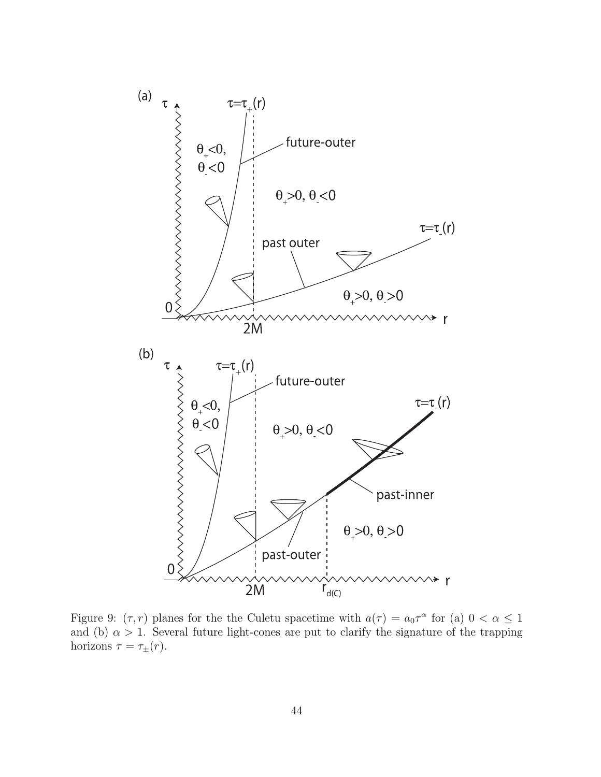

<span id="page-44-0"></span>Figure 9:  $(\tau, r)$  planes for the the Culetu spacetime with  $a(\tau) = a_0 \tau^{\alpha}$  for (a)  $0 < \alpha \le 1$ and (b)  $\alpha > 1$ . Several future light-cones are put to clarify the signature of the trapping horizons  $\tau = \tau_{\pm}(r)$ .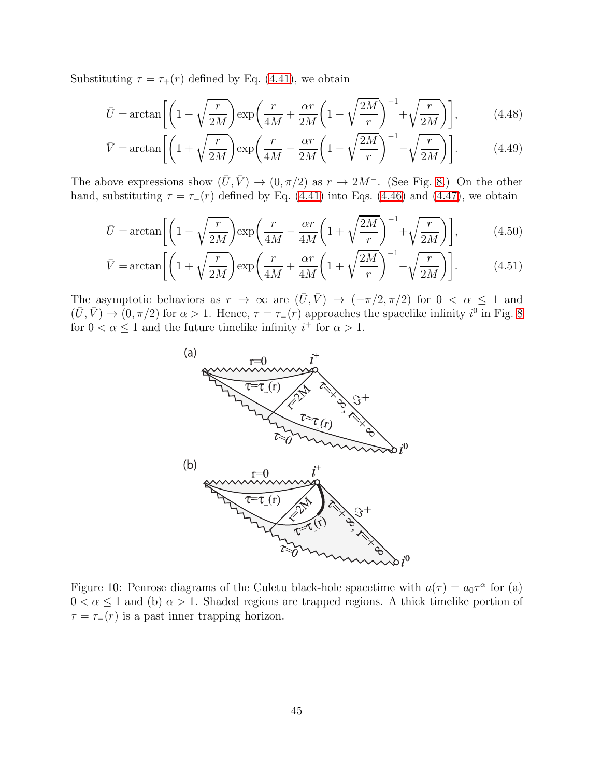Substituting  $\tau = \tau_+(r)$  defined by Eq. [\(4.41\)](#page-42-2), we obtain

$$
\bar{U} = \arctan\left[\left(1 - \sqrt{\frac{r}{2M}}\right) \exp\left(\frac{r}{4M} + \frac{\alpha r}{2M} \left(1 - \sqrt{\frac{2M}{r}}\right)^{-1} + \sqrt{\frac{r}{2M}}\right)\right],\tag{4.48}
$$

$$
\bar{V} = \arctan\left[ \left( 1 + \sqrt{\frac{r}{2M}} \right) \exp\left( \frac{r}{4M} - \frac{\alpha r}{2M} \left( 1 - \sqrt{\frac{2M}{r}} \right)^{-1} - \sqrt{\frac{r}{2M}} \right) \right].
$$
 (4.49)

The above expressions show  $(\bar{U}, \bar{V}) \rightarrow (0, \pi/2)$  as  $r \rightarrow 2M^-$ . (See Fig. [8.](#page-39-1)) On the other hand, substituting  $\tau = \tau_-(r)$  defined by Eq. [\(4.41\)](#page-42-2) into Eqs. [\(4.46\)](#page-43-1) and [\(4.47\)](#page-43-2), we obtain

$$
\bar{U} = \arctan\left[\left(1 - \sqrt{\frac{r}{2M}}\right) \exp\left(\frac{r}{4M} - \frac{\alpha r}{4M} \left(1 + \sqrt{\frac{2M}{r}}\right)^{-1} + \sqrt{\frac{r}{2M}}\right)\right],\tag{4.50}
$$

$$
\bar{V} = \arctan\left[ \left( 1 + \sqrt{\frac{r}{2M}} \right) \exp\left( \frac{r}{4M} + \frac{\alpha r}{4M} \left( 1 + \sqrt{\frac{2M}{r}} \right)^{-1} - \sqrt{\frac{r}{2M}} \right) \right].
$$
 (4.51)

The asymptotic behaviors as  $r \to \infty$  are  $(\bar{U}, \bar{V}) \to (-\pi/2, \pi/2)$  for  $0 < \alpha \leq 1$  and  $(\bar{U}, \bar{V}) \to (0, \pi/2)$  for  $\alpha > 1$ . Hence,  $\tau = \tau_{-}(r)$  approaches the spacelike infinity  $i^{0}$  in Fig. [8](#page-39-1) for  $0 < \alpha \leq 1$  and the future timelike infinity  $i^+$  for  $\alpha > 1$ .



<span id="page-45-0"></span>Figure 10: Penrose diagrams of the Culetu black-hole spacetime with  $a(\tau) = a_0 \tau^{\alpha}$  for (a)  $0 < \alpha \leq 1$  and (b)  $\alpha > 1$ . Shaded regions are trapped regions. A thick timelike portion of  $\tau = \tau_-(r)$  is a past inner trapping horizon.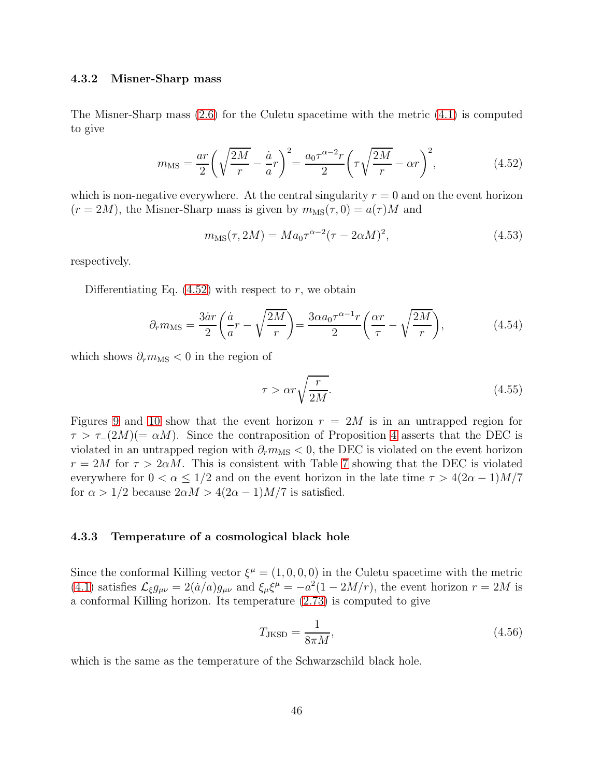#### <span id="page-46-0"></span>4.3.2 Misner-Sharp mass

The Misner-Sharp mass [\(2.6\)](#page-5-3) for the Culetu spacetime with the metric [\(4.1\)](#page-36-1) is computed to give

$$
m_{\rm MS} = \frac{ar}{2} \left( \sqrt{\frac{2M}{r}} - \frac{\dot{a}}{a} r \right)^2 = \frac{a_0 \tau^{\alpha - 2} r}{2} \left( \tau \sqrt{\frac{2M}{r}} - \alpha r \right)^2, \tag{4.52}
$$

which is non-negative everywhere. At the central singularity  $r = 0$  and on the event horizon  $(r = 2M)$ , the Misner-Sharp mass is given by  $m_{\text{MS}}(\tau, 0) = a(\tau)M$  and

<span id="page-46-2"></span>
$$
m_{\rm MS}(\tau, 2M) = Ma_0 \tau^{\alpha - 2} (\tau - 2\alpha M)^2,
$$
\n(4.53)

respectively.

Differentiating Eq.  $(4.52)$  with respect to r, we obtain

$$
\partial_r m_{\text{MS}} = \frac{3\dot{a}r}{2} \left( \frac{\dot{a}}{a} r - \sqrt{\frac{2M}{r}} \right) = \frac{3\alpha a_0 \tau^{\alpha - 1} r}{2} \left( \frac{\alpha r}{\tau} - \sqrt{\frac{2M}{r}} \right),\tag{4.54}
$$

which shows  $\partial_r m_{\text{MS}} < 0$  in the region of

$$
\tau > \alpha r \sqrt{\frac{r}{2M}}.\tag{4.55}
$$

Figures [9](#page-44-0) and [10](#page-45-0) show that the event horizon  $r = 2M$  is in an untrapped region for  $\tau > \tau_-(2M) (= \alpha M)$ . Since the contraposition of Proposition [4](#page-9-2) asserts that the DEC is violated in an untrapped region with  $\partial_r m_{\rm MS} < 0$ , the DEC is violated on the event horizon  $r = 2M$  for  $\tau > 2\alpha M$ . This is consistent with Table [7](#page-41-0) showing that the DEC is violated everywhere for  $0 < \alpha \leq 1/2$  and on the event horizon in the late time  $\tau > 4(2\alpha - 1)M/7$ for  $\alpha > 1/2$  because  $2\alpha M > 4(2\alpha - 1)M/7$  is satisfied.

#### <span id="page-46-1"></span>4.3.3 Temperature of a cosmological black hole

Since the conformal Killing vector  $\xi^{\mu} = (1, 0, 0, 0)$  in the Culetu spacetime with the metric [\(4.1\)](#page-36-1) satisfies  $\mathcal{L}_{\xi}g_{\mu\nu} = 2(\dot{a}/a)g_{\mu\nu}$  and  $\xi_{\mu}\xi^{\mu} = -a^2(1 - 2M/r)$ , the event horizon  $r = 2M$  is a conformal Killing horizon. Its temperature [\(2.73\)](#page-20-2) is computed to give

$$
T_{\text{JKSD}} = \frac{1}{8\pi M},\tag{4.56}
$$

which is the same as the temperature of the Schwarzschild black hole.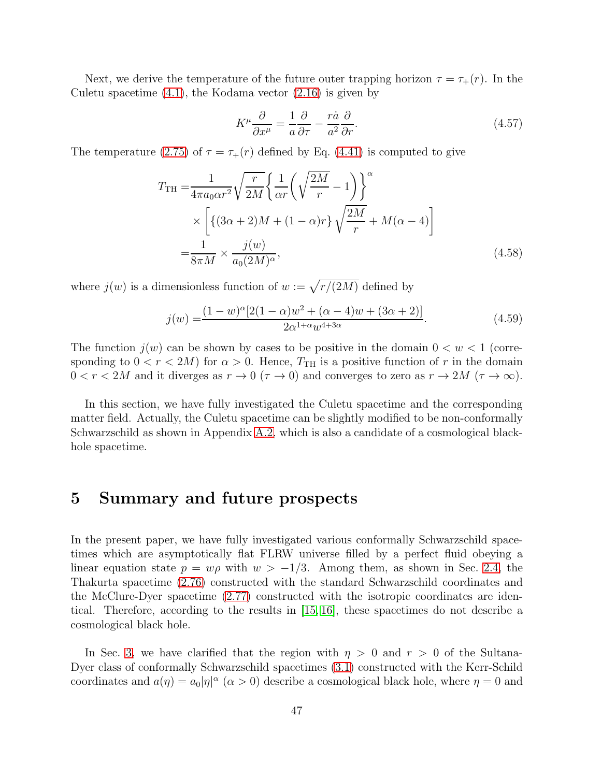Next, we derive the temperature of the future outer trapping horizon  $\tau = \tau_+(r)$ . In the Culetu spacetime  $(4.1)$ , the Kodama vector  $(2.16)$  is given by

$$
K^{\mu}\frac{\partial}{\partial x^{\mu}} = \frac{1}{a}\frac{\partial}{\partial \tau} - \frac{r\dot{a}}{a^2}\frac{\partial}{\partial r}.
$$
 (4.57)

The temperature [\(2.75\)](#page-20-3) of  $\tau = \tau_+(r)$  defined by Eq. [\(4.41\)](#page-42-2) is computed to give

$$
T_{\rm TH} = \frac{1}{4\pi a_0 \alpha r^2} \sqrt{\frac{r}{2M}} \left\{ \frac{1}{\alpha r} \left( \sqrt{\frac{2M}{r}} - 1 \right) \right\}^{\alpha}
$$
  
 
$$
\times \left[ \left\{ (3\alpha + 2)M + (1 - \alpha)r \right\} \sqrt{\frac{2M}{r}} + M(\alpha - 4) \right]
$$
  

$$
= \frac{1}{8\pi M} \times \frac{j(w)}{a_0 (2M)^{\alpha}},
$$
 (4.58)

where  $j(w)$  is a dimensionless function of  $w := \sqrt{r/(2M)}$  defined by

$$
j(w) = \frac{(1-w)^{\alpha}[2(1-\alpha)w^{2} + (\alpha - 4)w + (3\alpha + 2)]}{2\alpha^{1+\alpha}w^{4+3\alpha}}.
$$
\n(4.59)

The function  $j(w)$  can be shown by cases to be positive in the domain  $0 < w < 1$  (corresponding to  $0 < r < 2M$  for  $\alpha > 0$ . Hence,  $T_{\text{TH}}$  is a positive function of r in the domain  $0 < r < 2M$  and it diverges as  $r \to 0$  ( $\tau \to 0$ ) and converges to zero as  $r \to 2M$  ( $\tau \to \infty$ ).

In this section, we have fully investigated the Culetu spacetime and the corresponding matter field. Actually, the Culetu spacetime can be slightly modified to be non-conformally Schwarzschild as shown in Appendix [A.2,](#page-51-0) which is also a candidate of a cosmological blackhole spacetime.

## <span id="page-47-0"></span>5 Summary and future prospects

In the present paper, we have fully investigated various conformally Schwarzschild spacetimes which are asymptotically flat FLRW universe filled by a perfect fluid obeying a linear equation state  $p = w\rho$  with  $w > -1/3$ . Among them, as shown in Sec. [2.4,](#page-20-0) the Thakurta spacetime [\(2.76\)](#page-21-1) constructed with the standard Schwarzschild coordinates and the McClure-Dyer spacetime [\(2.77\)](#page-22-3) constructed with the isotropic coordinates are identical. Therefore, according to the results in [\[15,](#page-53-3) [16\]](#page-53-4), these spacetimes do not describe a cosmological black hole.

In Sec. [3,](#page-22-1) we have clarified that the region with  $\eta > 0$  and  $r > 0$  of the Sultana-Dyer class of conformally Schwarzschild spacetimes [\(3.1\)](#page-22-4) constructed with the Kerr-Schild coordinates and  $a(\eta) = a_0 |\eta|^\alpha$  ( $\alpha > 0$ ) describe a cosmological black hole, where  $\eta = 0$  and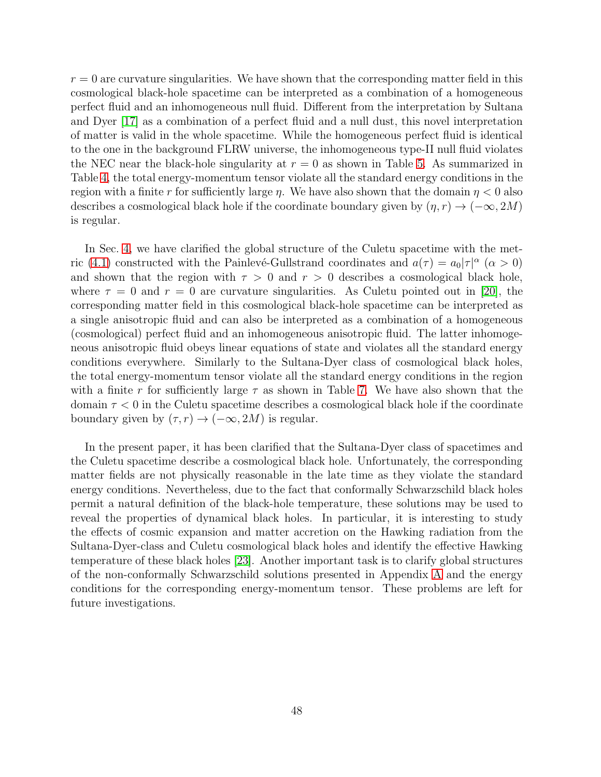$r = 0$  are curvature singularities. We have shown that the corresponding matter field in this cosmological black-hole spacetime can be interpreted as a combination of a homogeneous perfect fluid and an inhomogeneous null fluid. Different from the interpretation by Sultana and Dyer [\[17\]](#page-53-5) as a combination of a perfect fluid and a null dust, this novel interpretation of matter is valid in the whole spacetime. While the homogeneous perfect fluid is identical to the one in the background FLRW universe, the inhomogeneous type-II null fluid violates the NEC near the black-hole singularity at  $r = 0$  as shown in Table [5.](#page-30-0) As summarized in Table [4,](#page-28-1) the total energy-momentum tensor violate all the standard energy conditions in the region with a finite r for sufficiently large  $\eta$ . We have also shown that the domain  $\eta < 0$  also describes a cosmological black hole if the coordinate boundary given by  $(\eta, r) \rightarrow (-\infty, 2M)$ is regular.

In Sec. [4,](#page-36-0) we have clarified the global structure of the Culetu spacetime with the met-ric [\(4.1\)](#page-36-1) constructed with the Painlevé-Gullstrand coordinates and  $a(\tau) = a_0 |\tau|^{\alpha}$  ( $\alpha > 0$ ) and shown that the region with  $\tau > 0$  and  $r > 0$  describes a cosmological black hole, where  $\tau = 0$  and  $r = 0$  are curvature singularities. As Culetu pointed out in [\[20\]](#page-53-8), the corresponding matter field in this cosmological black-hole spacetime can be interpreted as a single anisotropic fluid and can also be interpreted as a combination of a homogeneous (cosmological) perfect fluid and an inhomogeneous anisotropic fluid. The latter inhomogeneous anisotropic fluid obeys linear equations of state and violates all the standard energy conditions everywhere. Similarly to the Sultana-Dyer class of cosmological black holes, the total energy-momentum tensor violate all the standard energy conditions in the region with a finite r for sufficiently large  $\tau$  as shown in Table [7.](#page-41-0) We have also shown that the domain  $\tau < 0$  in the Culetu spacetime describes a cosmological black hole if the coordinate boundary given by  $(\tau, r) \rightarrow (-\infty, 2M)$  is regular.

In the present paper, it has been clarified that the Sultana-Dyer class of spacetimes and the Culetu spacetime describe a cosmological black hole. Unfortunately, the corresponding matter fields are not physically reasonable in the late time as they violate the standard energy conditions. Nevertheless, due to the fact that conformally Schwarzschild black holes permit a natural definition of the black-hole temperature, these solutions may be used to reveal the properties of dynamical black holes. In particular, it is interesting to study the effects of cosmic expansion and matter accretion on the Hawking radiation from the Sultana-Dyer-class and Culetu cosmological black holes and identify the effective Hawking temperature of these black holes [\[23\]](#page-53-11). Another important task is to clarify global structures of the non-conformally Schwarzschild solutions presented in Appendix [A](#page-49-0) and the energy conditions for the corresponding energy-momentum tensor. These problems are left for future investigations.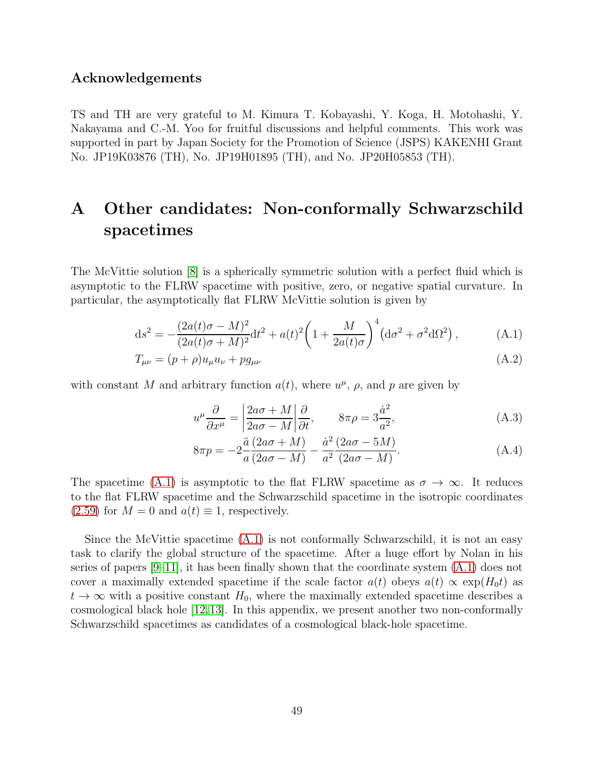### Acknowledgements

TS and TH are very grateful to M. Kimura T. Kobayashi, Y. Koga, H. Motohashi, Y. Nakayama and C.-M. Yoo for fruitful discussions and helpful comments. This work was supported in part by Japan Society for the Promotion of Science (JSPS) KAKENHI Grant No. JP19K03876 (TH), No. JP19H01895 (TH), and No. JP20H05853 (TH).

# <span id="page-49-0"></span>A Other candidates: Non-conformally Schwarzschild spacetimes

The McVittie solution [\[8\]](#page-52-7) is a spherically symmetric solution with a perfect fluid which is asymptotic to the FLRW spacetime with positive, zero, or negative spatial curvature. In particular, the asymptotically flat FLRW McVittie solution is given by

$$
ds^{2} = -\frac{(2a(t)\sigma - M)^{2}}{(2a(t)\sigma + M)^{2}}dt^{2} + a(t)^{2}\left(1 + \frac{M}{2a(t)\sigma}\right)^{4}(d\sigma^{2} + \sigma^{2}d\Omega^{2}),
$$
 (A.1)

$$
T_{\mu\nu} = (p+\rho)u_{\mu}u_{\nu} + pg_{\mu\nu}
$$
\n(A.2)

with constant M and arbitrary function  $a(t)$ , where  $u^{\mu}$ ,  $\rho$ , and p are given by

<span id="page-49-1"></span>
$$
u^{\mu}\frac{\partial}{\partial x^{\mu}} = \left|\frac{2a\sigma + M}{2a\sigma - M}\right|\frac{\partial}{\partial t}, \qquad 8\pi\rho = 3\frac{\dot{a}^2}{a^2},\tag{A.3}
$$

$$
8\pi p = -2\frac{\ddot{a}(2a\sigma + M)}{a(2a\sigma - M)} - \frac{\dot{a}^2(2a\sigma - 5M)}{a^2(2a\sigma - M)}.
$$
\n(A.4)

The spacetime [\(A.1\)](#page-49-1) is asymptotic to the flat FLRW spacetime as  $\sigma \to \infty$ . It reduces to the flat FLRW spacetime and the Schwarzschild spacetime in the isotropic coordinates  $(2.59)$  for  $M = 0$  and  $a(t) \equiv 1$ , respectively.

Since the McVittie spacetime  $(A.1)$  is not conformally Schwarzschild, it is not an easy task to clarify the global structure of the spacetime. After a huge effort by Nolan in his series of papers  $[9-11]$ , it has been finally shown that the coordinate system  $(A.1)$  does not cover a maximally extended spacetime if the scale factor  $a(t)$  obeys  $a(t) \propto \exp(H_0 t)$  as  $t \to \infty$  with a positive constant  $H_0$ , where the maximally extended spacetime describes a cosmological black hole [\[12,](#page-53-0)[13\]](#page-53-1). In this appendix, we present another two non-conformally Schwarzschild spacetimes as candidates of a cosmological black-hole spacetime.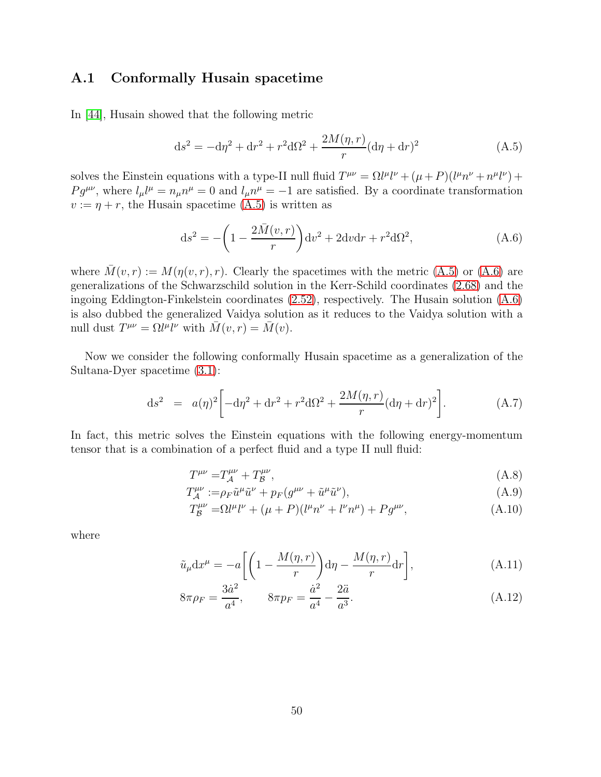## <span id="page-50-0"></span>A.1 Conformally Husain spacetime

In [\[44\]](#page-54-14), Husain showed that the following metric

<span id="page-50-1"></span>
$$
ds^{2} = -d\eta^{2} + dr^{2} + r^{2}d\Omega^{2} + \frac{2M(\eta, r)}{r}(d\eta + dr)^{2}
$$
 (A.5)

solves the Einstein equations with a type-II null fluid  $T^{\mu\nu} = \Omega l^{\mu}l^{\nu} + (\mu + P)(l^{\mu}n^{\nu} + n^{\mu}l^{\nu}) +$  $Pg^{\mu\nu}$ , where  $l_{\mu}l^{\mu} = n_{\mu}n^{\mu} = 0$  and  $l_{\mu}n^{\mu} = -1$  are satisfied. By a coordinate transformation  $v := \eta + r$ , the Husain spacetime [\(A.5\)](#page-50-1) is written as

<span id="page-50-2"></span>
$$
\mathrm{d}s^2 = -\left(1 - \frac{2\bar{M}(v,r)}{r}\right) \mathrm{d}v^2 + 2\mathrm{d}v\mathrm{d}r + r^2 \mathrm{d}\Omega^2,\tag{A.6}
$$

where  $\overline{M}(v, r) := M(\eta(v, r), r)$ . Clearly the spacetimes with the metric [\(A.5\)](#page-50-1) or [\(A.6\)](#page-50-2) are generalizations of the Schwarzschild solution in the Kerr-Schild coordinates [\(2.68\)](#page-18-1) and the ingoing Eddington-Finkelstein coordinates [\(2.52\)](#page-14-2), respectively. The Husain solution [\(A.6\)](#page-50-2) is also dubbed the generalized Vaidya solution as it reduces to the Vaidya solution with a null dust  $T^{\mu\nu} = \Omega^{\mu} l^{\nu}$  with  $\overline{M}(v, r) = \overline{M}(v)$ .

Now we consider the following conformally Husain spacetime as a generalization of the Sultana-Dyer spacetime [\(3.1\)](#page-22-4):

$$
ds^{2} = a(\eta)^{2} \left[ -d\eta^{2} + dr^{2} + r^{2} d\Omega^{2} + \frac{2M(\eta, r)}{r} (d\eta + dr)^{2} \right].
$$
 (A.7)

In fact, this metric solves the Einstein equations with the following energy-momentum tensor that is a combination of a perfect fluid and a type II null fluid:

<span id="page-50-3"></span>
$$
T^{\mu\nu} = T_A^{\mu\nu} + T_B^{\mu\nu},\tag{A.8}
$$

$$
T_{\mathcal{A}}^{\mu\nu} := \rho_F \tilde{u}^\mu \tilde{u}^\nu + p_F (g^{\mu\nu} + \tilde{u}^\mu \tilde{u}^\nu), \tag{A.9}
$$

$$
T_{\mathcal{B}}^{\mu\nu} = \Omega l^{\mu} l^{\nu} + (\mu + P)(l^{\mu} n^{\nu} + l^{\nu} n^{\mu}) + P g^{\mu\nu}, \tag{A.10}
$$

where

$$
\tilde{u}_{\mu} dx^{\mu} = -a \left[ \left( 1 - \frac{M(\eta, r)}{r} \right) d\eta - \frac{M(\eta, r)}{r} dr \right],
$$
\n(A.11)

$$
8\pi \rho_F = \frac{3\dot{a}^2}{a^4}, \qquad 8\pi p_F = \frac{\dot{a}^2}{a^4} - \frac{2\ddot{a}}{a^3}.
$$
 (A.12)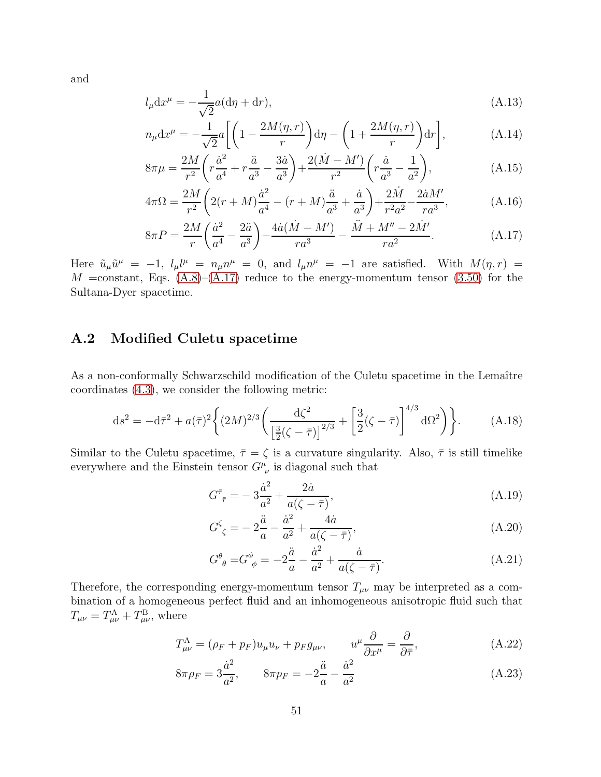and

$$
l_{\mu}dx^{\mu} = -\frac{1}{\sqrt{2}}a(d\eta + dr),\tag{A.13}
$$

$$
n_{\mu}dx^{\mu} = -\frac{1}{\sqrt{2}}a\left[\left(1 - \frac{2M(\eta, r)}{r}\right)d\eta - \left(1 + \frac{2M(\eta, r)}{r}\right)dr\right],
$$
 (A.14)

$$
8\pi\mu = \frac{2M}{r^2} \left( r \frac{\dot{a}^2}{a^4} + r \frac{\ddot{a}}{a^3} - \frac{3\dot{a}}{a^3} \right) + \frac{2(\dot{M} - M')}{r^2} \left( r \frac{\dot{a}}{a^3} - \frac{1}{a^2} \right),\tag{A.15}
$$

$$
4\pi\Omega = \frac{2M}{r^2} \left( 2(r+M)\frac{\dot{a}^2}{a^4} - (r+M)\frac{\ddot{a}}{a^3} + \frac{\dot{a}}{a^3} \right) + \frac{2\dot{M}}{r^2 a^2} - \frac{2\dot{a}M'}{ra^3},\tag{A.16}
$$

<span id="page-51-1"></span>
$$
8\pi P = \frac{2M}{r} \left(\frac{\dot{a}^2}{a^4} - \frac{2\ddot{a}}{a^3}\right) - \frac{4\dot{a}(\dot{M} - M')}{ra^3} - \frac{\ddot{M} + M'' - 2\dot{M}'}{ra^2}.
$$
 (A.17)

Here  $\tilde{u}_{\mu}\tilde{u}^{\mu} = -1$ ,  $l_{\mu}l^{\mu} = n_{\mu}n^{\mu} = 0$ , and  $l_{\mu}n^{\mu} = -1$  are satisfied. With  $M(\eta, r) =$  $M = constant$ , Eqs.  $(A.8)–(A.17)$  $(A.8)–(A.17)$  reduce to the energy-momentum tensor  $(3.50)$  for the Sultana-Dyer spacetime.

## <span id="page-51-0"></span>A.2 Modified Culetu spacetime

As a non-conformally Schwarzschild modification of the Culetu spacetime in the Lemaître coordinates [\(4.3\)](#page-37-1), we consider the following metric:

$$
ds^{2} = -d\bar{\tau}^{2} + a(\bar{\tau})^{2} \left\{ (2M)^{2/3} \left( \frac{d\zeta^{2}}{\left[\frac{3}{2}(\zeta - \bar{\tau})\right]^{2/3}} + \left[\frac{3}{2}(\zeta - \bar{\tau})\right]^{4/3} d\Omega^{2} \right) \right\}.
$$
 (A.18)

Similar to the Culetu spacetime,  $\bar{\tau} = \zeta$  is a curvature singularity. Also,  $\bar{\tau}$  is still timelike everywhere and the Einstein tensor  $G^{\mu}_{\ \nu}$  is diagonal such that

$$
G_{\bar{\tau}}^{\bar{\tau}} = -3\frac{\dot{a}^2}{a^2} + \frac{2\dot{a}}{a(\zeta - \bar{\tau})},\tag{A.19}
$$

$$
G^{\zeta}_{\ \zeta} = -2\frac{\ddot{a}}{a} - \frac{\dot{a}^2}{a^2} + \frac{4\dot{a}}{a(\zeta - \bar{\tau})},\tag{A.20}
$$

$$
G^{\theta}_{\ \theta} = G^{\phi}_{\ \phi} = -2\frac{\ddot{a}}{a} - \frac{\dot{a}^2}{a^2} + \frac{\dot{a}}{a(\zeta - \bar{\tau})}.
$$
\n(A.21)

Therefore, the corresponding energy-momentum tensor  $T_{\mu\nu}$  may be interpreted as a combination of a homogeneous perfect fluid and an inhomogeneous anisotropic fluid such that  $T_{\mu\nu} = T_{\mu\nu}^{\text{A}} + T_{\mu\nu}^{\text{B}}$ , where

$$
T^{\mathcal{A}}_{\mu\nu} = (\rho_F + p_F)u_{\mu}u_{\nu} + p_F g_{\mu\nu}, \qquad u^{\mu}\frac{\partial}{\partial x^{\mu}} = \frac{\partial}{\partial \overline{\tau}}, \tag{A.22}
$$

$$
8\pi \rho_F = 3\frac{\dot{a}^2}{a^2}, \qquad 8\pi p_F = -2\frac{\ddot{a}}{a} - \frac{\dot{a}^2}{a^2}
$$
 (A.23)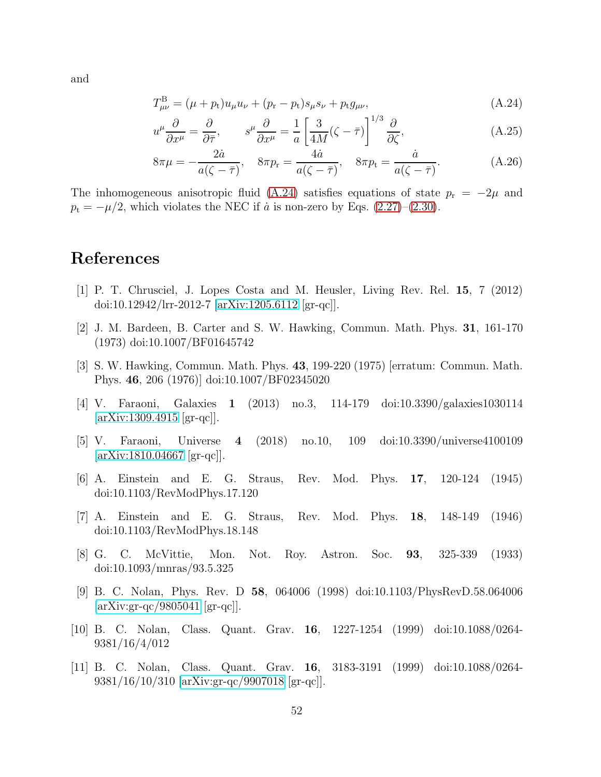and

<span id="page-52-10"></span>
$$
T_{\mu\nu}^{\text{B}} = (\mu + p_{\text{t}})u_{\mu}u_{\nu} + (p_{\text{r}} - p_{\text{t}})s_{\mu}s_{\nu} + p_{\text{t}}g_{\mu\nu},\tag{A.24}
$$

$$
u^{\mu}\frac{\partial}{\partial x^{\mu}} = \frac{\partial}{\partial \overline{\tau}}, \qquad s^{\mu}\frac{\partial}{\partial x^{\mu}} = \frac{1}{a} \left[ \frac{3}{4M} (\zeta - \overline{\tau}) \right]^{1/3} \frac{\partial}{\partial \zeta}, \tag{A.25}
$$

$$
8\pi\mu = -\frac{2\dot{a}}{a(\zeta - \bar{\tau})}, \quad 8\pi p_{\rm r} = \frac{4\dot{a}}{a(\zeta - \bar{\tau})}, \quad 8\pi p_{\rm t} = \frac{\dot{a}}{a(\zeta - \bar{\tau})}.
$$
 (A.26)

The inhomogeneous anisotropic fluid [\(A.24\)](#page-52-10) satisfies equations of state  $p_r = -2\mu$  and  $p_t = -\mu/2$ , which violates the NEC if  $\dot{a}$  is non-zero by Eqs. [\(2.27\)](#page-11-2)–[\(2.30\)](#page-11-3).

## <span id="page-52-0"></span>References

- [1] P. T. Chrusciel, J. Lopes Costa and M. Heusler, Living Rev. Rel. 15, 7 (2012) doi:10.12942/lrr-2012-7 [\[arXiv:1205.6112](http://arxiv.org/abs/1205.6112) [gr-qc]].
- <span id="page-52-2"></span><span id="page-52-1"></span>[2] J. M. Bardeen, B. Carter and S. W. Hawking, Commun. Math. Phys. 31, 161-170 (1973) doi:10.1007/BF01645742
- [3] S. W. Hawking, Commun. Math. Phys. 43, 199-220 (1975) [erratum: Commun. Math. Phys. 46, 206 (1976)] doi:10.1007/BF02345020
- <span id="page-52-4"></span><span id="page-52-3"></span>[4] V. Faraoni, Galaxies 1 (2013) no.3, 114-179 doi:10.3390/galaxies1030114 [\[arXiv:1309.4915](http://arxiv.org/abs/1309.4915) [gr-qc]].
- [5] V. Faraoni, Universe 4 (2018) no.10, 109 doi:10.3390/universe4100109 [\[arXiv:1810.04667](http://arxiv.org/abs/1810.04667) [gr-qc]].
- <span id="page-52-5"></span>[6] A. Einstein and E. G. Straus, Rev. Mod. Phys. 17, 120-124 (1945) doi:10.1103/RevModPhys.17.120
- <span id="page-52-6"></span>[7] A. Einstein and E. G. Straus, Rev. Mod. Phys. 18, 148-149 (1946) doi:10.1103/RevModPhys.18.148
- <span id="page-52-7"></span>[8] G. C. McVittie, Mon. Not. Roy. Astron. Soc. 93, 325-339 (1933) doi:10.1093/mnras/93.5.325
- <span id="page-52-8"></span>[9] B. C. Nolan, Phys. Rev. D 58, 064006 (1998) doi:10.1103/PhysRevD.58.064006 [\[arXiv:gr-qc/9805041](http://arxiv.org/abs/gr-qc/9805041) [gr-qc]].
- [10] B. C. Nolan, Class. Quant. Grav. 16, 1227-1254 (1999) doi:10.1088/0264- 9381/16/4/012
- <span id="page-52-9"></span>[11] B. C. Nolan, Class. Quant. Grav. 16, 3183-3191 (1999) doi:10.1088/0264- 9381/16/10/310 [\[arXiv:gr-qc/9907018](http://arxiv.org/abs/gr-qc/9907018) [gr-qc]].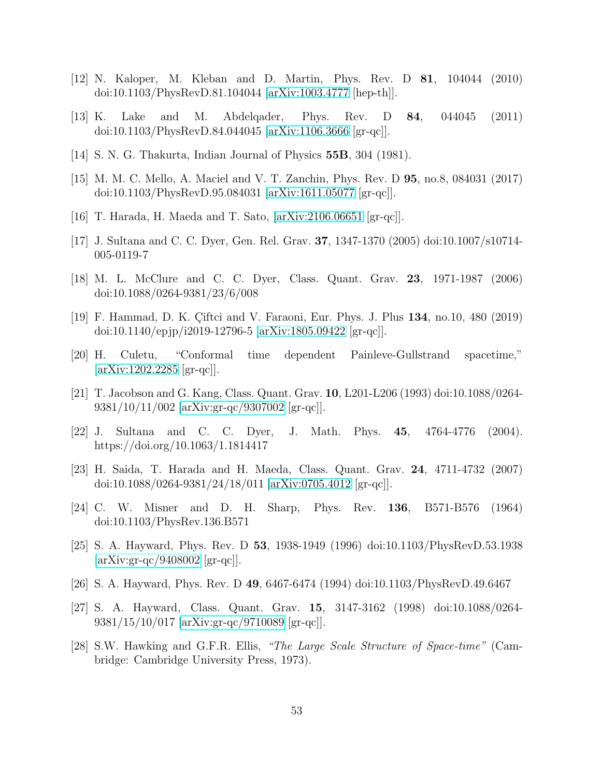- <span id="page-53-1"></span><span id="page-53-0"></span>[12] N. Kaloper, M. Kleban and D. Martin, Phys. Rev. D 81, 104044 (2010) doi:10.1103/PhysRevD.81.104044 [\[arXiv:1003.4777](http://arxiv.org/abs/1003.4777) [hep-th]].
- <span id="page-53-2"></span>[13] K. Lake and M. Abdelqader, Phys. Rev. D 84, 044045 (2011) doi:10.1103/PhysRevD.84.044045 [\[arXiv:1106.3666](http://arxiv.org/abs/1106.3666) [gr-qc]].
- <span id="page-53-3"></span>[14] S. N. G. Thakurta, Indian Journal of Physics 55B, 304 (1981).
- <span id="page-53-4"></span>[15] M. M. C. Mello, A. Maciel and V. T. Zanchin, Phys. Rev. D 95, no.8, 084031 (2017) doi:10.1103/PhysRevD.95.084031 [\[arXiv:1611.05077](http://arxiv.org/abs/1611.05077) [gr-qc]].
- <span id="page-53-5"></span>[16] T. Harada, H. Maeda and T. Sato, [\[arXiv:2106.06651](http://arxiv.org/abs/2106.06651) [gr-qc]].
- <span id="page-53-6"></span>[17] J. Sultana and C. C. Dyer, Gen. Rel. Grav. 37, 1347-1370 (2005) doi:10.1007/s10714- 005-0119-7
- <span id="page-53-7"></span>[18] M. L. McClure and C. C. Dyer, Class. Quant. Grav. 23, 1971-1987 (2006) doi:10.1088/0264-9381/23/6/008
- <span id="page-53-8"></span>[19] F. Hammad, D. K. Çiftci and V. Faraoni, Eur. Phys. J. Plus 134, no.10, 480 (2019) doi:10.1140/epjp/i2019-12796-5 [\[arXiv:1805.09422](http://arxiv.org/abs/1805.09422) [gr-qc]].
- <span id="page-53-9"></span>[20] H. Culetu, "Conformal time dependent Painleve-Gullstrand spacetime,"  $\arXiv:1202.2285$   $|gr-qc|$ .
- <span id="page-53-10"></span>[21] T. Jacobson and G. Kang, Class. Quant. Grav. 10, L201-L206 (1993) doi:10.1088/0264- 9381/10/11/002 [\[arXiv:gr-qc/9307002](http://arxiv.org/abs/gr-qc/9307002) [gr-qc]].
- <span id="page-53-11"></span>[22] J. Sultana and C. C. Dyer, J. Math. Phys. 45, 4764-4776 (2004). https://doi.org/10.1063/1.1814417
- [23] H. Saida, T. Harada and H. Maeda, Class. Quant. Grav. 24, 4711-4732 (2007) doi:10.1088/0264-9381/24/18/011 [\[arXiv:0705.4012](http://arxiv.org/abs/0705.4012) [gr-qc]].
- <span id="page-53-12"></span>[24] C. W. Misner and D. H. Sharp, Phys. Rev. 136, B571-B576 (1964) doi:10.1103/PhysRev.136.B571
- <span id="page-53-13"></span>[25] S. A. Hayward, Phys. Rev. D 53, 1938-1949 (1996) doi:10.1103/PhysRevD.53.1938 [\[arXiv:gr-qc/9408002](http://arxiv.org/abs/gr-qc/9408002) [gr-qc]].
- <span id="page-53-15"></span><span id="page-53-14"></span>[26] S. A. Hayward, Phys. Rev. D 49, 6467-6474 (1994) doi:10.1103/PhysRevD.49.6467
- [27] S. A. Hayward, Class. Quant. Grav. 15, 3147-3162 (1998) doi:10.1088/0264- 9381/15/10/017 [\[arXiv:gr-qc/9710089](http://arxiv.org/abs/gr-qc/9710089) [gr-qc]].
- <span id="page-53-16"></span>[28] S.W. Hawking and G.F.R. Ellis, *"The Large Scale Structure of Space-time"* (Cambridge: Cambridge University Press, 1973).